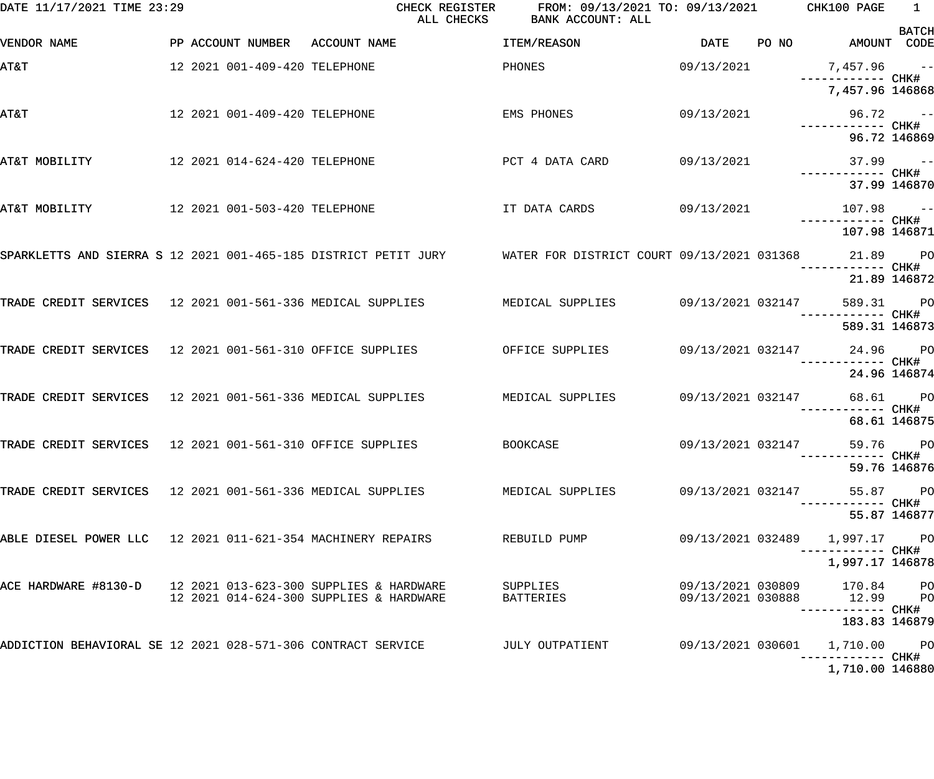| DATE 11/17/2021 TIME 23:29                                  |                                | ALL CHECKS                                                                                                          | CHECK REGISTER FROM: 09/13/2021 TO: 09/13/2021 CHK100 PAGE<br>BANK ACCOUNT: ALL |                   |       |                                                           | $\overline{1}$ |
|-------------------------------------------------------------|--------------------------------|---------------------------------------------------------------------------------------------------------------------|---------------------------------------------------------------------------------|-------------------|-------|-----------------------------------------------------------|----------------|
| VENDOR NAME                                                 | PP ACCOUNT NUMBER ACCOUNT NAME |                                                                                                                     | ITEM/REASON                                                                     | DATE              | PO NO | AMOUNT CODE                                               | <b>BATCH</b>   |
| <b>T&amp;TA</b>                                             | 12 2021 001-409-420 TELEPHONE  |                                                                                                                     | PHONES                                                                          | 09/13/2021        |       | 7,457.96 --                                               |                |
|                                                             |                                |                                                                                                                     |                                                                                 |                   |       | 7,457.96 146868                                           |                |
| <b>AT&amp;T</b>                                             | 12 2021 001-409-420 TELEPHONE  |                                                                                                                     | EMS PHONES                                                                      | 09/13/2021        |       | $96.72 - -$                                               |                |
|                                                             |                                |                                                                                                                     |                                                                                 |                   |       | 96.72 146869                                              |                |
| AT&T MOBILITY                                               | 12 2021 014-624-420 TELEPHONE  |                                                                                                                     | PCT 4 DATA CARD 09/13/2021                                                      |                   |       | $37.99 - -$                                               |                |
|                                                             |                                |                                                                                                                     |                                                                                 |                   |       | 37.99 146870                                              |                |
| AT&T MOBILITY                                               | 12 2021 001-503-420 TELEPHONE  |                                                                                                                     | IT DATA CARDS 09/13/2021                                                        |                   |       | $107.98$ ------------ CHK#                                |                |
|                                                             |                                |                                                                                                                     |                                                                                 |                   |       | 107.98 146871                                             |                |
|                                                             |                                | SPARKLETTS AND SIERRA S 12 2021 001-465-185 DISTRICT PETIT JURY WATER FOR DISTRICT COURT 09/13/2021 031368 21.89 PO |                                                                                 |                   |       | —————————— CHK#                                           |                |
|                                                             |                                |                                                                                                                     |                                                                                 |                   |       | 21.89 146872                                              |                |
|                                                             |                                | TRADE CREDIT SERVICES 12 2021 001-561-336 MEDICAL SUPPLIES MEDICAL SUPPLIES 69/13/2021 032147                       |                                                                                 |                   |       | 589.31 PO                                                 |                |
|                                                             |                                |                                                                                                                     |                                                                                 |                   |       | 589.31 146873                                             |                |
|                                                             |                                | TRADE CREDIT SERVICES 12 2021 001-561-310 OFFICE SUPPLIES OFFICE SUPPLIES 09/13/2021 032147 24.96 PO                |                                                                                 |                   |       |                                                           |                |
|                                                             |                                |                                                                                                                     |                                                                                 |                   |       | 24.96 146874                                              |                |
|                                                             |                                | TRADE CREDIT SERVICES 12 2021 001-561-336 MEDICAL SUPPLIES MEDICAL SUPPLIES 09/13/2021 032147 68.61 PO              |                                                                                 |                   |       | ------------ CHK#                                         |                |
|                                                             |                                |                                                                                                                     |                                                                                 |                   |       | 68.61 146875                                              |                |
|                                                             |                                | TRADE CREDIT SERVICES 12 2021 001-561-310 OFFICE SUPPLIES BOOKCASE                                                  |                                                                                 |                   |       | 09/13/2021 032147 59.76 PO                                |                |
|                                                             |                                |                                                                                                                     |                                                                                 |                   |       | 59.76 146876                                              |                |
|                                                             |                                | TRADE CREDIT SERVICES 12 2021 001-561-336 MEDICAL SUPPLIES           MEDICAL SUPPLIES                               |                                                                                 | 09/13/2021 032147 |       | 55.87 PO                                                  |                |
|                                                             |                                |                                                                                                                     |                                                                                 |                   |       | 55.87 146877                                              |                |
| ABLE DIESEL POWER LLC 12 2021 011-621-354 MACHINERY REPAIRS |                                |                                                                                                                     | REBUILD PUMP                                                                    |                   |       | ----------- CHK#                                          |                |
|                                                             |                                |                                                                                                                     |                                                                                 |                   |       | 1,997.17 146878                                           |                |
|                                                             |                                | 12 2021 014-624-300 SUPPLIES & HARDWARE                                                                             | SUPPLIES<br>BATTERIES                                                           |                   |       | 09/13/2021 030809 170.84 PO<br>09/13/2021 030888 12.99 PO |                |
|                                                             |                                |                                                                                                                     |                                                                                 |                   |       | ----------- CHK#<br>183.83 146879                         |                |
|                                                             |                                | ADDICTION BEHAVIORAL SE 12 2021 028-571-306 CONTRACT SERVICE              JULY OUTPATIENT                           |                                                                                 |                   |       |                                                           |                |
|                                                             |                                |                                                                                                                     |                                                                                 |                   |       | 1,710.00 146880                                           |                |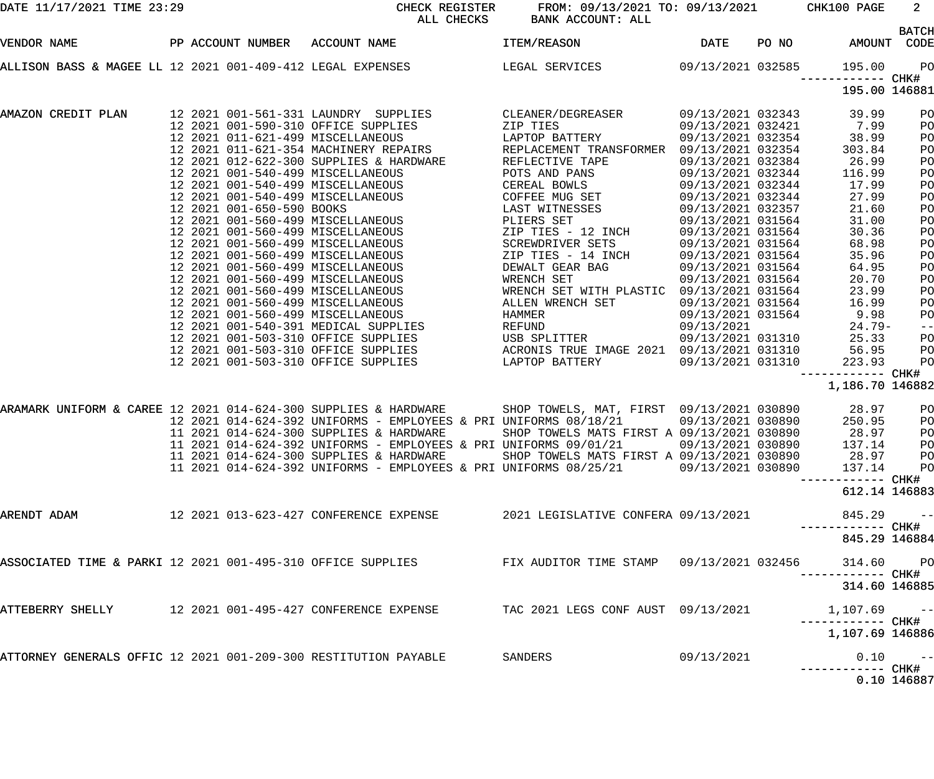| DATE 11/17/2021 TIME 23:29                                      |  |  | CHECK REGISTER<br>ALL CHECKS                                                                                                                                                                                                                | FROM: 09/13/2021 TO: 09/13/2021 CHK100 PAGE<br>BANK ACCOUNT: ALL |                   |                                   |                         |
|-----------------------------------------------------------------|--|--|---------------------------------------------------------------------------------------------------------------------------------------------------------------------------------------------------------------------------------------------|------------------------------------------------------------------|-------------------|-----------------------------------|-------------------------|
| VENDOR NAME                                                     |  |  | PP ACCOUNT NUMBER ACCOUNT NAME                                                                                                                                                                                                              | <b>ITEM/REASON</b>                                               |                   | DATE PO NO AMOUNT                 | <b>BATCH</b><br>CODE    |
|                                                                 |  |  | ALLISON BASS & MAGEE LL 12 2021 001-409-412 LEGAL EXPENSES           LEGAL SERVICES         09/13/2021 032585                                                                                                                               |                                                                  |                   | 195.00<br>------------ CHK#       | $P$ O                   |
|                                                                 |  |  |                                                                                                                                                                                                                                             |                                                                  |                   | 195.00 146881                     |                         |
|                                                                 |  |  | AMAZON CREDIT PLAN       12 2021 001-561-331 LAUNDRY SUPPLIES        CLEANER/DEGREASER     09/13/2021 032343    39.99                                                                                                                       |                                                                  |                   |                                   | PO                      |
|                                                                 |  |  |                                                                                                                                                                                                                                             |                                                                  | 09/13/2021 032421 | 7.99                              | PO                      |
|                                                                 |  |  | 12 2021 001-590-310 OFFICE SUPPLIES 2IP TIES 09/13/2021 032421<br>12 2021 011-621-499 MISCELLANEOUS LAPTOP BATTERY 09/13/2021 032354<br>12 2021 011-621-354 MACHINERY REPAIRS REPLACEMENT TRANSFORMER 09/13/2021 032354                     |                                                                  | 09/13/2021 032354 | 38.99                             | PO                      |
|                                                                 |  |  |                                                                                                                                                                                                                                             |                                                                  |                   | 303.84                            | PO                      |
|                                                                 |  |  | 12 2021 012-622-300 SUPPLIES & HARDWARE REFLECTIVE TAPE                                                                                                                                                                                     |                                                                  | 09/13/2021 032384 | 26.99                             | PO                      |
|                                                                 |  |  |                                                                                                                                                                                                                                             |                                                                  |                   | 116.99                            | PO                      |
|                                                                 |  |  |                                                                                                                                                                                                                                             |                                                                  |                   | 17.99                             | PO                      |
|                                                                 |  |  |                                                                                                                                                                                                                                             |                                                                  |                   | 27.99                             | PO                      |
|                                                                 |  |  |                                                                                                                                                                                                                                             |                                                                  |                   | 21.60                             | PO                      |
|                                                                 |  |  |                                                                                                                                                                                                                                             |                                                                  |                   | 31.00                             | PO                      |
|                                                                 |  |  |                                                                                                                                                                                                                                             |                                                                  |                   | 30.36                             | PO                      |
|                                                                 |  |  |                                                                                                                                                                                                                                             |                                                                  |                   | 68.98                             | PO                      |
|                                                                 |  |  |                                                                                                                                                                                                                                             |                                                                  |                   | 35.96                             | PO                      |
|                                                                 |  |  |                                                                                                                                                                                                                                             |                                                                  |                   | 64.95                             | PO                      |
|                                                                 |  |  |                                                                                                                                                                                                                                             |                                                                  |                   | 20.70                             | PO                      |
|                                                                 |  |  |                                                                                                                                                                                                                                             |                                                                  |                   | 23.99                             | PO                      |
|                                                                 |  |  |                                                                                                                                                                                                                                             |                                                                  |                   | 16.99                             | PO                      |
|                                                                 |  |  | 12 2021 001-560-499 MISCELLANEOUS                                                                                                                                                                                                           | HAMMER                                                           | 09/13/2021 031564 | 9.98<br>$24.79-$                  | PO                      |
|                                                                 |  |  |                                                                                                                                                                                                                                             |                                                                  |                   | 25.33                             | $\qquad \qquad -$<br>PO |
|                                                                 |  |  |                                                                                                                                                                                                                                             |                                                                  |                   | 56.95                             | PO                      |
|                                                                 |  |  | 12 2021 001-540-391 MEDICAL SUPPLIES<br>12 2021 001-503-310 OFFICE SUPPLIES<br>12 2021 001-503-310 OFFICE SUPPLIES<br>12 2021 001-503-310 OFFICE SUPPLIES<br>12 2021 001-503-310 OFFICE SUPPLIES<br>12 2021 001-503-310 OFFICE SUPPLIES<br> |                                                                  |                   | 223.93                            | PO                      |
|                                                                 |  |  |                                                                                                                                                                                                                                             |                                                                  |                   | ------------ CHK#                 |                         |
|                                                                 |  |  |                                                                                                                                                                                                                                             |                                                                  |                   | 1,186.70 146882                   |                         |
|                                                                 |  |  | ARAMARK UNIFORM & CAREE 12 2021 014-624-300 SUPPLIES & HARDWARE SHOP TOWELS, MAT, FIRST 09/13/2021 030890 28.97<br>12 2021 014-624-392 UNIFORMS - EMPLOYEES & PRI UNIFORMS 08/18/21 09/13/2021 030890 250.95                                |                                                                  |                   |                                   | PO                      |
|                                                                 |  |  |                                                                                                                                                                                                                                             |                                                                  |                   |                                   | P <sub>O</sub>          |
|                                                                 |  |  | 11 2021 014-624-300 SUPPLIES & HARDWARE                                                                                                                                                                                                     | SHOP TOWELS MATS FIRST A 09/13/2021 030890                       |                   | 28.97                             | PO                      |
|                                                                 |  |  | 11 2021 014-624-392 UNIFORMS - EMPLOYEES & PRI UNIFORMS 09/01/21 09/13/2021 030890                                                                                                                                                          |                                                                  |                   | 137.14                            | P <sub>O</sub>          |
|                                                                 |  |  | 11 2021 014-624-300 SUPPLIES & HARDWARE                                                                                                                                                                                                     | SHOP TOWELS MATS FIRST A 09/13/2021 030890                       |                   | 28.97                             | $P$ O                   |
|                                                                 |  |  | 11 2021 014-624-392 UNIFORMS - EMPLOYEES & PRI UNIFORMS 08/25/21                                                                                                                                                                            |                                                                  | 09/13/2021 030890 | 137.14                            | $P$ O                   |
|                                                                 |  |  |                                                                                                                                                                                                                                             |                                                                  |                   | ----------- CHK#<br>612.14 146883 |                         |
| ARENDT ADAM                                                     |  |  |                                                                                                                                                                                                                                             | 2021 LEGISLATIVE CONFERA 09/13/2021                              |                   | 845.29                            | $\sim$ $-$              |
|                                                                 |  |  |                                                                                                                                                                                                                                             |                                                                  |                   | 845.29 146884                     |                         |
|                                                                 |  |  | ASSOCIATED TIME & PARKI 12 2021 001-495-310 OFFICE SUPPLIES                                                                                                                                                                                 |                                                                  |                   | 314.60 PO<br>----------- CHK#     |                         |
|                                                                 |  |  |                                                                                                                                                                                                                                             |                                                                  |                   | 314.60 146885                     |                         |
| ATTEBERRY SHELLY 12 2021 001-495-427 CONFERENCE EXPENSE         |  |  |                                                                                                                                                                                                                                             | TAC 2021 LEGS CONF AUST 09/13/2021                               |                   | $1,107.69$ --<br>----------- CHK# |                         |
|                                                                 |  |  |                                                                                                                                                                                                                                             |                                                                  |                   | 1,107.69 146886                   |                         |
| ATTORNEY GENERALS OFFIC 12 2021 001-209-300 RESTITUTION PAYABLE |  |  |                                                                                                                                                                                                                                             | SANDERS                                                          | 09/13/2021        | ----------- CHK#                  | $0.10 - -$              |
|                                                                 |  |  |                                                                                                                                                                                                                                             |                                                                  |                   |                                   | 0.10 146887             |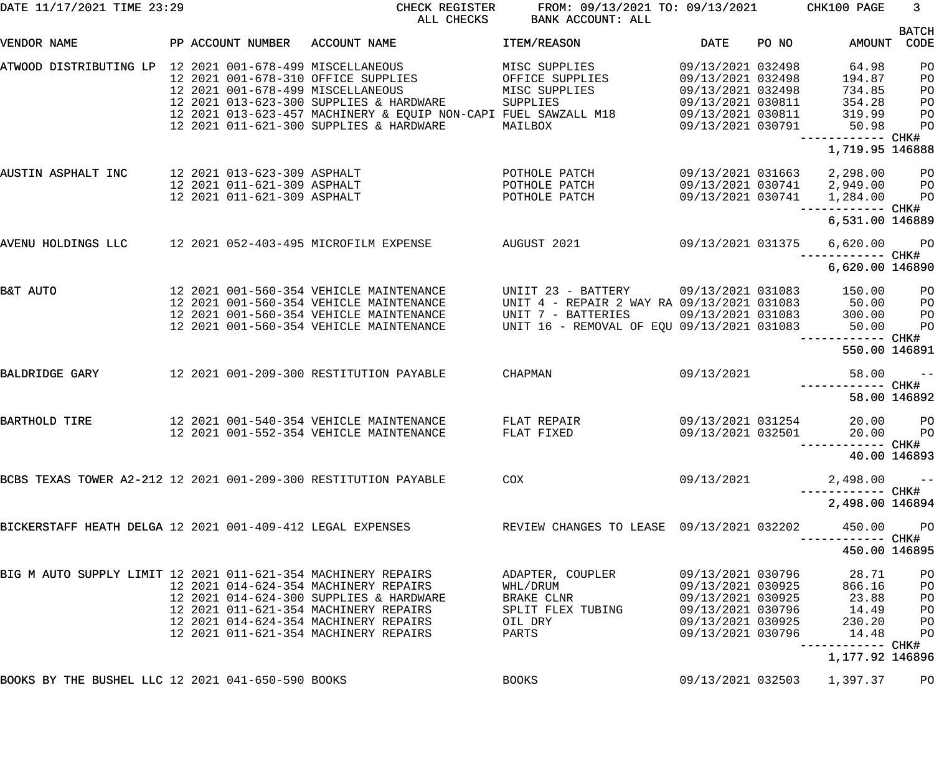| DATE 11/17/2021 TIME 23:29                                      |                                   | CHECK REGISTER<br>ALL CHECKS                                    | FROM: 09/13/2021 TO: 09/13/2021<br>BANK ACCOUNT: ALL |                   |       | CHK100 PAGE                          | 3 <sup>7</sup>       |
|-----------------------------------------------------------------|-----------------------------------|-----------------------------------------------------------------|------------------------------------------------------|-------------------|-------|--------------------------------------|----------------------|
| VENDOR NAME                                                     | PP ACCOUNT NUMBER                 | ACCOUNT NAME                                                    | ITEM/REASON                                          | DATE              | PO NO | AMOUNT                               | <b>BATCH</b><br>CODE |
| ATWOOD DISTRIBUTING LP 12 2021 001-678-499 MISCELLANEOUS        |                                   |                                                                 | MISC SUPPLIES                                        | 09/13/2021 032498 |       | 64.98                                | PO                   |
|                                                                 |                                   | 12 2021 001-678-310 OFFICE SUPPLIES                             | OFFICE SUPPLIES                                      | 09/13/2021 032498 |       | 194.87                               | PO                   |
|                                                                 | 12 2021 001-678-499 MISCELLANEOUS |                                                                 | MISC SUPPLIES                                        | 09/13/2021 032498 |       | 734.85                               | PO                   |
|                                                                 |                                   | 12 2021 013-623-300 SUPPLIES & HARDWARE                         | SUPPLIES                                             | 09/13/2021 030811 |       | 354.28                               | PO                   |
|                                                                 |                                   | 12 2021 013-623-457 MACHINERY & EQUIP NON-CAPI FUEL SAWZALL M18 |                                                      | 09/13/2021 030811 |       | 319.99                               | PO                   |
|                                                                 |                                   | 12 2021 011-621-300 SUPPLIES & HARDWARE                         | MAILBOX                                              | 09/13/2021 030791 |       | 50.98                                | PO                   |
|                                                                 |                                   |                                                                 |                                                      |                   |       | ------------ CHK#<br>1,719.95 146888 |                      |
| AUSTIN ASPHALT INC                                              | 12 2021 013-623-309 ASPHALT       |                                                                 | POTHOLE PATCH                                        | 09/13/2021 031663 |       | 2,298.00                             | <b>PO</b>            |
|                                                                 | 12 2021 011-621-309 ASPHALT       |                                                                 | POTHOLE PATCH                                        |                   |       | 09/13/2021 030741 2,949.00           | P <sub>O</sub>       |
|                                                                 | 12 2021 011-621-309 ASPHALT       |                                                                 | POTHOLE PATCH                                        | 09/13/2021 030741 |       | 1,284.00                             | P <sub>O</sub>       |
|                                                                 |                                   |                                                                 |                                                      |                   |       | ------------ CHK#                    |                      |
|                                                                 |                                   |                                                                 |                                                      |                   |       | 6,531.00 146889                      |                      |
| AVENU HOLDINGS LLC                                              |                                   | 12 2021 052-403-495 MICROFILM EXPENSE                           | AUGUST 2021                                          | 09/13/2021 031375 |       | 6,620.00                             | $P$ O                |
|                                                                 |                                   |                                                                 |                                                      |                   |       | ------ CHK#                          |                      |
|                                                                 |                                   |                                                                 |                                                      |                   |       | 6,620.00 146890                      |                      |
| B&T AUTO                                                        |                                   | 12 2021 001-560-354 VEHICLE MAINTENANCE                         | UNIIT 23 - BATTERY 09/13/2021 031083                 |                   |       | 150.00                               | PO                   |
|                                                                 |                                   | 12 2021 001-560-354 VEHICLE MAINTENANCE                         | UNIT 4 - REPAIR 2 WAY RA 09/13/2021 031083           |                   |       | 50.00                                | PO                   |
|                                                                 |                                   | 12 2021 001-560-354 VEHICLE MAINTENANCE                         | UNIT 7 - BATTERIES                                   | 09/13/2021 031083 |       | 300.00                               | PO                   |
|                                                                 |                                   | 12 2021 001-560-354 VEHICLE MAINTENANCE                         | UNIT 16 - REMOVAL OF EQU 09/13/2021 031083           |                   |       | 50.00<br>------- CHK#                | PO                   |
|                                                                 |                                   |                                                                 |                                                      |                   |       | 550.00 146891                        |                      |
| BALDRIDGE GARY                                                  |                                   | 12 2021 001-209-300 RESTITUTION PAYABLE                         | CHAPMAN                                              | 09/13/2021        |       | 58.00                                | $\qquad \qquad -$    |
|                                                                 |                                   |                                                                 |                                                      |                   |       |                                      | CHK#                 |
|                                                                 |                                   |                                                                 |                                                      |                   |       |                                      | 58.00 146892         |
| BARTHOLD TIRE                                                   |                                   | 12 2021 001-540-354 VEHICLE MAINTENANCE                         | FLAT REPAIR                                          | 09/13/2021 031254 |       | 20.00                                | P <sub>O</sub>       |
|                                                                 |                                   | 12 2021 001-552-354 VEHICLE MAINTENANCE                         | FLAT FIXED                                           | 09/13/2021 032501 |       | 20.00                                | PO                   |
|                                                                 |                                   |                                                                 |                                                      |                   |       |                                      |                      |
|                                                                 |                                   |                                                                 |                                                      |                   |       |                                      | 40.00 146893         |
| BCBS TEXAS TOWER A2-212 12 2021 001-209-300 RESTITUTION PAYABLE |                                   |                                                                 | COX                                                  | 09/13/2021        |       | 2,498.00                             | $ -$                 |
|                                                                 |                                   |                                                                 |                                                      |                   |       |                                      |                      |
|                                                                 |                                   |                                                                 |                                                      |                   |       | 2,498.00 146894                      |                      |
| BICKERSTAFF HEATH DELGA 12 2021 001-409-412 LEGAL EXPENSES      |                                   |                                                                 | REVIEW CHANGES TO LEASE 09/13/2021 032202            |                   |       | 450.00                               | P <sub>O</sub>       |
|                                                                 |                                   |                                                                 |                                                      |                   |       | 450.00 146895                        |                      |
|                                                                 |                                   |                                                                 |                                                      |                   |       |                                      |                      |
| BIG M AUTO SUPPLY LIMIT 12 2021 011-621-354 MACHINERY REPAIRS   |                                   |                                                                 | ADAPTER, COUPLER                                     | 09/13/2021 030796 |       | 28.71                                | PO                   |
|                                                                 |                                   | 12 2021 014-624-354 MACHINERY REPAIRS                           | WHL/DRUM                                             | 09/13/2021 030925 |       | 866.16                               | PO                   |
|                                                                 |                                   | 12 2021 014-624-300 SUPPLIES & HARDWARE                         | BRAKE CLNR                                           | 09/13/2021 030925 |       | 23.88                                | PO                   |
|                                                                 |                                   | 12 2021 011-621-354 MACHINERY REPAIRS                           | SPLIT FLEX TUBING                                    | 09/13/2021 030796 |       | 14.49                                | PO                   |
|                                                                 |                                   | 12 2021 014-624-354 MACHINERY REPAIRS                           | OIL DRY                                              | 09/13/2021 030925 |       | 230.20                               | P <sub>O</sub>       |
|                                                                 |                                   | 12 2021 011-621-354 MACHINERY REPAIRS                           | PARTS                                                | 09/13/2021 030796 |       | 14.48                                | P <sub>O</sub>       |
|                                                                 |                                   |                                                                 |                                                      |                   |       | ------------ CHK#<br>1,177.92 146896 |                      |
| BOOKS BY THE BUSHEL LLC 12 2021 041-650-590 BOOKS               |                                   |                                                                 | <b>BOOKS</b>                                         | 09/13/2021 032503 |       | 1,397.37                             | PO                   |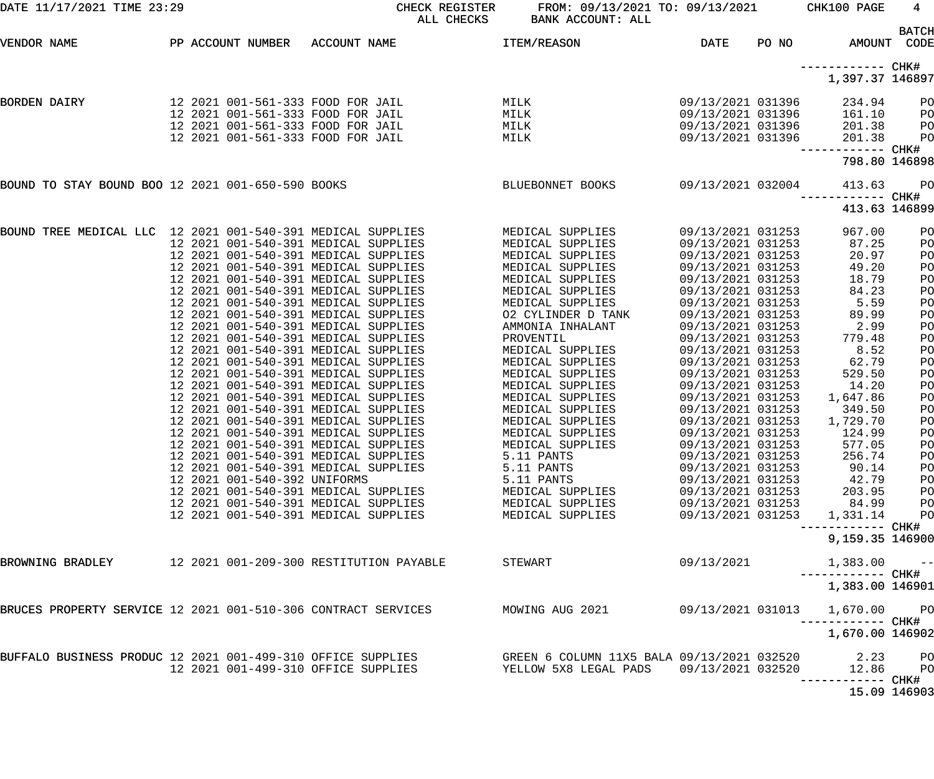| DATE 11/17/2021 TIME 23:29                                    |  |                              | CHECK REGISTER<br>ALL CHECKS                                                 | FROM: 09/13/2021 TO: 09/13/2021<br>BANK ACCOUNT: ALL |                                        |       | CHK100 PAGE                          | $4\phantom{.00000}\phantom{.0000000000000000000}$<br><b>BATCH</b> |
|---------------------------------------------------------------|--|------------------------------|------------------------------------------------------------------------------|------------------------------------------------------|----------------------------------------|-------|--------------------------------------|-------------------------------------------------------------------|
| VENDOR NAME                                                   |  |                              | PP ACCOUNT NUMBER ACCOUNT NAME                                               | ITEM/REASON                                          | DATE                                   | PO NO | AMOUNT CODE                          |                                                                   |
|                                                               |  |                              |                                                                              |                                                      |                                        |       | ------------ CHK#<br>1,397.37 146897 |                                                                   |
| <b>BORDEN DAIRY</b>                                           |  |                              | 12 2021 001-561-333 FOOD FOR JAIL                                            | MILK                                                 | 09/13/2021 031396                      |       | 234.94                               | P <sub>O</sub>                                                    |
|                                                               |  |                              | 12 2021 001-561-333 FOOD FOR JAIL                                            | MILK                                                 | 09/13/2021 031396                      |       | 161.10                               | P <sub>O</sub>                                                    |
|                                                               |  |                              | 12 2021 001-561-333 FOOD FOR JAIL                                            | MILK                                                 | 09/13/2021 031396                      |       | 201.38                               | PO                                                                |
|                                                               |  |                              | 12 2021 001-561-333 FOOD FOR JAIL                                            | MILK                                                 | 09/13/2021 031396                      |       | 201.38<br>------------ CHK#          | P <sub>O</sub>                                                    |
|                                                               |  |                              |                                                                              |                                                      |                                        |       | 798.80 146898                        |                                                                   |
| BOUND TO STAY BOUND BOO 12 2021 001-650-590 BOOKS             |  |                              |                                                                              | BLUEBONNET BOOKS                                     | 09/13/2021 032004                      |       | 413.63<br>------------ CHK#          | PO                                                                |
|                                                               |  |                              |                                                                              |                                                      |                                        |       | 413.63 146899                        |                                                                   |
| BOUND TREE MEDICAL LLC 12 2021 001-540-391 MEDICAL SUPPLIES   |  |                              |                                                                              | MEDICAL SUPPLIES                                     | 09/13/2021 031253                      |       | 967.00                               | PO                                                                |
|                                                               |  |                              | 12 2021 001-540-391 MEDICAL SUPPLIES                                         | MEDICAL SUPPLIES                                     | 09/13/2021 031253                      |       | 87.25                                | PO                                                                |
|                                                               |  |                              | 12 2021 001-540-391 MEDICAL SUPPLIES                                         | MEDICAL SUPPLIES                                     | 09/13/2021 031253                      |       | 20.97                                | PO                                                                |
|                                                               |  |                              | 12 2021 001-540-391 MEDICAL SUPPLIES                                         | MEDICAL SUPPLIES                                     | 09/13/2021 031253                      |       | 49.20                                | PO                                                                |
|                                                               |  |                              | 12 2021 001-540-391 MEDICAL SUPPLIES                                         | MEDICAL SUPPLIES                                     | 09/13/2021 031253                      |       | 18.79                                | PO                                                                |
|                                                               |  |                              | 12 2021 001-540-391 MEDICAL SUPPLIES                                         | MEDICAL SUPPLIES                                     | 09/13/2021 031253                      |       | 84.23                                | PO                                                                |
|                                                               |  |                              | 12 2021 001-540-391 MEDICAL SUPPLIES                                         | MEDICAL SUPPLIES                                     | 09/13/2021 031253                      |       | 5.59                                 | PO                                                                |
|                                                               |  |                              | 12 2021 001-540-391 MEDICAL SUPPLIES                                         | 02 CYLINDER D TANK                                   | 09/13/2021 031253                      |       | 89.99                                | PO                                                                |
|                                                               |  |                              | 12 2021 001-540-391 MEDICAL SUPPLIES                                         | AMMONIA INHALANT                                     | 09/13/2021 031253                      |       | 2.99                                 | PO                                                                |
|                                                               |  |                              | 12 2021 001-540-391 MEDICAL SUPPLIES                                         | PROVENTIL                                            | 09/13/2021 031253                      |       | 779.48                               | PO                                                                |
|                                                               |  |                              | 12 2021 001-540-391 MEDICAL SUPPLIES                                         | MEDICAL SUPPLIES                                     | 09/13/2021 031253                      |       | 8.52                                 | PO                                                                |
|                                                               |  |                              | 12 2021 001-540-391 MEDICAL SUPPLIES                                         | MEDICAL SUPPLIES                                     | 09/13/2021 031253                      |       | 62.79                                | PO                                                                |
|                                                               |  |                              | 12 2021 001-540-391 MEDICAL SUPPLIES                                         | MEDICAL SUPPLIES                                     | 09/13/2021 031253                      |       | 529.50                               | PO                                                                |
|                                                               |  |                              | 12 2021 001-540-391 MEDICAL SUPPLIES                                         | MEDICAL SUPPLIES                                     | 09/13/2021 031253                      |       | 14.20                                | PO                                                                |
|                                                               |  |                              | 12 2021 001-540-391 MEDICAL SUPPLIES                                         | MEDICAL SUPPLIES                                     | 09/13/2021 031253                      |       | 1,647.86                             | PO                                                                |
|                                                               |  |                              | 12 2021 001-540-391 MEDICAL SUPPLIES                                         | MEDICAL SUPPLIES                                     | 09/13/2021 031253                      |       | 349.50                               | PO                                                                |
|                                                               |  |                              | 12 2021 001-540-391 MEDICAL SUPPLIES                                         | MEDICAL SUPPLIES                                     | 09/13/2021 031253                      |       | 1,729.70                             | PO                                                                |
|                                                               |  |                              | 12 2021 001-540-391 MEDICAL SUPPLIES                                         | MEDICAL SUPPLIES                                     | 09/13/2021 031253                      |       | 124.99                               | PO                                                                |
|                                                               |  |                              | 12 2021 001-540-391 MEDICAL SUPPLIES                                         | MEDICAL SUPPLIES                                     | 09/13/2021 031253                      |       | 577.05                               | PO                                                                |
|                                                               |  |                              | 12 2021 001-540-391 MEDICAL SUPPLIES                                         | 5.11 PANTS                                           | 09/13/2021 031253                      |       | 256.74                               | PO                                                                |
|                                                               |  |                              | 12 2021 001-540-391 MEDICAL SUPPLIES                                         | 5.11 PANTS                                           | 09/13/2021 031253                      |       | 90.14                                | PO                                                                |
|                                                               |  | 12 2021 001-540-392 UNIFORMS |                                                                              | 5.11 PANTS                                           | 09/13/2021 031253                      |       | 42.79                                | PO                                                                |
|                                                               |  |                              | 12 2021 001-540-391 MEDICAL SUPPLIES                                         | MEDICAL SUPPLIES                                     | 09/13/2021 031253                      |       | 203.95                               | PO                                                                |
|                                                               |  |                              | 12 2021 001-540-391 MEDICAL SUPPLIES<br>12 2021 001-540-391 MEDICAL SUPPLIES | MEDICAL SUPPLIES<br>MEDICAL SUPPLIES                 | 09/13/2021 031253<br>09/13/2021 031253 |       | 84.99<br>1,331.14                    | PO<br>PO                                                          |
|                                                               |  |                              |                                                                              |                                                      |                                        |       | ----------- CHK#<br>9,159.35 146900  |                                                                   |
| BROWNING BRADLEY                                              |  |                              | 12   2021   001-209-300 RESTITUTION PAYABLE                                  | STEWART                                              | 09/13/2021                             |       | 1,383.00                             | $\sim$ $-$                                                        |
|                                                               |  |                              |                                                                              |                                                      |                                        |       | ----------- CHK#<br>1,383.00 146901  |                                                                   |
| BRUCES PROPERTY SERVICE 12 2021 001-510-306 CONTRACT SERVICES |  |                              |                                                                              | MOWING AUG 2021                                      | 09/13/2021 031013                      |       | 1,670.00                             | PO                                                                |
|                                                               |  |                              |                                                                              |                                                      |                                        |       | —————————— CHK#<br>1,670.00 146902   |                                                                   |
|                                                               |  |                              | BUFFALO BUSINESS PRODUC 12 2021 001-499-310 OFFICE SUPPLIES                  | GREEN 6 COLUMN 11X5 BALA 09/13/2021 032520           |                                        |       | 2.23                                 | PO                                                                |
|                                                               |  |                              | 12 2021 001-499-310 OFFICE SUPPLIES                                          | YELLOW 5X8 LEGAL PADS 09/13/2021 032520              |                                        |       | 12.86                                | PO                                                                |
|                                                               |  |                              |                                                                              |                                                      |                                        |       | ----------- CHK#<br>15.09 146903     |                                                                   |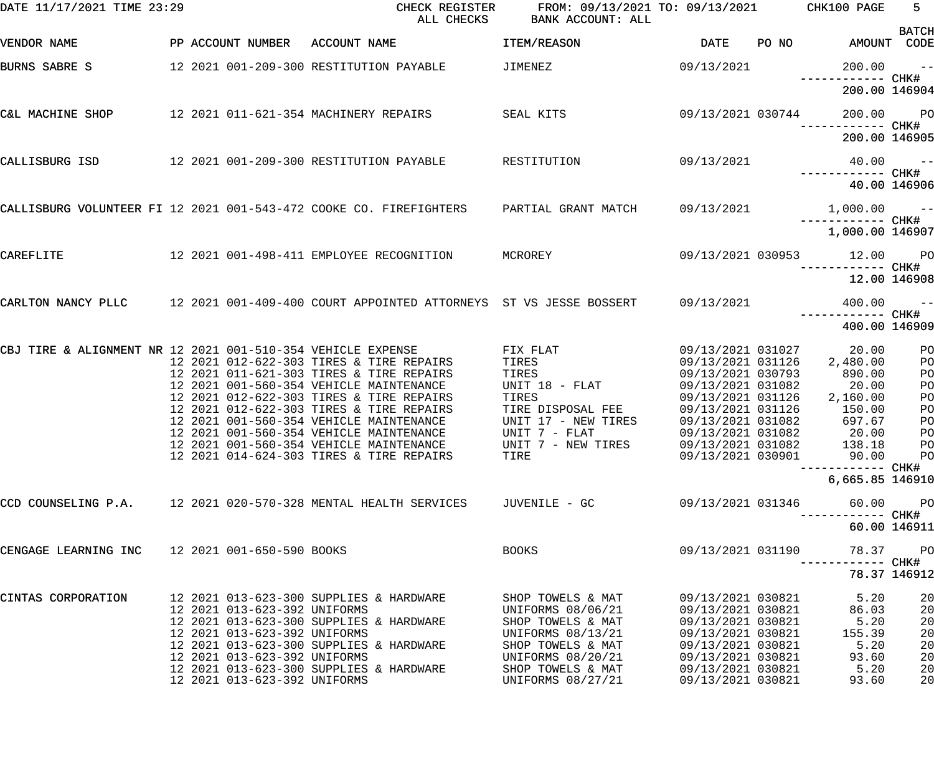| DATE 11/17/2021 TIME 23:29                                  |                   |                              | CHECK REGISTER<br>ALL CHECKS                                                         | FROM: 09/13/2021 TO: 09/13/2021<br>BANK ACCOUNT: ALL |                                        |       | CHK100 PAGE                 | $5 -$                       |
|-------------------------------------------------------------|-------------------|------------------------------|--------------------------------------------------------------------------------------|------------------------------------------------------|----------------------------------------|-------|-----------------------------|-----------------------------|
| VENDOR NAME                                                 | PP ACCOUNT NUMBER |                              | ACCOUNT NAME                                                                         | ITEM/REASON                                          | <b>DATE</b>                            | PO NO |                             | <b>BATCH</b><br>AMOUNT CODE |
| BURNS SABRE S                                               |                   |                              | 12 2021 001-209-300 RESTITUTION PAYABLE                                              | JIMENEZ                                              | 09/13/2021                             |       | 200.00<br>—————————— CHK#   | $ -$                        |
|                                                             |                   |                              |                                                                                      |                                                      |                                        |       | 200.00 146904               |                             |
| C&L MACHINE SHOP                                            |                   |                              | 12 2021 011-621-354 MACHINERY REPAIRS                                                | SEAL KITS                                            | 09/13/2021 030744                      |       | 200.00<br>------------ CHK# | <b>PO</b>                   |
|                                                             |                   |                              |                                                                                      |                                                      |                                        |       | 200.00 146905               |                             |
| CALLISBURG ISD                                              |                   |                              | 12 2021 001-209-300 RESTITUTION PAYABLE                                              | RESTITUTION                                          | 09/13/2021                             |       | 40.00                       | $\sim$ $ -$                 |
|                                                             |                   |                              |                                                                                      |                                                      |                                        |       |                             | 40.00 146906                |
|                                                             |                   |                              | CALLISBURG VOLUNTEER FI 12 2021 001-543-472 COOKE CO. FIREFIGHTERS                   | PARTIAL GRANT MATCH                                  | 09/13/2021                             |       | $1,000.00$ --               |                             |
|                                                             |                   |                              |                                                                                      |                                                      |                                        |       | 1,000.00 146907             |                             |
| CAREFLITE                                                   |                   |                              | 12 2021 001-498-411 EMPLOYEE RECOGNITION                                             | MCROREY                                              | 09/13/2021 030953                      |       | 12.00<br>------------ CHK#  | <b>PO</b>                   |
|                                                             |                   |                              |                                                                                      |                                                      |                                        |       |                             | 12.00 146908                |
|                                                             |                   |                              | CARLTON NANCY PLLC 12 2021 001-409-400 COURT APPOINTED ATTORNEYS ST VS JESSE BOSSERT |                                                      | 09/13/2021                             |       | 400.00<br>------------ CHK# | $- -$                       |
|                                                             |                   |                              |                                                                                      |                                                      |                                        |       | 400.00 146909               |                             |
| CBJ TIRE & ALIGNMENT NR 12 2021 001-510-354 VEHICLE EXPENSE |                   |                              | 12 2021 012-622-303 TIRES & TIRE REPAIRS                                             | FIX FLAT<br>TIRES                                    | 09/13/2021 031027<br>09/13/2021 031126 |       | 20.00<br>2,480.00           | PO<br>PO                    |
|                                                             |                   |                              | 12 2021 011-621-303 TIRES & TIRE REPAIRS                                             | TIRES                                                | 09/13/2021 030793                      |       | 890.00                      | PO                          |
|                                                             |                   |                              | 12 2021 001-560-354 VEHICLE MAINTENANCE                                              | UNIT 18 - FLAT                                       | 09/13/2021 031082                      |       | 20.00                       | PO                          |
|                                                             |                   |                              | 12 2021 012-622-303 TIRES & TIRE REPAIRS                                             | TIRES                                                | 09/13/2021 031126                      |       | 2,160.00                    | PO                          |
|                                                             |                   |                              | 12 2021 012-622-303 TIRES & TIRE REPAIRS                                             | TIRE DISPOSAL FEE                                    | 09/13/2021 031126                      |       | 150.00                      | PO                          |
|                                                             |                   |                              | 12 2021 001-560-354 VEHICLE MAINTENANCE                                              | UNIT 17 - NEW TIRES                                  | 09/13/2021 031082                      |       | 697.67                      | PO                          |
|                                                             |                   |                              | 12 2021 001-560-354 VEHICLE MAINTENANCE                                              | UNIT 7 - FLAT                                        | 09/13/2021 031082                      |       | 20.00                       | PO                          |
|                                                             |                   |                              | 12 2021 001-560-354 VEHICLE MAINTENANCE                                              | UNIT 7 - NEW TIRES                                   | 09/13/2021 031082                      |       | 138.18                      | $P$ O                       |
|                                                             |                   |                              | 12 2021 014-624-303 TIRES & TIRE REPAIRS                                             | TIRE                                                 | 09/13/2021 030901                      |       | 90.00                       | P <sub>O</sub>              |
|                                                             |                   |                              |                                                                                      |                                                      |                                        |       | 6,665.85 146910             |                             |
|                                                             |                   |                              | CCD COUNSELING P.A. 12 2021 020-570-328 MENTAL HEALTH SERVICES                       | JUVENILE - GC                                        | 09/13/2021 031346                      |       | 60.00                       | P <sub>O</sub>              |
|                                                             |                   |                              |                                                                                      |                                                      |                                        |       |                             | 60.00 146911                |
| CENGAGE LEARNING INC                                        |                   | 12 2021 001-650-590 BOOKS    |                                                                                      | <b>BOOKS</b>                                         | 09/13/2021 031190                      |       | 78.37<br>------ CHK#        | P <sub>O</sub>              |
|                                                             |                   |                              |                                                                                      |                                                      |                                        |       |                             | 78.37 146912                |
| CINTAS CORPORATION                                          |                   |                              | 12 2021 013-623-300 SUPPLIES & HARDWARE                                              | SHOP TOWELS & MAT                                    | 09/13/2021 030821                      |       | 5.20                        | 20                          |
|                                                             |                   | 12 2021 013-623-392 UNIFORMS |                                                                                      | UNIFORMS 08/06/21                                    | 09/13/2021 030821                      |       | 86.03                       | 20                          |
|                                                             |                   |                              | 12 2021 013-623-300 SUPPLIES & HARDWARE                                              | SHOP TOWELS & MAT                                    | 09/13/2021 030821                      |       | 5.20                        | 20                          |
|                                                             |                   | 12 2021 013-623-392 UNIFORMS |                                                                                      | UNIFORMS 08/13/21                                    | 09/13/2021 030821                      |       | 155.39                      | 20                          |
|                                                             |                   |                              | 12 2021 013-623-300 SUPPLIES & HARDWARE                                              | SHOP TOWELS & MAT                                    | 09/13/2021 030821                      |       | 5.20                        | 20                          |
|                                                             |                   | 12 2021 013-623-392 UNIFORMS | 12 2021 013-623-300 SUPPLIES & HARDWARE                                              | UNIFORMS 08/20/21<br>SHOP TOWELS & MAT               | 09/13/2021 030821<br>09/13/2021 030821 |       | 93.60<br>5.20               | 20<br>20                    |
|                                                             |                   | 12 2021 013-623-392 UNIFORMS |                                                                                      | UNIFORMS 08/27/21                                    | 09/13/2021 030821                      |       | 93.60                       | 20                          |
|                                                             |                   |                              |                                                                                      |                                                      |                                        |       |                             |                             |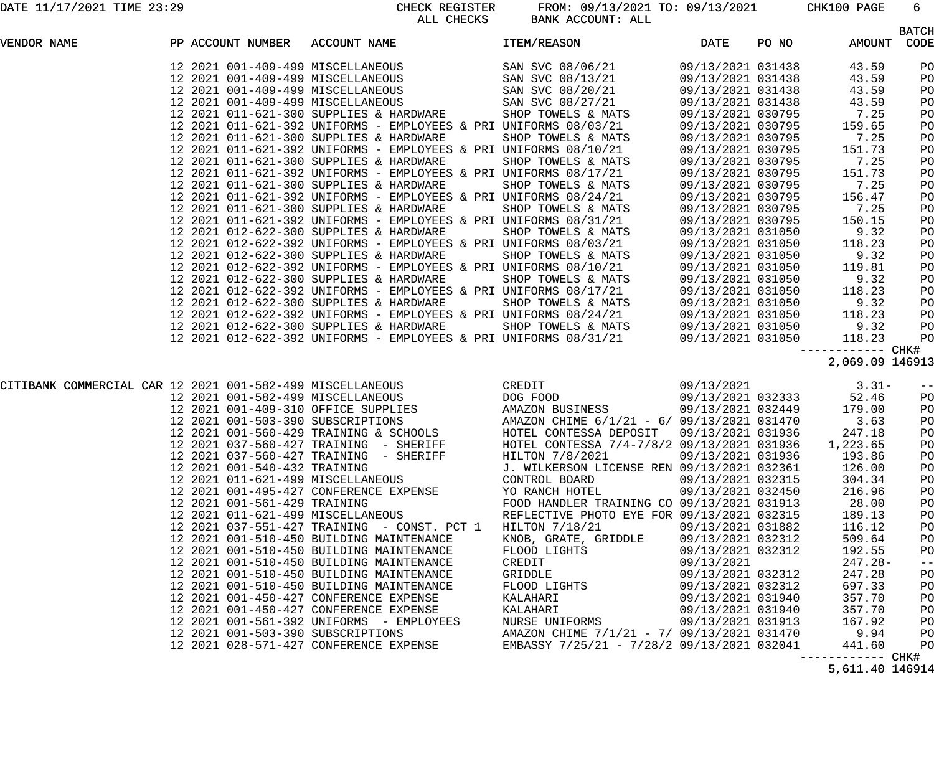DATE 11/17/2021 TIME 23:29 CHECK REGISTER FROM: 09/13/2021 TO: 09/13/2021 CHK100 PAGE 6 BANK ACCOUNT: ALL

|                    |  |                              | טיוטשנוט עעמ                                                                                                                                                                                                                                                                                                          | LAINK ACCOUNT . ALL                        |                   |       |                                    | <b>BATCH</b> |
|--------------------|--|------------------------------|-----------------------------------------------------------------------------------------------------------------------------------------------------------------------------------------------------------------------------------------------------------------------------------------------------------------------|--------------------------------------------|-------------------|-------|------------------------------------|--------------|
| <b>VENDOR NAME</b> |  |                              | PP ACCOUNT NUMBER ACCOUNT NAME                                                                                                                                                                                                                                                                                        | ITEM/REASON                                | DATE              | PO NO | AMOUNT CODE                        |              |
|                    |  |                              | $\begin{array}{cccc} 12& 2021& 001-409-499& \text{MISCELLANEOUS} & \text{SAN SVC} & 08/06/21 & 09/13/2021 & 031438 \\ 12& 2021& 001-409-499 & \text{MISCELLANEOUS} & \text{SAN SVC} & 08/13/21 & 09/13/2021 & 031438 \\ 12& 2021& 001-409-499 & \text{MISCELLANEOUS} & \text{SAN SVC} & 08/20/21 & 09/13/2021 & 0314$ |                                            |                   |       | 43.59                              | PO           |
|                    |  |                              |                                                                                                                                                                                                                                                                                                                       |                                            |                   |       | 43.59                              | PO           |
|                    |  |                              |                                                                                                                                                                                                                                                                                                                       |                                            |                   |       | 43.59                              | PO           |
|                    |  |                              |                                                                                                                                                                                                                                                                                                                       |                                            |                   |       | 43.59                              | PO           |
|                    |  |                              |                                                                                                                                                                                                                                                                                                                       |                                            |                   |       | 7.25                               | PO           |
|                    |  |                              | 12 2021 011-621-392 UNIFORMS - EMPLOYEES & PRI UNIFORMS 08/03/21                                                                                                                                                                                                                                                      |                                            | 09/13/2021 030795 |       | 159.65                             | PO           |
|                    |  |                              | 12 2021 011-621-300 SUPPLIES & HARDWARE                                                                                                                                                                                                                                                                               | SHOP TOWELS & MATS 09/13/2021 030795       |                   |       | 7.25                               | PO           |
|                    |  |                              | 12 2021 011-621-392 UNIFORMS - EMPLOYEES & PRI UNIFORMS 08/10/21<br>12 2021 011-621-392 UNIFORMS - EMPLOYEES & PRI UNIFORMS 08/10/21<br>12 2021 011-621-300 SUPPLIES & HARDWARE SHOP TOWELS & MATS 09/13/2021 030795                                                                                                  |                                            |                   |       | 151.73                             | PO           |
|                    |  |                              |                                                                                                                                                                                                                                                                                                                       |                                            |                   |       | 7.25                               | PO           |
|                    |  |                              | 12 2021 011-621-392 UNIFORMS - EMPLOYEES & PRI UNIFORMS 08/17/21 09/13/2021 030795<br>12 2021 011-621-300 SUPPLIES & HARDWARE SHOP TOWELS & MATS 08/13/2021 030795                                                                                                                                                    |                                            |                   |       | 151.73                             | PO           |
|                    |  |                              |                                                                                                                                                                                                                                                                                                                       |                                            |                   |       | 7.25                               | PO           |
|                    |  |                              | 12 2021 011-621-392 UNIFORMS - EMPLOYEES & PRI UNIFORMS 08/24/21                                                                                                                                                                                                                                                      |                                            | 09/13/2021 030795 |       | 156.47                             | PO           |
|                    |  |                              | 12 2021 011-621-300 SUPPLIES & HARDWARE                                                                                                                                                                                                                                                                               | SHOP TOWELS & MATS 09/13/2021 030795       |                   |       | 7.25                               | PO           |
|                    |  |                              | 12 2021 011-621-392 UNIFORMS - EMPLOYEES & PRI UNIFORMS 08/31/21                                                                                                                                                                                                                                                      |                                            | 09/13/2021 030795 |       | 150.15                             | PO           |
|                    |  |                              | 12 2021 012-622-300 SUPPLIES & HARDWARE                                                                                                                                                                                                                                                                               | SHOP TOWELS & MATS 09/13/2021 031050       |                   |       | 9.32                               | PO           |
|                    |  |                              | 12 2021 012-622-392 UNIFORMS - EMPLOYEES & PRI UNIFORMS 08/03/21                                                                                                                                                                                                                                                      |                                            | 09/13/2021 031050 |       | 118.23                             | PO           |
|                    |  |                              | 12 2021 012-622-300 SUPPLIES & HARDWARE                                                                                                                                                                                                                                                                               | SHOP TOWELS & MATS                         | 09/13/2021 031050 |       | 9.32                               | PO           |
|                    |  |                              | 12 2021 012-622-392 UNIFORMS - EMPLOYEES & PRI UNIFORMS 08/10/21                                                                                                                                                                                                                                                      |                                            | 09/13/2021 031050 |       | 119.81                             | PO           |
|                    |  |                              | 12 2021 012-622-300 SUPPLIES & HARDWARE                                                                                                                                                                                                                                                                               | SHOP TOWELS & MATS                         | 09/13/2021 031050 |       | 9.32                               | PO           |
|                    |  |                              | 12 2021 012-622-392 UNIFORMS - EMPLOYEES & PRI UNIFORMS 08/17/21                                                                                                                                                                                                                                                      |                                            | 09/13/2021 031050 |       | 118.23                             | PO           |
|                    |  |                              |                                                                                                                                                                                                                                                                                                                       |                                            |                   |       | 9.32                               | PO           |
|                    |  |                              |                                                                                                                                                                                                                                                                                                                       |                                            |                   |       | 118.23                             | PO           |
|                    |  |                              |                                                                                                                                                                                                                                                                                                                       |                                            |                   |       | 9.32                               | PO           |
|                    |  |                              | 12 2021 012-622-300 SUPPLIES & HARDWARE<br>12 2021 012-622-392 UNIFORMS - EMPLOYEES & PRI UNIFORMS 08/24/21<br>12 2021 012-622-392 UNIFORMS - EMPLOYEES & PRI UNIFORMS 08/24/21<br>12 2021 012-622-392 UNIFORMS - EMPLOYEES & PRI UN                                                                                  |                                            |                   |       | 118.23                             | PO           |
|                    |  |                              |                                                                                                                                                                                                                                                                                                                       |                                            |                   |       | —————————— CHK#<br>2,069.09 146913 |              |
|                    |  |                              |                                                                                                                                                                                                                                                                                                                       |                                            |                   |       |                                    |              |
|                    |  |                              | CITIBANK COMMERCIAL CAR 12 2021 001-582-499 MISCELLANEOUS<br>12 2021 001-582-499 MISCELLANEOUS<br>12 2021 001-409-310 OFFICE SUPPLIES<br>12 2021 001-409-310 OFFICE SUPPLIES<br>12 2021 001-560-429 TRAINING & SCHOOLS<br>12 2021 001-56                                                                              |                                            |                   |       | $3.31-$                            | $- -$        |
|                    |  |                              |                                                                                                                                                                                                                                                                                                                       |                                            | 09/13/2021 032333 |       | 52.46                              | PO           |
|                    |  |                              |                                                                                                                                                                                                                                                                                                                       |                                            | 09/13/2021 032449 |       | 179.00                             | PO           |
|                    |  |                              |                                                                                                                                                                                                                                                                                                                       |                                            |                   |       | 3.63                               | PO           |
|                    |  |                              |                                                                                                                                                                                                                                                                                                                       |                                            |                   |       | 247.18                             | PO           |
|                    |  |                              |                                                                                                                                                                                                                                                                                                                       |                                            |                   |       | 1,223.65                           | PO           |
|                    |  |                              | 12  2021  037-560-427  TRAINING - SHERIFF                                                                                                                                                                                                                                                                             | HILTON 7/8/2021                            | 09/13/2021 031936 |       | 193.86                             | PO           |
|                    |  | 12 2021 001-540-432 TRAINING |                                                                                                                                                                                                                                                                                                                       | J. WILKERSON LICENSE REN 09/13/2021 032361 |                   |       | 126.00                             | PO           |
|                    |  |                              | 12 2021 011-621-499 MISCELLANEOUS                                                                                                                                                                                                                                                                                     | CONTROL BOARD                              | 09/13/2021 032315 |       | 304.34                             | PO           |
|                    |  |                              | 12 2021 001-495-427 CONFERENCE EXPENSE                                                                                                                                                                                                                                                                                | YO RANCH HOTEL                             | 09/13/2021 032450 |       | 216.96                             | PO           |
|                    |  | 12 2021 001-561-429 TRAINING |                                                                                                                                                                                                                                                                                                                       | FOOD HANDLER TRAINING CO 09/13/2021 031913 |                   |       | 28.00                              | PO           |
|                    |  |                              | 12 2021 011-621-499 MISCELLANEOUS                                                                                                                                                                                                                                                                                     | REFLECTIVE PHOTO EYE FOR 09/13/2021 032315 |                   |       | 189.13                             | PO           |
|                    |  |                              | 12  2021  037-551-427  TRAINING - CONST. PCT 1                                                                                                                                                                                                                                                                        | HILTON 7/18/21                             | 09/13/2021 031882 |       | 116.12                             | PO           |
|                    |  |                              | 12 2021 001-510-450 BUILDING MAINTENANCE                                                                                                                                                                                                                                                                              | KNOB, GRATE, GRIDDLE                       | 09/13/2021 032312 |       | 509.64                             | PO           |
|                    |  |                              | 12 2021 001-510-450 BUILDING MAINTENANCE                                                                                                                                                                                                                                                                              | FLOOD LIGHTS                               | 09/13/2021 032312 |       | 192.55                             | PO           |
|                    |  |                              | 12 2021 001-510-450 BUILDING MAINTENANCE                                                                                                                                                                                                                                                                              | CREDIT                                     | 09/13/2021        |       | $247.28-$                          | $ -$         |
|                    |  |                              | 12 2021 001-510-450 BUILDING MAINTENANCE                                                                                                                                                                                                                                                                              | GRIDDLE                                    | 09/13/2021 032312 |       | 247.28                             | PO           |
|                    |  |                              | 12 2021 001-510-450 BUILDING MAINTENANCE                                                                                                                                                                                                                                                                              | FLOOD LIGHTS                               | 09/13/2021 032312 |       | 697.33                             | PO           |
|                    |  |                              | 12 2021 001-450-427 CONFERENCE EXPENSE                                                                                                                                                                                                                                                                                | KALAHARI                                   | 09/13/2021 031940 |       | 357.70                             | PO           |
|                    |  |                              | 12 2021 001-450-427 CONFERENCE EXPENSE                                                                                                                                                                                                                                                                                | KALAHARI                                   | 09/13/2021 031940 |       | 357.70                             | PO           |
|                    |  |                              | 12 2021 001-561-392 UNIFORMS - EMPLOYEES                                                                                                                                                                                                                                                                              | NURSE UNIFORMS                             | 09/13/2021 031913 |       | 167.92                             | PO           |
|                    |  |                              | 12 2021 001-503-390 SUBSCRIPTIONS                                                                                                                                                                                                                                                                                     | AMAZON CHIME 7/1/21 - 7/ 09/13/2021 031470 |                   |       | 9.94                               | PO           |
|                    |  |                              | 12 2021 028-571-427 CONFERENCE EXPENSE                                                                                                                                                                                                                                                                                | EMBASSY 7/25/21 - 7/28/2 09/13/2021 032041 |                   |       | 441.60                             | PO           |
|                    |  |                              |                                                                                                                                                                                                                                                                                                                       |                                            |                   |       |                                    | CHK#         |
|                    |  |                              |                                                                                                                                                                                                                                                                                                                       |                                            |                   |       | 5,611.40 146914                    |              |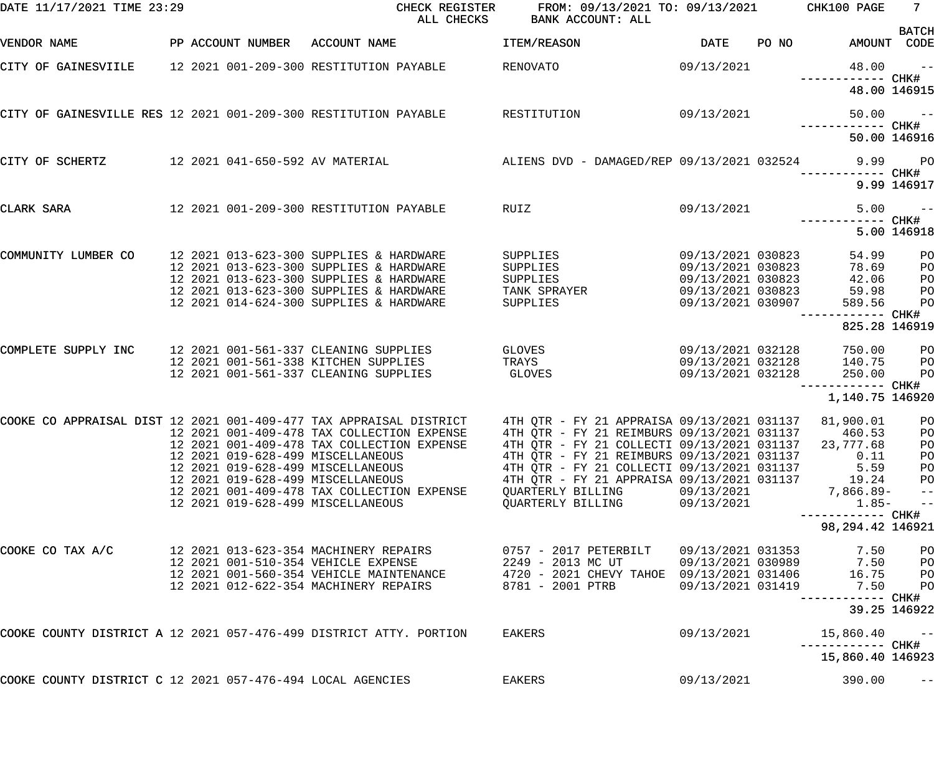| DATE 11/17/2021 TIME 23:29                                      |                                                                               | CHECK REGISTER<br>ALL CHECKS                                                                    | FROM: 09/13/2021 TO: 09/13/2021<br>BANK ACCOUNT: ALL                                               |                                        |       | CHK100 PAGE                | 7 <sup>7</sup><br><b>BATCH</b> |
|-----------------------------------------------------------------|-------------------------------------------------------------------------------|-------------------------------------------------------------------------------------------------|----------------------------------------------------------------------------------------------------|----------------------------------------|-------|----------------------------|--------------------------------|
| VENDOR NAME                                                     | PP ACCOUNT NUMBER ACCOUNT NAME                                                |                                                                                                 | ITEM/REASON                                                                                        | DATE                                   | PO NO | AMOUNT CODE                |                                |
| CITY OF GAINESVIILE                                             |                                                                               | 12 2021 001-209-300 RESTITUTION PAYABLE                                                         | <b>RENOVATO</b>                                                                                    | 09/13/2021                             |       | 48.00                      | $ -$<br>CHK#                   |
|                                                                 |                                                                               |                                                                                                 |                                                                                                    |                                        |       |                            | 48.00 146915                   |
| CITY OF GAINESVILLE RES 12 2021 001-209-300 RESTITUTION PAYABLE |                                                                               |                                                                                                 | RESTITUTION                                                                                        | 09/13/2021                             |       | 50.00<br>------------ CHK# | $ -$                           |
|                                                                 |                                                                               |                                                                                                 |                                                                                                    |                                        |       |                            | 50.00 146916                   |
| CITY OF SCHERTZ                                                 |                                                                               | 12 2021 041-650-592 AV MATERIAL             ALIENS DVD - DAMAGED/REP 09/13/2021 032524     9.99 |                                                                                                    |                                        |       |                            | $P$ O<br>CHK#                  |
|                                                                 |                                                                               |                                                                                                 |                                                                                                    |                                        |       |                            | 9.99 146917                    |
| CLARK SARA                                                      |                                                                               | 12 2021 001-209-300 RESTITUTION PAYABLE<br>RUIZ                                                 |                                                                                                    | 09/13/2021                             |       | 5.00<br>---------          | $ -$<br>CHK#                   |
|                                                                 |                                                                               |                                                                                                 |                                                                                                    |                                        |       |                            | 5.00 146918                    |
| COMMUNITY LUMBER CO                                             |                                                                               | 12 2021 013-623-300 SUPPLIES & HARDWARE<br>12 2021 013-623-300 SUPPLIES & HARDWARE              | SUPPLIES<br>SUPPLIES                                                                               | 09/13/2021 030823<br>09/13/2021 030823 |       | 54.99<br>78.69             | PO<br>PO                       |
|                                                                 |                                                                               | 12 2021 013-623-300 SUPPLIES & HARDWARE                                                         | SUPPLIES                                                                                           | 09/13/2021 030823                      |       | 42.06                      | PO                             |
|                                                                 |                                                                               | 12 2021 013-623-300 SUPPLIES & HARDWARE                                                         | TANK SPRAYER                                                                                       | 09/13/2021 030823                      |       | 59.98                      | PO                             |
|                                                                 |                                                                               | 12 2021 014-624-300 SUPPLIES & HARDWARE                                                         | SUPPLIES                                                                                           | 09/13/2021 030907                      |       | 589.56                     | PO<br>CHK#                     |
|                                                                 |                                                                               |                                                                                                 |                                                                                                    |                                        |       | 825.28 146919              |                                |
| COMPLETE SUPPLY INC                                             | 12 2021 001-561-337 CLEANING SUPPLIES<br>12 2021 001-561-338 KITCHEN SUPPLIES |                                                                                                 | <b>GLOVES Example 2019</b><br>TRAYS                                                                | 09/13/2021 032128<br>09/13/2021 032128 |       | 750.00<br>140.75           | PO                             |
|                                                                 | 12 2021 001-561-337 CLEANING SUPPLIES                                         |                                                                                                 | <b>GLOVES</b>                                                                                      | 09/13/2021 032128                      |       | 250.00                     | PO<br>PO                       |
|                                                                 |                                                                               |                                                                                                 |                                                                                                    |                                        |       | ------------ CHK#          |                                |
|                                                                 |                                                                               |                                                                                                 |                                                                                                    |                                        |       | 1,140.75 146920            |                                |
|                                                                 |                                                                               | COOKE CO APPRAISAL DIST 12 2021 001-409-477 TAX APPRAISAL DISTRICT                              | 4TH QTR - FY 21 APPRAISA 09/13/2021 031137                                                         |                                        |       | 81,900.01                  | P <sub>O</sub>                 |
|                                                                 |                                                                               | 12 2021 001-409-478 TAX COLLECTION EXPENSE<br>12 2021 001-409-478 TAX COLLECTION EXPENSE        | 4TH QTR - FY 21 REIMBURS 09/13/2021 031137<br>4TH QTR - FY 21 COLLECTI 09/13/2021 031137 23,777.68 |                                        |       | 460.53                     | P <sub>O</sub><br>PO           |
|                                                                 | 12 2021 019-628-499 MISCELLANEOUS                                             |                                                                                                 | 4TH QTR - FY 21 REIMBURS 09/13/2021 031137                                                         |                                        |       | 0.11                       | PO                             |
|                                                                 | 12 2021 019-628-499 MISCELLANEOUS                                             |                                                                                                 | 4TH QTR - FY 21 COLLECTI 09/13/2021 031137                                                         |                                        |       | 5.59                       | PO                             |
|                                                                 | 12 2021 019-628-499 MISCELLANEOUS                                             |                                                                                                 | 4TH QTR - FY 21 APPRAISA 09/13/2021 031137                                                         |                                        |       | 19.24                      | PO                             |
|                                                                 |                                                                               | 12 2021 001-409-478 TAX COLLECTION EXPENSE                                                      | QUARTERLY BILLING                                                                                  | 09/13/2021                             |       | 7,866.89-                  | $ -$                           |
|                                                                 | 12 2021 019-628-499 MISCELLANEOUS                                             |                                                                                                 | QUARTERLY BILLING                                                                                  | 09/13/2021                             |       | $1.85-$<br>--------- CHK#  | $- -$                          |
|                                                                 |                                                                               |                                                                                                 |                                                                                                    |                                        |       | 98, 294. 42 146921         |                                |
| COOKE CO TAX A/C                                                | 12 2021 013-623-354 MACHINERY REPAIRS<br>12 2021 001-510-354 VEHICLE EXPENSE  |                                                                                                 | 0757 - 2017 PETERBILT<br>2249 - 2013 MC UT                                                         | 09/13/2021 031353                      |       | 7.50<br>7.50               | PO                             |
|                                                                 |                                                                               | 12 2021 001-560-354 VEHICLE MAINTENANCE                                                         | 4720 - 2021 CHEVY TAHOE 09/13/2021 031406                                                          | 09/13/2021 030989                      |       | 16.75                      | PO<br>PO                       |
|                                                                 | 12 2021 012-622-354 MACHINERY REPAIRS                                         |                                                                                                 | 8781 - 2001 PTRB                                                                                   | 09/13/2021 031419                      |       | 7.50<br>------             | PO<br>CHK#                     |
|                                                                 |                                                                               |                                                                                                 |                                                                                                    |                                        |       |                            | 39.25 146922                   |
|                                                                 |                                                                               | COOKE COUNTY DISTRICT A 12 2021 057-476-499 DISTRICT ATTY. PORTION                              | EAKERS                                                                                             | 09/13/2021                             |       | 15,860.40                  | $- -$<br>CHK#                  |
|                                                                 |                                                                               |                                                                                                 |                                                                                                    |                                        |       | 15,860.40 146923           |                                |
| COOKE COUNTY DISTRICT C 12 2021 057-476-494 LOCAL AGENCIES      |                                                                               |                                                                                                 | EAKERS                                                                                             | 09/13/2021                             |       | 390.00                     | $- -$                          |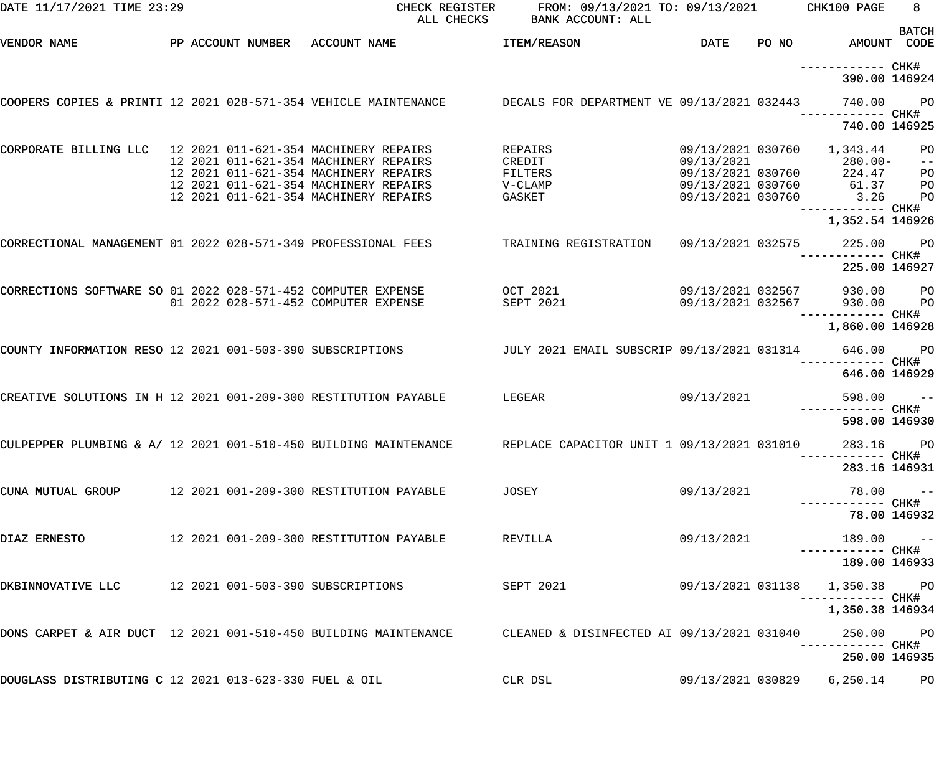| DATE 11/17/2021 TIME 23:29                                      |                                | CHECK REGISTER<br>ALL CHECKS                                                                                | FROM: 09/13/2021 TO: 09/13/2021<br>BANK ACCOUNT: ALL |                                 |       | CHK100 PAGE                          | 8               |
|-----------------------------------------------------------------|--------------------------------|-------------------------------------------------------------------------------------------------------------|------------------------------------------------------|---------------------------------|-------|--------------------------------------|-----------------|
| VENDOR NAME                                                     | PP ACCOUNT NUMBER ACCOUNT NAME |                                                                                                             | ITEM/REASON                                          | DATE                            | PO NO | AMOUNT CODE                          | <b>BATCH</b>    |
|                                                                 |                                |                                                                                                             |                                                      |                                 |       | ------------ CHK#<br>390.00 146924   |                 |
| COOPERS COPIES & PRINTI 12 2021 028-571-354 VEHICLE MAINTENANCE |                                |                                                                                                             | DECALS FOR DEPARTMENT VE 09/13/2021 032443           |                                 |       | 740.00                               | P <sub>O</sub>  |
|                                                                 |                                |                                                                                                             |                                                      |                                 |       | 740.00 146925                        |                 |
| CORPORATE BILLING LLC 12 2021 011-621-354 MACHINERY REPAIRS     |                                | 12 2021 011-621-354 MACHINERY REPAIRS                                                                       | REPAIRS<br>CREDIT                                    | 09/13/2021 030760<br>09/13/2021 |       | 1,343.44<br>$280.00 -$               | PO<br>$- -$     |
|                                                                 |                                | 12 2021 011-621-354 MACHINERY REPAIRS                                                                       | FILTERS                                              | 09/13/2021 030760               |       | 224.47                               | PO              |
|                                                                 |                                | 12 2021 011-621-354 MACHINERY REPAIRS                                                                       | V-CLAMP                                              |                                 |       | 09/13/2021 030760 61.37              | PO              |
|                                                                 |                                | 12 2021 011-621-354 MACHINERY REPAIRS                                                                       | GASKET                                               | 09/13/2021 030760               |       | 3.26                                 | P <sub>O</sub>  |
|                                                                 |                                |                                                                                                             |                                                      |                                 |       | 1,352.54 146926                      |                 |
| CORRECTIONAL MANAGEMENT 01 2022 028-571-349 PROFESSIONAL FEES   |                                |                                                                                                             | TRAINING REGISTRATION                                | 09/13/2021 032575               |       | 225.00 PO                            |                 |
|                                                                 |                                |                                                                                                             |                                                      |                                 |       | 225.00 146927                        |                 |
| CORRECTIONS SOFTWARE SO 01 2022 028-571-452 COMPUTER EXPENSE    |                                |                                                                                                             | OCT 2021                                             | 09/13/2021 032567               |       | 930.00 PO                            |                 |
|                                                                 |                                | 01 2022 028-571-452 COMPUTER EXPENSE                                                                        | SEPT 2021                                            | 09/13/2021 032567               |       | 930.00                               | <b>PO</b>       |
|                                                                 |                                |                                                                                                             |                                                      |                                 |       | 1,860.00 146928                      |                 |
| COUNTY INFORMATION RESO 12 2021 001-503-390 SUBSCRIPTIONS       |                                |                                                                                                             | JULY 2021 EMAIL SUBSCRIP 09/13/2021 031314           |                                 |       | 646.00 PO                            |                 |
|                                                                 |                                |                                                                                                             |                                                      |                                 |       | 646.00 146929                        |                 |
| CREATIVE SOLUTIONS IN H 12 2021 001-209-300 RESTITUTION PAYABLE |                                |                                                                                                             | LEGEAR                                               | 09/13/2021                      |       | $598.00 - -$                         |                 |
|                                                                 |                                |                                                                                                             |                                                      |                                 |       | 598.00 146930                        |                 |
|                                                                 |                                | CULPEPPER PLUMBING & A/ 12 2021 001-510-450 BUILDING MAINTENANCE REPLACE CAPACITOR UNIT 1 09/13/2021 031010 |                                                      |                                 |       | 283.16 PO                            |                 |
|                                                                 |                                |                                                                                                             |                                                      |                                 |       | ------------ CHK#<br>283.16 146931   |                 |
| CUNA MUTUAL GROUP 12 2021 001-209-300 RESTITUTION PAYABLE       |                                |                                                                                                             | JOSEY                                                | 09/13/2021                      |       | $78.00 - -$                          |                 |
|                                                                 |                                |                                                                                                             |                                                      |                                 |       | 78.00 146932                         |                 |
| DIAZ ERNESTO                                                    |                                | 12  2021  001-209-300 RESTITUTION PAYABLE                                                                   | REVILLA                                              | 09/13/2021                      |       | $189.00 - -$                         |                 |
|                                                                 |                                |                                                                                                             |                                                      |                                 |       | ------------ CHK#<br>189.00 146933   |                 |
| DKBINNOVATIVE LLC 12 2021 001-503-390 SUBSCRIPTIONS             |                                |                                                                                                             | SEPT 2021                                            |                                 |       | 09/13/2021 031138 1,350.38 PO        |                 |
|                                                                 |                                |                                                                                                             |                                                      |                                 |       | ------------ CHK#<br>1,350.38 146934 |                 |
| DONS CARPET & AIR DUCT 12 2021 001-510-450 BUILDING MAINTENANCE |                                |                                                                                                             | CLEANED & DISINFECTED AI 09/13/2021 031040           |                                 |       | 250.00 PO                            |                 |
|                                                                 |                                |                                                                                                             |                                                      |                                 |       | 250.00 146935                        |                 |
| DOUGLASS DISTRIBUTING C 12 2021 013-623-330 FUEL & OIL          |                                |                                                                                                             | CLR DSL                                              | 09/13/2021 030829               |       | 6,250.14                             | PO <sub>1</sub> |
|                                                                 |                                |                                                                                                             |                                                      |                                 |       |                                      |                 |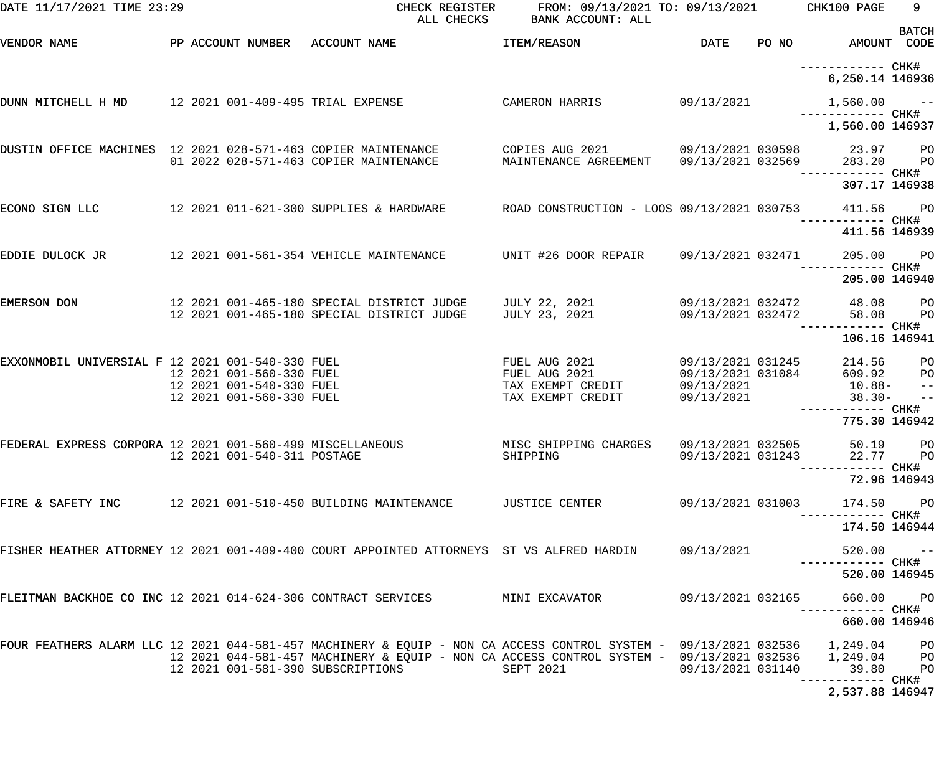| DATE 11/17/2021 TIME 23:29                                             |                             |                                                                                                                                                                                                                                                   | CHECK REGISTER FROM: 09/13/2021 TO: 09/13/2021 CHK100 PAGE<br>ALL CHECKS BANK ACCOUNT: ALL                   |                   |                                                                       | 9                           |
|------------------------------------------------------------------------|-----------------------------|---------------------------------------------------------------------------------------------------------------------------------------------------------------------------------------------------------------------------------------------------|--------------------------------------------------------------------------------------------------------------|-------------------|-----------------------------------------------------------------------|-----------------------------|
| VENDOR NAME                                                            |                             | PP ACCOUNT NUMBER ACCOUNT NAME THEM/REASON                                                                                                                                                                                                        |                                                                                                              |                   | DATE PO NO AMOUNT CODE                                                | <b>BATCH</b>                |
|                                                                        |                             |                                                                                                                                                                                                                                                   |                                                                                                              |                   | 6,250.14 146936                                                       |                             |
| DUNN MITCHELL H MD 12 2021 001-409-495 TRIAL EXPENSE                   |                             |                                                                                                                                                                                                                                                   | CAMERON HARRIS                                                                                               | 09/13/2021        | $1,560.00 - -$                                                        |                             |
|                                                                        |                             |                                                                                                                                                                                                                                                   |                                                                                                              |                   | 1,560.00 146937                                                       |                             |
|                                                                        |                             | DUSTIN OFFICE MACHINES 12 2021 028-571-463 COPIER MAINTENANCE               COPIES AUG 2021<br>01 2022 028-571-463 COPIER MAINTENANCE                                                                                                             |                                                                                                              |                   | 09/13/2021 030598 23.97 PO                                            |                             |
|                                                                        |                             |                                                                                                                                                                                                                                                   |                                                                                                              |                   | 307.17 146938                                                         |                             |
| ECONO SIGN LLC                                                         |                             |                                                                                                                                                                                                                                                   |                                                                                                              |                   | 411.56 PO                                                             |                             |
|                                                                        |                             |                                                                                                                                                                                                                                                   |                                                                                                              |                   | 411.56 146939                                                         |                             |
| EDDIE DULOCK JR                                                        |                             | 12 2021 001-561-354 VEHICLE MAINTENANCE       UNIT #26 DOOR REPAIR     09/13/2021 032471                                                                                                                                                          |                                                                                                              |                   | 205.00 PO                                                             |                             |
|                                                                        |                             |                                                                                                                                                                                                                                                   |                                                                                                              |                   | 205.00 146940                                                         |                             |
| EMERSON DON                                                            |                             | 12 2021 001-465-180 SPECIAL DISTRICT JUDGE     JULY 22, 2021             09/13/2021 032472         48.08     PO<br>12 2021 001-465-180 SPECIAL DISTRICT JUDGE                                                                                     | JULY 23, 2021                                                                                                |                   | 09/13/2021 032472 58.08<br>------------ CHK#                          | <b>PO</b>                   |
|                                                                        |                             |                                                                                                                                                                                                                                                   |                                                                                                              |                   | 106.16 146941                                                         |                             |
| EXXONMOBIL UNIVERSIAL F 12 2021 001-540-330 FUEL                       | 12 2021 001-560-330 FUEL    |                                                                                                                                                                                                                                                   | FUEL AUG 2021 09/13/2021 031245<br>FUEL AUG 2021 09/13/2021 031084<br>TAX EXEMPT CREDIT<br>TAX EXEMPT CREDIT |                   | 214.56 PO<br>609.92 PO<br>$09/13/2021$ 10.88- --<br>09/13/2021 38.30- | $\rightarrow$ $\rightarrow$ |
|                                                                        |                             |                                                                                                                                                                                                                                                   |                                                                                                              |                   | 775.30 146942                                                         |                             |
| FEDERAL EXPRESS CORPORA 12 2021 001-560-499 MISCELLANEOUS              | 12 2021 001-540-311 POSTAGE |                                                                                                                                                                                                                                                   | MISC SHIPPING CHARGES 09/13/2021 032505<br>SHIPPING                                                          | 09/13/2021 031243 | 50.19                                                                 | $P$ O<br>22.77 PO           |
|                                                                        |                             |                                                                                                                                                                                                                                                   |                                                                                                              |                   |                                                                       | 72.96 146943                |
| FIRE & SAFETY INC $12\ 2021\ 001-510-450\ \text{BULDDING MAINTENANCE}$ |                             |                                                                                                                                                                                                                                                   | JUSTICE CENTER                                                                                               | 09/13/2021 031003 | 174.50                                                                | <b>PO</b>                   |
|                                                                        |                             |                                                                                                                                                                                                                                                   |                                                                                                              |                   | 174.50 146944                                                         |                             |
|                                                                        |                             | FISHER HEATHER ATTORNEY 12 2021 001-409-400 COURT APPOINTED ATTORNEYS ST VS ALFRED HARDIN                                                                                                                                                         |                                                                                                              | 09/13/2021        | 520.00                                                                | $\sim$ $ -$                 |
|                                                                        |                             |                                                                                                                                                                                                                                                   |                                                                                                              |                   | 520.00 146945                                                         |                             |
|                                                                        |                             | FLEITMAN BACKHOE CO INC 12 2021 014-624-306 CONTRACT SERVICES            MINI EXCAVATOR                                                                                                                                                           |                                                                                                              | 09/13/2021 032165 | 660.00<br>----------- CHK#                                            | <b>PO</b>                   |
|                                                                        |                             |                                                                                                                                                                                                                                                   |                                                                                                              |                   | 660.00 146946                                                         |                             |
|                                                                        |                             | FOUR FEATHERS ALARM LLC 12 2021 044-581-457 MACHINERY & EQUIP - NON CA ACCESS CONTROL SYSTEM - 09/13/2021 032536<br>12 2021 044-581-457 MACHINERY & EQUIP - NON CA ACCESS CONTROL SYSTEM - 09/13/2021 032536<br>12 2021 001-581-390 SUBSCRIPTIONS | SEPT 2021                                                                                                    | 09/13/2021 031140 | 1,249.04<br>1,249.04 PO<br>39.80                                      | <b>PO</b><br>$P$ O          |
|                                                                        |                             |                                                                                                                                                                                                                                                   |                                                                                                              |                   | 2,537.88 146947                                                       |                             |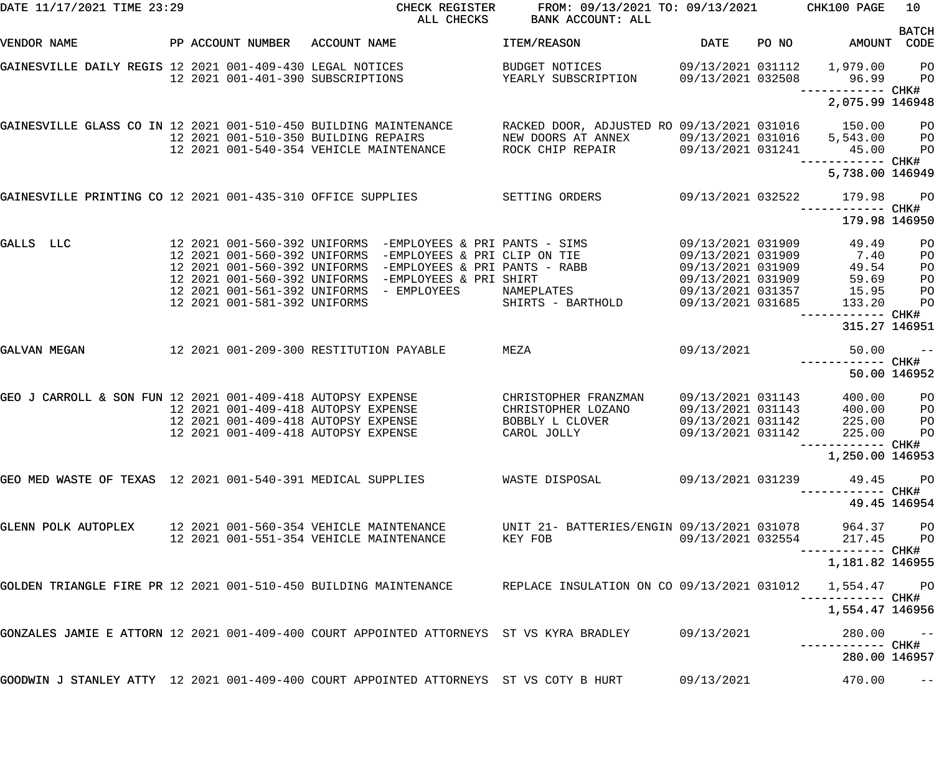| DATE 11/17/2021 TIME 23:29                                       |                              | CHECK REGISTER<br>ALL CHECKS                                                                                            | FROM: 09/13/2021 TO: 09/13/2021<br>BANK ACCOUNT: ALL                    |                                        | CHK100 PAGE                                           | 10 <sub>1</sub>              |
|------------------------------------------------------------------|------------------------------|-------------------------------------------------------------------------------------------------------------------------|-------------------------------------------------------------------------|----------------------------------------|-------------------------------------------------------|------------------------------|
| VENDOR NAME                                                      |                              | PP ACCOUNT NUMBER ACCOUNT NAME                                                                                          | ITEM/REASON                                                             | DATE                                   | PO NO AMOUNT CODE                                     | <b>BATCH</b>                 |
| GAINESVILLE DAILY REGIS 12 2021 001-409-430 LEGAL NOTICES        |                              | 12 2021 001-401-390 SUBSCRIPTIONS                                                                                       | BUDGET NOTICES<br>YEARLY SUBSCRIPTION                                   |                                        | 09/13/2021 031112 1,979.00<br>09/13/2021 032508 96.99 | PO<br><b>PO</b>              |
|                                                                  |                              |                                                                                                                         |                                                                         |                                        | ------------ CHK#<br>2,075.99 146948                  |                              |
| GAINESVILLE GLASS CO IN 12 2021 001-510-450 BUILDING MAINTENANCE |                              | 12 2021 001-510-350 BUILDING REPAIRS                                                                                    | RACKED DOOR, ADJUSTED RO 09/13/2021 031016 150.00<br>NEW DOORS AT ANNEX |                                        | 09/13/2021 031016 5,543.00                            | $P$ O<br>$P$ O               |
|                                                                  |                              | 12 2021 001-540-354 VEHICLE MAINTENANCE ROCK CHIP REPAIR 69/13/2021 031241                                              |                                                                         |                                        | 45.00<br>------------ CHK#                            | P <sub>O</sub>               |
|                                                                  |                              |                                                                                                                         |                                                                         |                                        | 5,738.00 146949                                       |                              |
|                                                                  |                              | GAINESVILLE PRINTING CO 12 2021 001-435-310 OFFICE SUPPLIES SETTING ORDERS                                              |                                                                         |                                        | 09/13/2021 032522 179.98<br>------------ CHK#         | $P$ O                        |
|                                                                  |                              |                                                                                                                         |                                                                         |                                        | 179.98 146950                                         |                              |
| GALLS LLC                                                        |                              | 12 2021 001-560-392 UNIFORMS -EMPLOYEES & PRI PANTS - SIMS<br>12 2021 001-560-392 UNIFORMS -EMPLOYEES & PRI CLIP ON TIE |                                                                         | 09/13/2021 031909<br>09/13/2021 031909 | 49.49<br>7.40                                         | PO<br>PO                     |
|                                                                  |                              | 12 2021 001-560-392 UNIFORMS -EMPLOYEES & PRI PANTS - RABB                                                              |                                                                         | 09/13/2021 031909                      | 49.54                                                 | PO                           |
|                                                                  |                              | 12 2021 001-560-392 UNIFORMS -EMPLOYEES & PRI SHIRT                                                                     |                                                                         | 09/13/2021 031909                      | 59.69                                                 | PO                           |
|                                                                  |                              | 12 2021 001-561-392 UNIFORMS - EMPLOYEES                                                                                | NAMEPLATES                                                              | 09/13/2021 031357                      | 15.95                                                 | PO                           |
|                                                                  | 12 2021 001-581-392 UNIFORMS |                                                                                                                         | SHIRTS - BARTHOLD                                                       | 09/13/2021 031685                      | 133.20                                                | P <sub>O</sub><br>----- CHK# |
|                                                                  |                              |                                                                                                                         |                                                                         |                                        | 315.27 146951                                         |                              |
| GALVAN MEGAN                                                     |                              | 12 2021 001-209-300 RESTITUTION PAYABLE                                                                                 | MEZA                                                                    | 09/13/2021                             | 50.00<br>------------ CHK#                            | $ -$                         |
|                                                                  |                              |                                                                                                                         |                                                                         |                                        |                                                       | 50.00 146952                 |
| GEO J CARROLL & SON FUN 12 2021 001-409-418 AUTOPSY EXPENSE      |                              |                                                                                                                         | CHRISTOPHER FRANZMAN                                                    | 09/13/2021 031143                      | 400.00                                                | PO                           |
|                                                                  |                              | 12 2021 001-409-418 AUTOPSY EXPENSE                                                                                     | CHRISTOPHER LOZANO                                                      | 09/13/2021 031143                      | 400.00                                                | PO                           |
|                                                                  |                              | 12 2021 001-409-418 AUTOPSY EXPENSE                                                                                     | BOBBLY L CLOVER                                                         | 09/13/2021 031142                      | 225.00                                                | P <sub>O</sub>               |
|                                                                  |                              | 12 2021 001-409-418 AUTOPSY EXPENSE                                                                                     | CAROL JOLLY                                                             | 09/13/2021 031142                      | 225.00                                                | PO                           |
|                                                                  |                              |                                                                                                                         |                                                                         |                                        |                                                       |                              |
|                                                                  |                              |                                                                                                                         |                                                                         |                                        | 1,250.00 146953                                       |                              |
| GEO MED WASTE OF TEXAS 12 2021 001-540-391 MEDICAL SUPPLIES      |                              |                                                                                                                         | WASTE DISPOSAL                                                          | 09/13/2021 031239                      | 49.45<br>------ CHK#                                  | $P$ O                        |
|                                                                  |                              |                                                                                                                         |                                                                         |                                        |                                                       | 49.45 146954                 |
| GLENN POLK AUTOPLEX                                              |                              | 12 2021 001-560-354 VEHICLE MAINTENANCE<br>12 2021 001-551-354 VEHICLE MAINTENANCE                                      | UNIT 21- BATTERIES/ENGIN 09/13/2021 031078<br>KEY FOB                   | 09/13/2021 032554                      | 964.37<br>217.45                                      | $_{\rm PO}$<br>$P$ O         |
|                                                                  |                              |                                                                                                                         |                                                                         |                                        | ----------- CHK#<br>1,181.82 146955                   |                              |
| GOLDEN TRIANGLE FIRE PR 12 2021 001-510-450 BUILDING MAINTENANCE |                              |                                                                                                                         | REPLACE INSULATION ON CO 09/13/2021 031012                              |                                        | 1,554.47                                              | <b>PO</b>                    |
|                                                                  |                              |                                                                                                                         |                                                                         |                                        | ------ CHK#<br>1,554.47 146956                        |                              |
|                                                                  |                              | GONZALES JAMIE E ATTORN 12 2021 001-409-400 COURT APPOINTED ATTORNEYS ST VS KYRA BRADLEY                                |                                                                         | 09/13/2021                             | 280.00                                                | $- -$                        |
|                                                                  |                              |                                                                                                                         |                                                                         |                                        | 280.00 146957                                         |                              |
|                                                                  |                              | GOODWIN J STANLEY ATTY 12 2021 001-409-400 COURT APPOINTED ATTORNEYS ST VS COTY B HURT                                  |                                                                         | 09/13/2021                             | 470.00                                                | $- -$                        |
|                                                                  |                              |                                                                                                                         |                                                                         |                                        |                                                       |                              |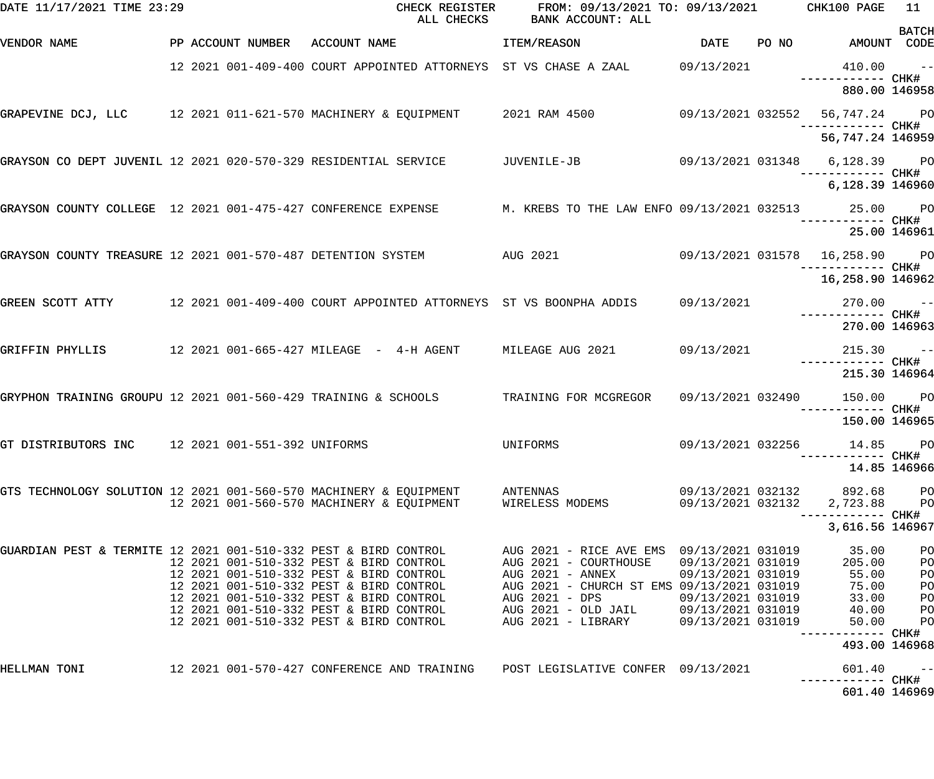| DATE 11/17/2021 TIME 23:29                                      |  |                                                                                                                          | CHECK REGISTER FROM: 09/13/2021 TO: 09/13/2021 CHK100 PAGE<br>ALL CHECKS BANK ACCOUNT: ALL |                                        |                                     | 11                   |
|-----------------------------------------------------------------|--|--------------------------------------------------------------------------------------------------------------------------|--------------------------------------------------------------------------------------------|----------------------------------------|-------------------------------------|----------------------|
| VENDOR NAME                                                     |  | PP ACCOUNT NUMBER ACCOUNT NAME                                                                                           | <b>ITEM/REASON</b>                                                                         |                                        | DATE PO NO AMOUNT CODE              | <b>BATCH</b>         |
|                                                                 |  | 12 2021 001-409-400 COURT APPOINTED ATTORNEYS ST VS CHASE A ZAAL 09/13/2021                                              |                                                                                            |                                        | $410.00 -$                          |                      |
|                                                                 |  |                                                                                                                          |                                                                                            |                                        | 880.00 146958                       |                      |
|                                                                 |  | GRAPEVINE DCJ, LLC 12 2021 011-621-570 MACHINERY & EQUIPMENT 2021 RAM 4500 69/13/2021 032552 56,747.24 PO                |                                                                                            |                                        | ------------ CHK#                   |                      |
|                                                                 |  |                                                                                                                          |                                                                                            |                                        | 56,747.24 146959                    |                      |
|                                                                 |  | GRAYSON CO DEPT JUVENIL 12 2021 020-570-329 RESIDENTIAL SERVICE       JUVENILE-JB          09/13/2021 031348 6,128.39 PO |                                                                                            |                                        |                                     |                      |
|                                                                 |  |                                                                                                                          |                                                                                            |                                        | 6,128.39 146960                     |                      |
|                                                                 |  | GRAYSON COUNTY COLLEGE 12 2021 001-475-427 CONFERENCE EXPENSE M. KREBS TO THE LAW ENFO 09/13/2021 032513 25.00 PO        |                                                                                            |                                        |                                     |                      |
|                                                                 |  |                                                                                                                          |                                                                                            |                                        | 25.00 146961                        |                      |
|                                                                 |  | GRAYSON COUNTY TREASURE 12 2021 001-570-487 DETENTION SYSTEM AUG 2021 69/13/2021 031578 16,258.90 PO                     |                                                                                            |                                        |                                     |                      |
|                                                                 |  |                                                                                                                          |                                                                                            |                                        | 16,258.90 146962                    |                      |
|                                                                 |  | -- 270.00 -- 270.00 COURT APPOINTED ATTORNEYS ST VS BOONPHA ADDIS 09/13/2021 270.00 --<br>#CHK ---------- CHK            |                                                                                            |                                        |                                     |                      |
|                                                                 |  |                                                                                                                          |                                                                                            |                                        | 270.00 146963                       |                      |
| GRIFFIN PHYLLIS                                                 |  | 12 2021 001-665-427 MILEAGE - 4-H AGENT MILEAGE AUG 2021 09/13/2021 12 215.30 --                                         |                                                                                            |                                        |                                     |                      |
|                                                                 |  |                                                                                                                          |                                                                                            |                                        | 215.30 146964                       |                      |
|                                                                 |  | GRYPHON TRAINING GROUPU 12 2021 001-560-429 TRAINING & SCHOOLS TRAINING FOR MCGREGOR                                     |                                                                                            |                                        | 09/13/2021 032490 150.00 PO         |                      |
|                                                                 |  |                                                                                                                          |                                                                                            |                                        | 150.00 146965                       |                      |
| GT DISTRIBUTORS INC 12 2021 001-551-392 UNIFORMS                |  |                                                                                                                          | UNIFORMS 09/13/2021 032256                                                                 |                                        | 14.85 PO<br>--------- CHK#          |                      |
|                                                                 |  |                                                                                                                          |                                                                                            |                                        |                                     | 14.85 146966         |
|                                                                 |  | GTS TECHNOLOGY SOLUTION 12 2021 001-560-570 MACHINERY & EQUIPMENT ANTENNAS<br>12 2021 001-560-570 MACHINERY & EQUIPMENT  | WIRELESS MODEMS                                                                            | 09/13/2021 032132<br>09/13/2021 032132 | 892.68<br>2,723.88                  | PО<br>P <sub>O</sub> |
|                                                                 |  |                                                                                                                          |                                                                                            |                                        | ----------- CHK#<br>3,616.56 146967 |                      |
| GUARDIAN PEST & TERMITE 12 2021 001-510-332 PEST & BIRD CONTROL |  |                                                                                                                          | AUG 2021 - RICE AVE EMS 09/13/2021 031019                                                  |                                        | 35.00                               | PO                   |
|                                                                 |  | 12 2021 001-510-332 PEST & BIRD CONTROL<br>12 2021 001-510-332 PEST & BIRD CONTROL                                       | AUG 2021 - COURTHOUSE<br>AUG 2021 - ANNEX                                                  | 09/13/2021 031019<br>09/13/2021 031019 | 205.00<br>55.00                     | PO<br>PO             |
|                                                                 |  | 12 2021 001-510-332 PEST & BIRD CONTROL                                                                                  | AUG 2021 - CHURCH ST EMS 09/13/2021 031019                                                 |                                        | 75.00                               | PO                   |
|                                                                 |  | 12 2021 001-510-332 PEST & BIRD CONTROL<br>12 2021 001-510-332 PEST & BIRD CONTROL                                       | AUG 2021 - DPS<br>AUG 2021 - OLD JAIL 09/13/2021 031019                                    | 09/13/2021 031019                      | 33.00<br>40.00                      | PO<br>PO             |
|                                                                 |  | 12 2021 001-510-332 PEST & BIRD CONTROL                                                                                  | AUG 2021 - LIBRARY                                                                         | 09/13/2021 031019                      | 50.00                               | PO                   |
|                                                                 |  |                                                                                                                          |                                                                                            |                                        | ------------ CHK#<br>493.00 146968  |                      |
| HELLMAN TONI                                                    |  | 12 2021 001-570-427 CONFERENCE AND TRAINING POST LEGISLATIVE CONFER 09/13/2021                                           |                                                                                            |                                        | 601.40                              | $- -$                |
|                                                                 |  |                                                                                                                          |                                                                                            |                                        | 601.40 146969                       |                      |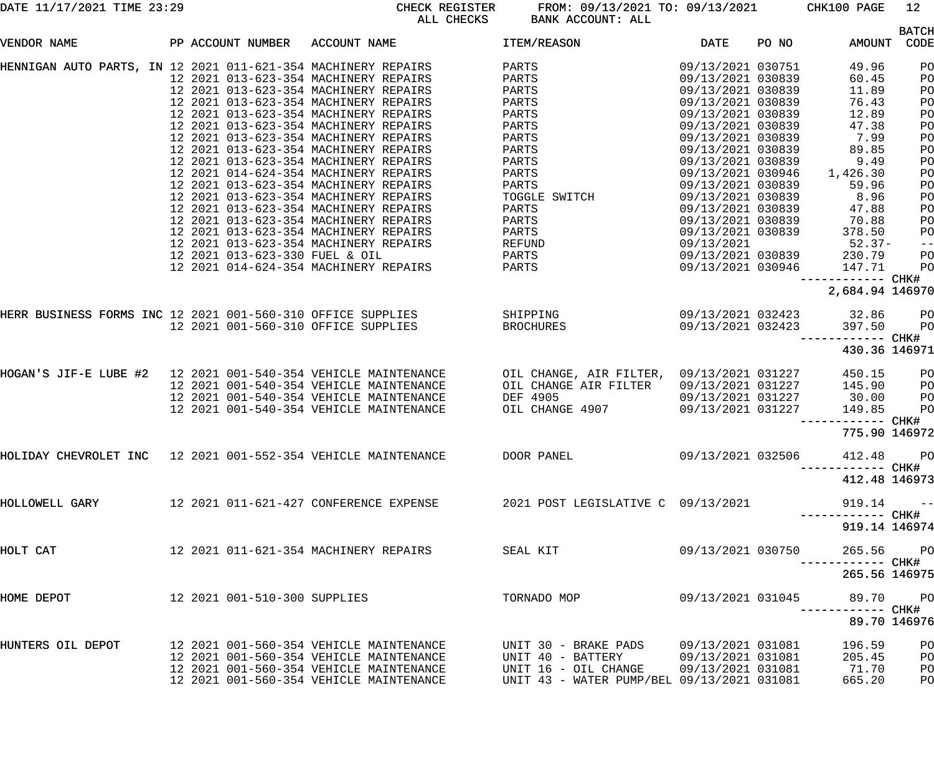DATE 11/17/2021 TIME 23:29 CHECK REGISTER FROM: 09/13/2021 TO: 09/13/2021 CHK100 PAGE 12 BANK ACCOUNT: ALL

|                                                               |  |                                |                                                                      |                                            |                            |       |                   | <b>BATCH</b> |
|---------------------------------------------------------------|--|--------------------------------|----------------------------------------------------------------------|--------------------------------------------|----------------------------|-------|-------------------|--------------|
| VENDOR NAME                                                   |  |                                | PP ACCOUNT NUMBER ACCOUNT NAME                                       | ITEM/REASON                                | DATE                       | PO NO | AMOUNT            | CODE         |
| HENNIGAN AUTO PARTS, IN 12 2021 011-621-354 MACHINERY REPAIRS |  |                                |                                                                      | PARTS                                      | 09/13/2021 030751          |       | 49.96             | PO           |
|                                                               |  |                                | 12 2021 013-623-354 MACHINERY REPAIRS                                | PARTS                                      | 09/13/2021 030839          |       | 60.45             | PO           |
|                                                               |  |                                | 12 2021 013-623-354 MACHINERY REPAIRS                                | PARTS                                      | 09/13/2021 030839          |       | 11.89             | PO           |
|                                                               |  |                                | 12 2021 013-623-354 MACHINERY REPAIRS                                | PARTS                                      | 09/13/2021 030839          |       | 76.43             | PO           |
|                                                               |  |                                | 12 2021 013-623-354 MACHINERY REPAIRS                                | PARTS                                      | 09/13/2021 030839          |       | 12.89             | PO           |
|                                                               |  |                                | 12 2021 013-623-354 MACHINERY REPAIRS                                | PARTS                                      | 09/13/2021 030839          |       | 47.38             | PO           |
|                                                               |  |                                | 12 2021 013-623-354 MACHINERY REPAIRS                                | PARTS                                      | 09/13/2021 030839          |       | 7.99              | PO           |
|                                                               |  |                                | 12 2021 013-623-354 MACHINERY REPAIRS                                | PARTS                                      | 09/13/2021 030839          |       | 89.85             | PO           |
|                                                               |  |                                | 12 2021 013-623-354 MACHINERY REPAIRS                                | PARTS                                      |                            |       | 9.49              |              |
|                                                               |  |                                |                                                                      |                                            | 09/13/2021 030839          |       |                   | PO           |
|                                                               |  |                                | 12 2021 014-624-354 MACHINERY REPAIRS                                | PARTS                                      | 09/13/2021 030946          |       | 1,426.30          | PO           |
|                                                               |  |                                | 12 2021 013-623-354 MACHINERY REPAIRS                                | PARTS                                      | 09/13/2021 030839          |       | 59.96             | PO           |
|                                                               |  |                                | 12 2021 013-623-354 MACHINERY REPAIRS                                | TOGGLE SWITCH                              | 09/13/2021 030839          |       | 8.96              | PO           |
|                                                               |  |                                | 12 2021 013-623-354 MACHINERY REPAIRS                                | PARTS                                      | 09/13/2021 030839          |       | 47.88             | PO           |
|                                                               |  |                                | 12 2021 013-623-354 MACHINERY REPAIRS                                | PARTS                                      | 09/13/2021 030839          |       | 70.88             | PO           |
|                                                               |  |                                | 12 2021 013-623-354 MACHINERY REPAIRS                                | PARTS                                      | 09/13/2021 030839          |       | 378.50            | PO           |
|                                                               |  |                                | 12 2021 013-623-354 MACHINERY REPAIRS                                | REFUND                                     | 09/13/2021                 |       | $52.37-$          | $-\:\:-$     |
|                                                               |  | 12 2021 013-623-330 FUEL & OIL |                                                                      |                                            | 09/13/2021 030839          |       | 230.79            | PO           |
|                                                               |  |                                | 12 2021 014-624-354 MACHINERY REPAIRS                                |                                            | 09/13/2021 030946          |       | 147.71            | PO           |
|                                                               |  |                                |                                                                      |                                            |                            |       | ----------- CHK#  |              |
|                                                               |  |                                |                                                                      |                                            |                            |       | 2,684.94 146970   |              |
|                                                               |  |                                | HERR BUSINESS FORMS INC 12 2021 001-560-310 OFFICE SUPPLIES SHIPPING |                                            | 09/13/2021 032423 32.86 PO |       |                   |              |
|                                                               |  |                                | <b>EROCHURES</b><br>12 2021 001-560-310 OFFICE SUPPLIES              |                                            | 09/13/2021 032423          |       | 397.50            | PO           |
|                                                               |  |                                |                                                                      |                                            |                            |       | ----------- CHK#  |              |
|                                                               |  |                                |                                                                      |                                            |                            |       | 430.36 146971     |              |
|                                                               |  |                                |                                                                      | OIL CHANGE, AIR FILTER, 09/13/2021 031227  |                            |       | 450.15            | PO           |
|                                                               |  |                                | 12 2021 001-540-354 VEHICLE MAINTENANCE                              | OIL CHANGE AIR FILTER                      | 09/13/2021 031227          |       | 145.90            | PO           |
|                                                               |  |                                | 12 2021 001-540-354 VEHICLE MAINTENANCE                              | DEF 4905                                   | 09/13/2021 031227          |       | 30.00             | PO           |
|                                                               |  |                                | 12 2021 001-540-354 VEHICLE MAINTENANCE                              | OIL CHANGE 4907                            | 09/13/2021 031227          |       | 149.85            | PO           |
|                                                               |  |                                |                                                                      |                                            |                            |       | ----------- CHK#  |              |
|                                                               |  |                                |                                                                      |                                            |                            |       |                   |              |
|                                                               |  |                                |                                                                      |                                            |                            |       | 775.90 146972     |              |
| HOLIDAY CHEVROLET INC 12 2021 001-552-354 VEHICLE MAINTENANCE |  |                                |                                                                      | DOOR PANEL                                 | 09/13/2021 032506          |       | 412.48            | PO           |
|                                                               |  |                                |                                                                      |                                            |                            |       | ------------ CHK# |              |
|                                                               |  |                                |                                                                      |                                            |                            |       | 412.48 146973     |              |
| HOLLOWELL GARY                                                |  |                                | 12  2021  011-621-427  CONFERENCE EXPENSE                            | 2021 POST LEGISLATIVE C 09/13/2021         |                            |       | 919.14            | $ -$         |
|                                                               |  |                                |                                                                      |                                            |                            |       | ----------- CHK#  |              |
|                                                               |  |                                |                                                                      |                                            |                            |       | 919.14 146974     |              |
| HOLT CAT                                                      |  |                                |                                                                      | SEAL KIT                                   | 09/13/2021 030750          |       | 265.56 PO         |              |
|                                                               |  |                                |                                                                      |                                            |                            |       | ----------- CHK#  |              |
|                                                               |  |                                |                                                                      |                                            |                            |       | 265.56 146975     |              |
|                                                               |  |                                |                                                                      |                                            |                            |       |                   |              |
| HOME DEPOT                                                    |  | 12 2021 001-510-300 SUPPLIES   |                                                                      | TORNADO MOP                                | 09/13/2021 031045          |       | 89.70             | <b>PO</b>    |
|                                                               |  |                                |                                                                      |                                            |                            |       |                   |              |
|                                                               |  |                                |                                                                      |                                            |                            |       |                   | 89.70 146976 |
| HUNTERS OIL DEPOT                                             |  |                                | 12 2021 001-560-354 VEHICLE MAINTENANCE                              | UNIT 30 - BRAKE PADS                       | 09/13/2021 031081          |       | 196.59            | PO           |
|                                                               |  |                                | 12 2021 001-560-354 VEHICLE MAINTENANCE                              | UNIT 40 - BATTERY                          | 09/13/2021 031081          |       | 205.45            | PO           |
|                                                               |  |                                | 12 2021 001-560-354 VEHICLE MAINTENANCE                              | UNIT 16 - OIL CHANGE                       | 09/13/2021 031081          |       | 71.70             | PO           |
|                                                               |  |                                |                                                                      |                                            |                            |       |                   | PO           |
|                                                               |  |                                | 12 2021 001-560-354 VEHICLE MAINTENANCE                              | UNIT 43 - WATER PUMP/BEL 09/13/2021 031081 |                            |       | 665.20            |              |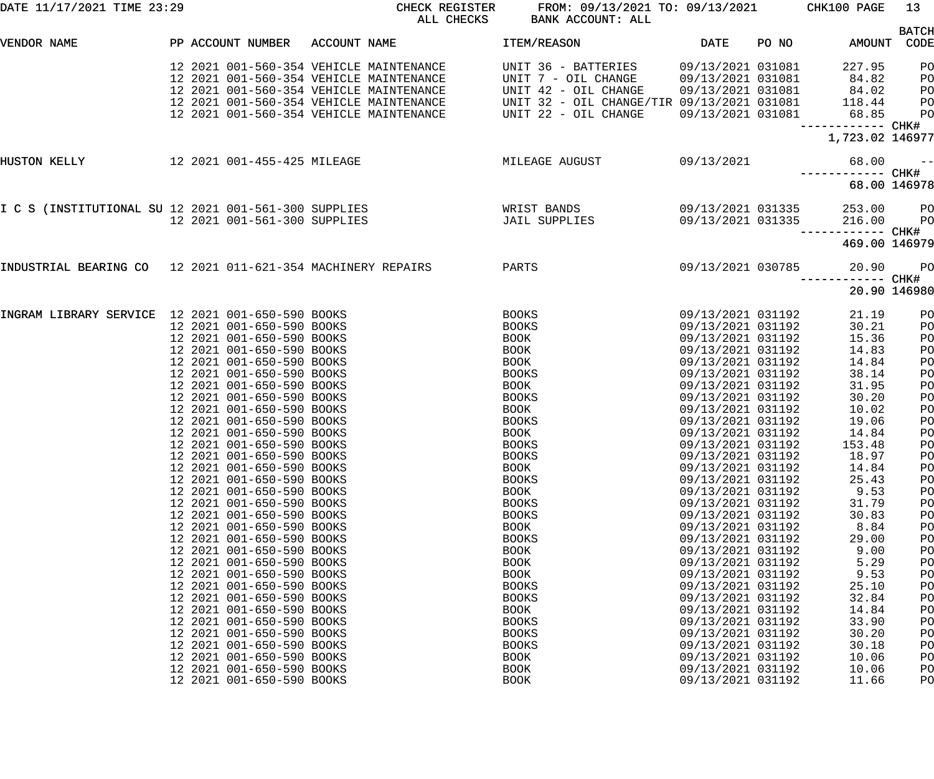| DATE 11/17/2021 TIME 23:29                                  |                                         | CHECK REGISTER<br>ALL CHECKS            | FROM: 09/13/2021 TO: 09/13/2021 CHK100 PAGE<br>BANK ACCOUNT: ALL |                   |       |                   | 13             |
|-------------------------------------------------------------|-----------------------------------------|-----------------------------------------|------------------------------------------------------------------|-------------------|-------|-------------------|----------------|
| VENDOR NAME                                                 | PP ACCOUNT NUMBER                       | ACCOUNT NAME                            | ITEM/REASON                                                      | DATE              | PO NO | AMOUNT CODE       | <b>BATCH</b>   |
|                                                             |                                         |                                         |                                                                  |                   |       |                   |                |
|                                                             |                                         | 12 2021 001-560-354 VEHICLE MAINTENANCE | UNIT 36 - BATTERIES                                              | 09/13/2021 031081 |       | 227.95            | PO             |
|                                                             | 12 2021 001-560-354 VEHICLE MAINTENANCE |                                         | UNIT 7 - OIL CHANGE                                              | 09/13/2021 031081 |       | 84.82             | PO             |
|                                                             | 12 2021 001-560-354 VEHICLE MAINTENANCE |                                         | UNIT 42 - OIL CHANGE                                             | 09/13/2021 031081 |       | 84.02             | PO             |
|                                                             | 12 2021 001-560-354 VEHICLE MAINTENANCE |                                         | UNIT 32 - OIL CHANGE/TIR 09/13/2021 031081                       |                   |       | 118.44            | PО             |
|                                                             | 12 2021 001-560-354 VEHICLE MAINTENANCE |                                         | UNIT 22 - OIL CHANGE                                             | 09/13/2021 031081 |       | 68.85             | P <sub>O</sub> |
|                                                             |                                         |                                         |                                                                  |                   |       | 1,723.02 146977   |                |
| HUSTON KELLY                                                | 12 2021 001-455-425 MILEAGE             |                                         | MILEAGE AUGUST                                                   | 09/13/2021        |       | 68.00             | $\sim$ $ -$    |
|                                                             |                                         |                                         |                                                                  |                   |       | ------------ CHK# |                |
|                                                             |                                         |                                         |                                                                  |                   |       | 68.00 146978      |                |
| I C S (INSTITUTIONAL SU 12 2021 001-561-300 SUPPLIES        |                                         |                                         | WRIST BANDS                                                      | 09/13/2021 031335 |       | 253.00            | $P$ O          |
|                                                             | 12 2021 001-561-300 SUPPLIES            |                                         | JAIL SUPPLIES                                                    | 09/13/2021 031335 |       | 216.00            | $P$ O          |
|                                                             |                                         |                                         |                                                                  |                   |       | 469.00 146979     |                |
| INDUSTRIAL BEARING CO 12 2021 011-621-354 MACHINERY REPAIRS |                                         |                                         | PARTS                                                            | 09/13/2021 030785 |       | 20.90             | <b>PO</b>      |
|                                                             |                                         |                                         |                                                                  |                   |       |                   | 20.90 146980   |
| INGRAM LIBRARY SERVICE 12 2021 001-650-590 BOOKS            |                                         |                                         | BOOKS                                                            | 09/13/2021 031192 |       | 21.19             | PO             |
|                                                             | 12 2021 001-650-590 BOOKS               |                                         | <b>BOOKS</b>                                                     | 09/13/2021 031192 |       | 30.21             | PO             |
|                                                             | 12 2021 001-650-590 BOOKS               |                                         | <b>BOOK</b>                                                      | 09/13/2021 031192 |       | 15.36             | PO             |
|                                                             | 12 2021 001-650-590 BOOKS               |                                         | <b>BOOK</b>                                                      | 09/13/2021 031192 |       | 14.83             | PO             |
|                                                             | 12 2021 001-650-590 BOOKS               |                                         | BOOK                                                             | 09/13/2021 031192 |       | 14.84             | PO             |
|                                                             | 12 2021 001-650-590 BOOKS               |                                         | <b>BOOKS</b>                                                     | 09/13/2021 031192 |       | 38.14             | PO             |
|                                                             | 12 2021 001-650-590 BOOKS               |                                         | BOOK                                                             | 09/13/2021 031192 |       | 31.95             | PO             |
|                                                             | 12 2021 001-650-590 BOOKS               |                                         | <b>BOOKS</b>                                                     | 09/13/2021 031192 |       | 30.20             | PO             |
|                                                             | 12 2021 001-650-590 BOOKS               |                                         | BOOK                                                             | 09/13/2021 031192 |       | 10.02             | PO             |
|                                                             | 12 2021 001-650-590 BOOKS               |                                         | <b>BOOKS</b>                                                     | 09/13/2021 031192 |       | 19.06             | PO             |
|                                                             | 12 2021 001-650-590 BOOKS               |                                         | <b>BOOK</b>                                                      | 09/13/2021 031192 |       | 14.84             | PO             |
|                                                             | 12 2021 001-650-590 BOOKS               |                                         |                                                                  |                   |       |                   |                |
|                                                             |                                         |                                         | <b>BOOKS</b>                                                     | 09/13/2021 031192 |       | 153.48            | PO             |
|                                                             | 12 2021 001-650-590 BOOKS               |                                         | <b>BOOKS</b>                                                     | 09/13/2021 031192 |       | 18.97             | PO             |
|                                                             | 12 2021 001-650-590 BOOKS               |                                         | <b>BOOK</b>                                                      | 09/13/2021 031192 |       | 14.84             | PO             |
|                                                             | 12 2021 001-650-590 BOOKS               |                                         | <b>BOOKS</b>                                                     | 09/13/2021 031192 |       | 25.43             | PO             |
|                                                             | 12 2021 001-650-590 BOOKS               |                                         | <b>BOOK</b>                                                      | 09/13/2021 031192 |       | 9.53              | PO             |
|                                                             | 12 2021 001-650-590 BOOKS               |                                         | <b>BOOKS</b>                                                     | 09/13/2021 031192 |       | 31.79             | PO             |
|                                                             | 12 2021 001-650-590 BOOKS               |                                         | <b>BOOKS</b>                                                     | 09/13/2021 031192 |       | 30.83             | PO             |
|                                                             | 12 2021 001-650-590 BOOKS               |                                         | <b>BOOK</b>                                                      | 09/13/2021 031192 |       | 8.84              | PO             |
|                                                             | 12 2021 001-650-590 BOOKS               |                                         | <b>BOOKS</b>                                                     | 09/13/2021 031192 |       | 29.00             | PO             |
|                                                             | 12 2021 001-650-590 BOOKS               |                                         | <b>BOOK</b>                                                      | 09/13/2021 031192 |       | 9.00              | PO             |
|                                                             | 12 2021 001-650-590 BOOKS               |                                         | <b>BOOK</b>                                                      | 09/13/2021 031192 |       | 5.29              | PO             |
|                                                             | 12 2021 001-650-590 BOOKS               |                                         | <b>BOOK</b>                                                      | 09/13/2021 031192 |       | 9.53              | PO             |
|                                                             | 12 2021 001-650-590 BOOKS               |                                         | <b>BOOKS</b>                                                     | 09/13/2021 031192 |       | 25.10             | PO             |
|                                                             | 12 2021 001-650-590 BOOKS               |                                         | <b>BOOKS</b>                                                     | 09/13/2021 031192 |       | 32.84             | PO             |
|                                                             | 12 2021 001-650-590 BOOKS               |                                         | <b>BOOK</b>                                                      | 09/13/2021 031192 |       | 14.84             | PO             |
|                                                             | 12 2021 001-650-590 BOOKS               |                                         | <b>BOOKS</b>                                                     | 09/13/2021 031192 |       | 33.90             | PO             |
|                                                             |                                         |                                         |                                                                  |                   |       |                   |                |
|                                                             | 12 2021 001-650-590 BOOKS               |                                         | <b>BOOKS</b>                                                     | 09/13/2021 031192 |       | 30.20             | PO             |
|                                                             | 12 2021 001-650-590 BOOKS               |                                         | <b>BOOKS</b>                                                     | 09/13/2021 031192 |       | 30.18             | PO             |
|                                                             | 12 2021 001-650-590 BOOKS               |                                         | <b>BOOK</b>                                                      | 09/13/2021 031192 |       | 10.06             | PO             |
|                                                             | 12 2021 001-650-590 BOOKS               |                                         | <b>BOOK</b>                                                      | 09/13/2021 031192 |       | 10.06             | PO             |
|                                                             | 12 2021 001-650-590 BOOKS               |                                         | <b>BOOK</b>                                                      | 09/13/2021 031192 |       | 11.66             | PO             |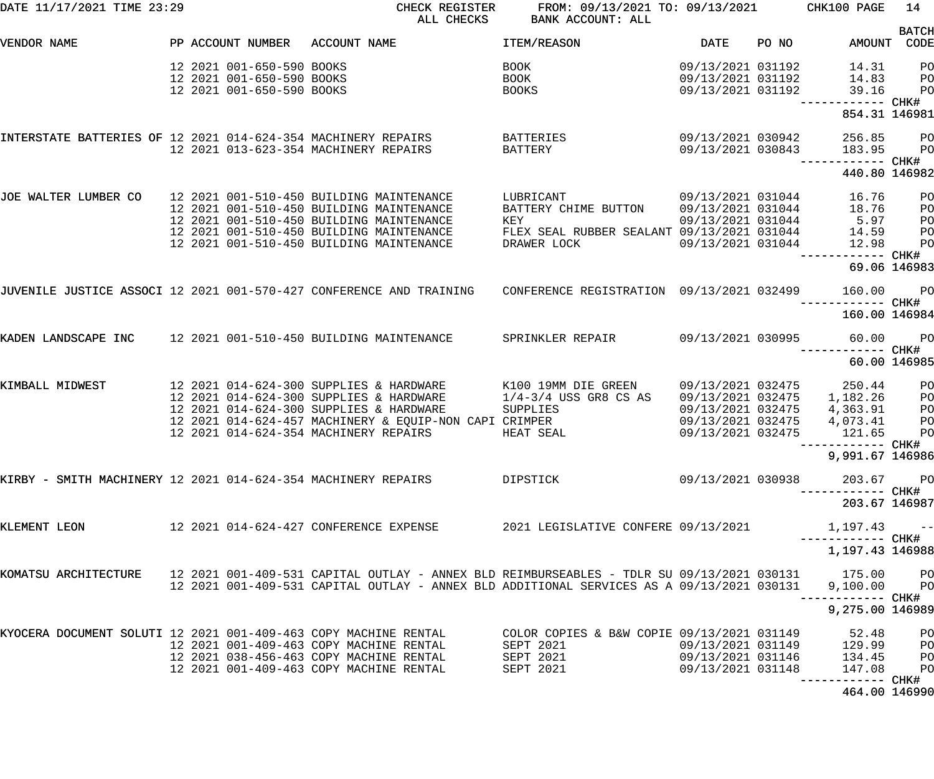| DATE 11/17/2021 TIME 23:29                                      |                           | CHECK REGISTER<br>ALL CHECKS                                                              | FROM: 09/13/2021 TO: 09/13/2021<br>BANK ACCOUNT: ALL |                   |       | CHK100 PAGE                       | 14                   |
|-----------------------------------------------------------------|---------------------------|-------------------------------------------------------------------------------------------|------------------------------------------------------|-------------------|-------|-----------------------------------|----------------------|
| VENDOR NAME                                                     | PP ACCOUNT NUMBER         | ACCOUNT NAME                                                                              | ITEM/REASON                                          | <b>DATE</b>       | PO NO | AMOUNT                            | <b>BATCH</b><br>CODE |
|                                                                 |                           |                                                                                           |                                                      |                   |       |                                   |                      |
|                                                                 | 12 2021 001-650-590 BOOKS |                                                                                           | BOOK                                                 | 09/13/2021 031192 |       | 14.31                             | PO                   |
|                                                                 | 12 2021 001-650-590 BOOKS |                                                                                           | BOOK                                                 | 09/13/2021 031192 |       | 14.83                             | PO                   |
|                                                                 | 12 2021 001-650-590 BOOKS |                                                                                           | <b>BOOKS</b>                                         | 09/13/2021 031192 |       | 39.16<br>------------ CHK#        | PO                   |
|                                                                 |                           |                                                                                           |                                                      |                   |       | 854.31 146981                     |                      |
| INTERSTATE BATTERIES OF 12 2021 014-624-354 MACHINERY REPAIRS   |                           |                                                                                           | BATTERIES                                            | 09/13/2021 030942 |       | 256.85                            | PO                   |
|                                                                 |                           | 12 2021 013-623-354 MACHINERY REPAIRS                                                     | <b>BATTERY</b>                                       | 09/13/2021 030843 |       | 183.95<br>------------ CHK#       | PO                   |
|                                                                 |                           |                                                                                           |                                                      |                   |       | 440.80 146982                     |                      |
| JOE WALTER LUMBER CO                                            |                           | 12 2021 001-510-450 BUILDING MAINTENANCE                                                  | LUBRICANT                                            | 09/13/2021 031044 |       | 16.76                             | PO                   |
|                                                                 |                           | 12 2021 001-510-450 BUILDING MAINTENANCE                                                  | BATTERY CHIME BUTTON                                 | 09/13/2021 031044 |       | 18.76                             | PO                   |
|                                                                 |                           | 12 2021 001-510-450 BUILDING MAINTENANCE                                                  | KEY                                                  | 09/13/2021 031044 |       | 5.97                              | PO                   |
|                                                                 |                           | 12 2021 001-510-450 BUILDING MAINTENANCE                                                  | FLEX SEAL RUBBER SEALANT 09/13/2021 031044           |                   |       | 14.59                             | PO                   |
|                                                                 |                           | 12 2021 001-510-450 BUILDING MAINTENANCE                                                  | DRAWER LOCK                                          | 09/13/2021 031044 |       | 12.98                             | PO                   |
|                                                                 |                           |                                                                                           |                                                      |                   |       | ------ CHK#                       |                      |
|                                                                 |                           |                                                                                           |                                                      |                   |       |                                   | 69.06 146983         |
|                                                                 |                           | JUVENILE JUSTICE ASSOCI 12 2021 001-570-427 CONFERENCE AND TRAINING                       | CONFERENCE REGISTRATION 09/13/2021 032499            |                   |       | 160.00<br>------------ CHK#       | P <sub>O</sub>       |
|                                                                 |                           |                                                                                           |                                                      |                   |       | 160.00 146984                     |                      |
| KADEN LANDSCAPE INC                                             |                           | 12 2021 001-510-450 BUILDING MAINTENANCE                                                  | SPRINKLER REPAIR                                     | 09/13/2021 030995 |       | 60.00                             | P <sub>O</sub>       |
|                                                                 |                           |                                                                                           |                                                      |                   |       | ------ CHK#                       | 60.00 146985         |
| KIMBALL MIDWEST                                                 |                           | 12 2021 014-624-300 SUPPLIES & HARDWARE                                                   | K100 19MM DIE GREEN                                  | 09/13/2021 032475 |       | 250.44                            | PO                   |
|                                                                 |                           | 12 2021 014-624-300 SUPPLIES & HARDWARE                                                   | $1/4-3/4$ USS GR8 CS AS                              | 09/13/2021 032475 |       | 1,182.26                          | PO                   |
|                                                                 |                           | 12 2021 014-624-300 SUPPLIES & HARDWARE                                                   | SUPPLIES                                             | 09/13/2021 032475 |       | 4,363.91                          | PO                   |
|                                                                 |                           | 12 2021 014-624-457 MACHINERY & EQUIP-NON CAPI CRIMPER                                    |                                                      | 09/13/2021 032475 |       | 4,073.41                          | PO                   |
|                                                                 |                           | 12 2021 014-624-354 MACHINERY REPAIRS                                                     | HEAT SEAL                                            | 09/13/2021 032475 |       | 121.65                            | PO                   |
|                                                                 |                           |                                                                                           |                                                      |                   |       |                                   |                      |
|                                                                 |                           |                                                                                           |                                                      |                   |       | 9,991.67 146986                   |                      |
| KIRBY - SMITH MACHINERY 12 2021 014-624-354 MACHINERY REPAIRS   |                           |                                                                                           | DIPSTICK                                             | 09/13/2021 030938 |       | 203.67                            | <b>PO</b>            |
|                                                                 |                           |                                                                                           |                                                      |                   |       | ----------- CHK#<br>203.67 146987 |                      |
|                                                                 |                           |                                                                                           |                                                      |                   |       |                                   |                      |
| KLEMENT LEON                                                    |                           | 12 2021 014-624-427 CONFERENCE EXPENSE 2021 LEGISLATIVE CONFERE 09/13/2021                |                                                      |                   |       | 1,197.43<br>----------- CHK#      | $ -$                 |
|                                                                 |                           |                                                                                           |                                                      |                   |       | 1,197.43 146988                   |                      |
| KOMATSU ARCHITECTURE                                            |                           | 12 2021 001-409-531 CAPITAL OUTLAY - ANNEX BLD REIMBURSEABLES - TDLR SU 09/13/2021 030131 |                                                      |                   |       | 175.00                            | PO <sub>1</sub>      |
|                                                                 |                           | 12 2021 001-409-531 CAPITAL OUTLAY - ANNEX BLD ADDITIONAL SERVICES AS A 09/13/2021 030131 |                                                      |                   |       | 9,100.00<br>—————————— CHK#       | PO <sub>1</sub>      |
|                                                                 |                           |                                                                                           |                                                      |                   |       | 9,275.00 146989                   |                      |
| KYOCERA DOCUMENT SOLUTI 12 2021 001-409-463 COPY MACHINE RENTAL |                           |                                                                                           | COLOR COPIES & B&W COPIE 09/13/2021 031149           |                   |       | 52.48                             | PO                   |
|                                                                 |                           | 12 2021 001-409-463 COPY MACHINE RENTAL                                                   | SEPT 2021                                            |                   |       | 09/13/2021 031149 129.99          | PО                   |
|                                                                 |                           | 12 2021 038-456-463 COPY MACHINE RENTAL                                                   | SEPT 2021                                            | 09/13/2021 031146 |       | 134.45                            | P <sub>O</sub>       |
|                                                                 |                           | 12 2021 001-409-463 COPY MACHINE RENTAL                                                   | SEPT 2021                                            | 09/13/2021 031148 |       | 147.08                            | P <sub>O</sub>       |
|                                                                 |                           |                                                                                           |                                                      |                   |       | 464.00 146990                     |                      |
|                                                                 |                           |                                                                                           |                                                      |                   |       |                                   |                      |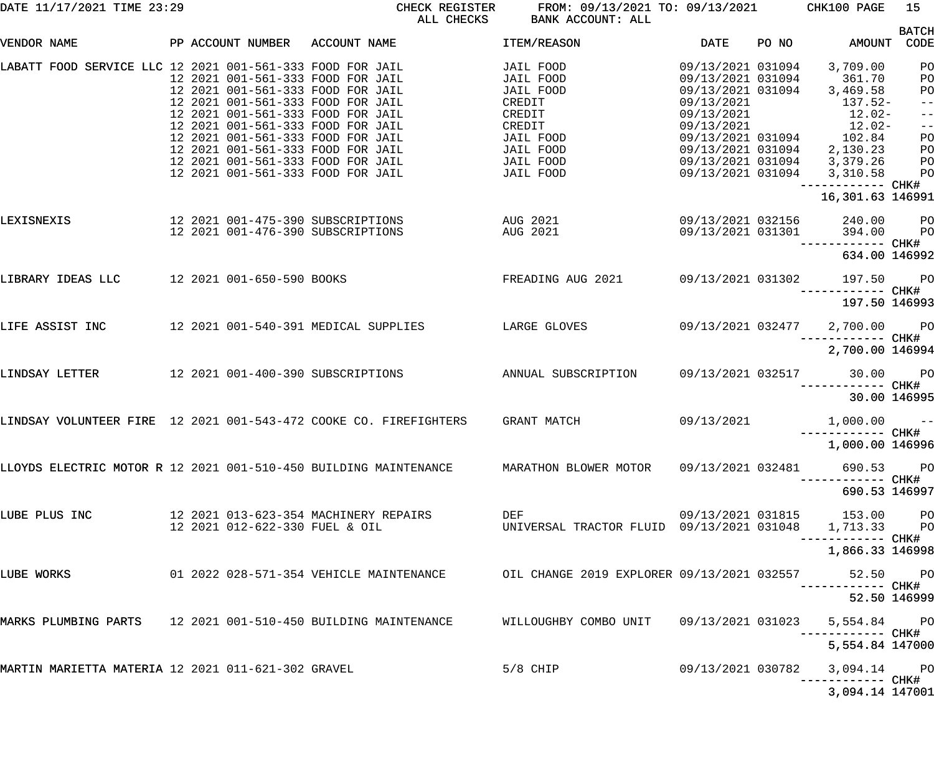CHECK REGISTER FROM:  $09/13/2021$  TO:  $09/13/2021$  CHK100 PAGE 15<br>ALL CHECKS BANK ACCOUNT: ALL BANK ACCOUNT: ALL

| VENDOR NAME                                                   |  | PP ACCOUNT NUMBER              | ACCOUNT NAME                                                                                                       | <b>ITEM/REASON</b>                                        | <b>DATE</b>                     | PO NO | AMOUNT                               | <b>BATCH</b><br>CODE |
|---------------------------------------------------------------|--|--------------------------------|--------------------------------------------------------------------------------------------------------------------|-----------------------------------------------------------|---------------------------------|-------|--------------------------------------|----------------------|
|                                                               |  |                                |                                                                                                                    |                                                           |                                 |       |                                      |                      |
| LABATT FOOD SERVICE LLC 12 2021 001-561-333 FOOD FOR JAIL     |  |                                |                                                                                                                    | JAIL FOOD                                                 | 09/13/2021 031094               |       | 3,709.00                             | PO                   |
|                                                               |  |                                | 12 2021 001-561-333 FOOD FOR JAIL                                                                                  | JAIL FOOD                                                 | 09/13/2021 031094               |       | 361.70                               | PO<br>PO             |
|                                                               |  |                                | 12 2021 001-561-333 FOOD FOR JAIL<br>12 2021 001-561-333 FOOD FOR JAIL                                             | JAIL FOOD<br>CREDIT                                       | 09/13/2021 031094<br>09/13/2021 |       | 3,469.58<br>$137.52-$                | $-$ -l               |
|                                                               |  |                                | 12 2021 001-561-333 FOOD FOR JAIL                                                                                  | CREDIT                                                    | 09/13/2021                      |       | $12.02-$                             | $ -$                 |
|                                                               |  |                                | 12 2021 001-561-333 FOOD FOR JAIL                                                                                  | CREDIT                                                    | 09/13/2021                      |       | $12.02-$                             | $-$ -                |
|                                                               |  |                                | 12 2021 001-561-333 FOOD FOR JAIL                                                                                  | JAIL FOOD                                                 | 09/13/2021 031094               |       | 102.84                               | PO                   |
|                                                               |  |                                | 12 2021 001-561-333 FOOD FOR JAIL                                                                                  | JAIL FOOD                                                 | 09/13/2021 031094               |       | 2,130.23                             | PO                   |
|                                                               |  |                                | 12 2021 001-561-333 FOOD FOR JAIL                                                                                  | JAIL FOOD                                                 | 09/13/2021 031094               |       | 3,379.26                             | PO                   |
|                                                               |  |                                | 12 2021 001-561-333 FOOD FOR JAIL                                                                                  | JAIL FOOD                                                 | 09/13/2021 031094               |       | 3,310.58                             | PO                   |
|                                                               |  |                                |                                                                                                                    |                                                           |                                 |       | ------------ CHK#                    |                      |
|                                                               |  |                                |                                                                                                                    |                                                           |                                 |       | 16,301.63 146991                     |                      |
| LEXISNEXIS                                                    |  |                                | 12  2021  001-475-390  SUBSCRIPTIONS<br>AUG 2021                                                                   |                                                           | 09/13/2021 032156               |       | 240.00                               | <b>PO</b>            |
|                                                               |  |                                | AUG 2021                                                                                                           |                                                           | 09/13/2021 031301               |       | 394.00                               | PO                   |
|                                                               |  |                                |                                                                                                                    |                                                           |                                 |       | ------------ CHK#                    |                      |
|                                                               |  |                                |                                                                                                                    |                                                           |                                 |       | 634.00 146992                        |                      |
| LIBRARY IDEAS LLC                                             |  | 12 2021 001-650-590 BOOKS      |                                                                                                                    | FREADING AUG 2021                                         | 09/13/2021 031302               |       | 197.50                               | <b>PO</b>            |
|                                                               |  |                                |                                                                                                                    |                                                           |                                 |       | ------------ CHK#                    |                      |
|                                                               |  |                                |                                                                                                                    |                                                           |                                 |       | 197.50 146993                        |                      |
| LIFE ASSIST INC                                               |  |                                | 12 2021 001-540-391 MEDICAL SUPPLIES                                                                               | LARGE GLOVES                                              | 09/13/2021 032477               |       | 2,700.00 PO                          |                      |
|                                                               |  |                                |                                                                                                                    |                                                           |                                 |       | ------------ CHK#                    |                      |
|                                                               |  |                                |                                                                                                                    |                                                           |                                 |       | 2,700.00 146994                      |                      |
| LINDSAY LETTER                                                |  |                                | 12  2021  001-400-390  SUBSCRIPTIONS                                                                               | ANNUAL SUBSCRIPTION                                       | 09/13/2021 032517               |       | $30.00$ PO                           |                      |
|                                                               |  |                                |                                                                                                                    |                                                           |                                 |       |                                      |                      |
|                                                               |  |                                |                                                                                                                    |                                                           |                                 |       | 30.00 146995                         |                      |
|                                                               |  |                                |                                                                                                                    |                                                           |                                 |       |                                      |                      |
|                                                               |  |                                | LINDSAY VOLUNTEER FIRE 12 2021 001-543-472 COOKE CO. FIREFIGHTERS                                                  | GRANT MATCH                                               | 09/13/2021                      |       | $1,000.00$ --                        |                      |
|                                                               |  |                                |                                                                                                                    |                                                           |                                 |       | ------------ CHK#<br>1,000.00 146996 |                      |
|                                                               |  |                                |                                                                                                                    |                                                           |                                 |       |                                      |                      |
|                                                               |  |                                | LLOYDS ELECTRIC MOTOR R 12 2021 001-510-450 BUILDING MAINTENANCE MARATHON BLOWER MOTOR 09/13/2021 032481 690.53 PO |                                                           |                                 |       |                                      |                      |
|                                                               |  |                                |                                                                                                                    |                                                           |                                 |       | ----------- CHK#                     |                      |
|                                                               |  |                                |                                                                                                                    |                                                           |                                 |       | 690.53 146997                        |                      |
|                                                               |  |                                |                                                                                                                    |                                                           |                                 |       |                                      |                      |
| LUBE PLUS INC                                                 |  |                                | 12  2021  013-623-354  MACHINERY REPAIRS                                                                           | DEF                                                       |                                 |       | 09/13/2021 031815 153.00 PO          |                      |
|                                                               |  | 12 2021 012-622-330 FUEL & OIL |                                                                                                                    | UNIVERSAL TRACTOR FLUID  09/13/2021  031048  1,713.33  PO |                                 |       |                                      |                      |
|                                                               |  |                                |                                                                                                                    |                                                           |                                 |       | 1,866.33 146998                      |                      |
|                                                               |  |                                |                                                                                                                    |                                                           |                                 |       |                                      |                      |
| LUBE WORKS                                                    |  |                                | 01 2022 028-571-354 VEHICLE MAINTENANCE           OIL CHANGE 2019 EXPLORER 09/13/2021 032557                       |                                                           |                                 |       | 52.50 PO                             |                      |
|                                                               |  |                                |                                                                                                                    |                                                           |                                 |       | ----------- CHK#                     |                      |
|                                                               |  |                                |                                                                                                                    |                                                           |                                 |       | 52.50 146999                         |                      |
|                                                               |  |                                |                                                                                                                    |                                                           |                                 |       |                                      |                      |
| MARKS PLUMBING PARTS 12 2021 001-510-450 BUILDING MAINTENANCE |  |                                |                                                                                                                    | WILLOUGHBY COMBO UNIT                                     | 09/13/2021 031023               |       | 5,554.84 PO<br>------------ CHK#     |                      |
|                                                               |  |                                |                                                                                                                    |                                                           |                                 |       | 5,554.84 147000                      |                      |
|                                                               |  |                                |                                                                                                                    |                                                           |                                 |       |                                      |                      |
| MARTIN MARIETTA MATERIA 12 2021 011-621-302 GRAVEL            |  |                                |                                                                                                                    | $5/8$ CHIP                                                | 09/13/2021 030782               |       | 3,094.14 PO                          |                      |
|                                                               |  |                                |                                                                                                                    |                                                           |                                 |       |                                      |                      |
|                                                               |  |                                |                                                                                                                    |                                                           |                                 |       | 3,094.14 147001                      |                      |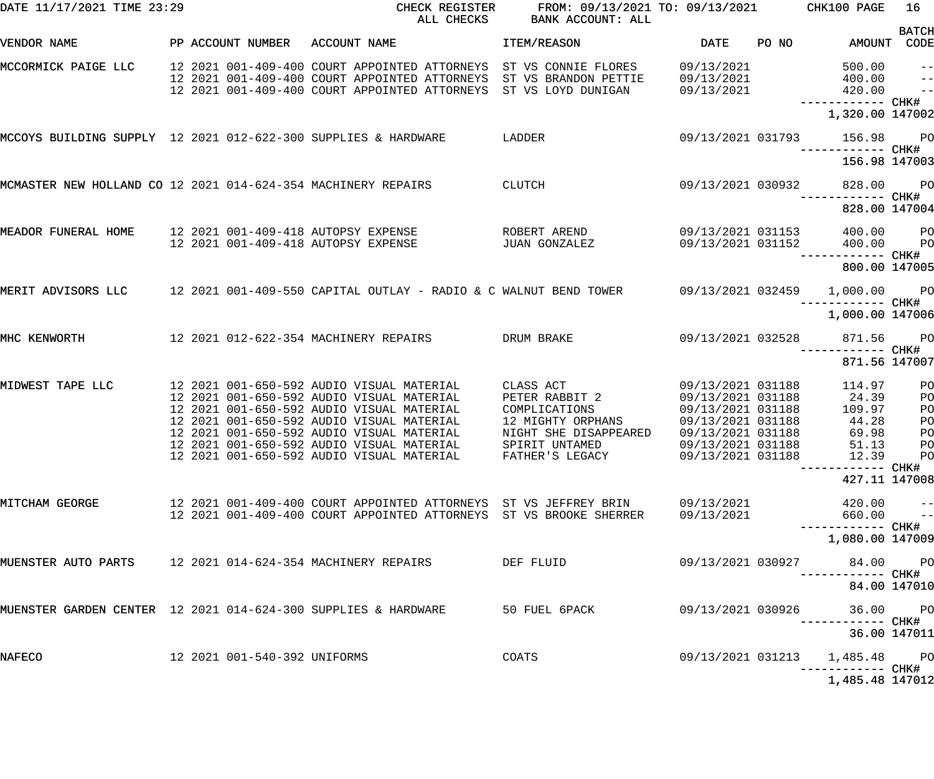| DATE 11/17/2021 TIME 23:29                                     |                                 | CHECK REGISTER<br>ALL CHECKS                                                                                                                                                                                                                                                                                                           | FROM: 09/13/2021 TO: 09/13/2021<br>BANK ACCOUNT: ALL                                                          |                                                                                                                                                 |       | CHK100 PAGE                                                         | 16                             |
|----------------------------------------------------------------|---------------------------------|----------------------------------------------------------------------------------------------------------------------------------------------------------------------------------------------------------------------------------------------------------------------------------------------------------------------------------------|---------------------------------------------------------------------------------------------------------------|-------------------------------------------------------------------------------------------------------------------------------------------------|-------|---------------------------------------------------------------------|--------------------------------|
| VENDOR NAME                                                    | PP ACCOUNT NUMBER               | ACCOUNT NAME                                                                                                                                                                                                                                                                                                                           | ITEM/REASON                                                                                                   | <b>DATE</b>                                                                                                                                     | PO NO | AMOUNT CODE                                                         | <b>BATCH</b>                   |
| MCCORMICK PAIGE LLC                                            |                                 | 12 2021 001-409-400 COURT APPOINTED ATTORNEYS<br>12 2021 001-409-400 COURT APPOINTED ATTORNEYS<br>12 2021 001-409-400 COURT APPOINTED ATTORNEYS                                                                                                                                                                                        | ST VS CONNIE FLORES<br>ST VS BRANDON PETTIE<br>ST VS LOYD DUNIGAN                                             | 09/13/2021<br>09/13/2021<br>09/13/2021                                                                                                          |       | 500.00<br>400.00<br>420.00<br>------------ CHK#<br>1,320.00 147002  | $- -$<br>$ -$<br>$\frac{1}{2}$ |
| MCCOYS BUILDING SUPPLY 12 2021 012-622-300 SUPPLIES & HARDWARE |                                 |                                                                                                                                                                                                                                                                                                                                        | LADDER                                                                                                        | 09/13/2021 031793                                                                                                                               |       | 156.98<br>156.98 147003                                             | <b>PO</b>                      |
| MCMASTER NEW HOLLAND CO 12 2021 014-624-354 MACHINERY REPAIRS  |                                 |                                                                                                                                                                                                                                                                                                                                        | CLUTCH                                                                                                        | 09/13/2021 030932                                                                                                                               |       | 828.00<br>----------- CHK#                                          | <b>PO</b>                      |
|                                                                |                                 |                                                                                                                                                                                                                                                                                                                                        |                                                                                                               |                                                                                                                                                 |       | 828.00 147004                                                       |                                |
| MEADOR FUNERAL HOME                                            |                                 | 12 2021 001-409-418 AUTOPSY EXPENSE<br>12 2021 001-409-418 AUTOPSY EXPENSE                                                                                                                                                                                                                                                             | ROBERT AREND<br>JUAN GONZALEZ                                                                                 | 09/13/2021 031153<br>09/13/2021 031152                                                                                                          |       | 400.00<br>400.00<br>----------- CHK#                                | $P$ O<br>P <sub>O</sub>        |
|                                                                |                                 |                                                                                                                                                                                                                                                                                                                                        |                                                                                                               |                                                                                                                                                 |       | 800.00 147005                                                       |                                |
| MERIT ADVISORS LLC                                             |                                 | 12 2021 001-409-550 CAPITAL OUTLAY - RADIO & C WALNUT BEND TOWER 69/13/2021 032459                                                                                                                                                                                                                                                     |                                                                                                               |                                                                                                                                                 |       | 1,000.00 PO<br>------------ CHK#                                    |                                |
|                                                                |                                 |                                                                                                                                                                                                                                                                                                                                        |                                                                                                               |                                                                                                                                                 |       | 1,000.00 147006                                                     |                                |
| MHC KENWORTH                                                   |                                 | 12  2021  012-622-354  MACHINERY REPAIRS                                                                                                                                                                                                                                                                                               | DRUM BRAKE                                                                                                    | 09/13/2021 032528                                                                                                                               |       | 871.56<br>----------- CHK#<br>871.56 147007                         | <b>PO</b>                      |
| MIDWEST TAPE LLC                                               |                                 | 12 2021 001-650-592 AUDIO VISUAL MATERIAL<br>12 2021 001-650-592 AUDIO VISUAL MATERIAL<br>12 2021 001-650-592 AUDIO VISUAL MATERIAL<br>12 2021 001-650-592 AUDIO VISUAL MATERIAL<br>12 2021 001-650-592 AUDIO VISUAL MATERIAL<br>12 2021 001-650-592 AUDIO VISUAL MATERIAL SPIRIT UNTAMED<br>12 2021 001-650-592 AUDIO VISUAL MATERIAL | CLASS ACT<br>PETER RABBIT 2<br>COMPLICATIONS<br>12 MIGHTY ORPHANS<br>NIGHT SHE DISAPPEARED<br>FATHER'S LEGACY | 09/13/2021 031188<br>09/13/2021 031188<br>09/13/2021 031188<br>09/13/2021 031188<br>09/13/2021 031188<br>09/13/2021 031188<br>09/13/2021 031188 |       | 114.97<br>24.39<br>109.97<br>44.28<br>69.98<br>51.13 PO<br>12.39 PO | PO<br>PO<br>PO<br>PO<br>PO     |
|                                                                |                                 |                                                                                                                                                                                                                                                                                                                                        |                                                                                                               |                                                                                                                                                 |       | 427.11 147008                                                       |                                |
| MITCHAM GEORGE                                                 |                                 | 12 2021 001-409-400 COURT APPOINTED ATTORNEYS ST VS JEFFREY BRIN<br>12 2021 001-409-400 COURT APPOINTED ATTORNEYS ST VS BROOKE SHERRER                                                                                                                                                                                                 |                                                                                                               | 09/13/2021<br>09/13/2021                                                                                                                        |       | $420.00 - -$<br>660.00                                              | $\sim$ $\sim$ $\sim$ $\sim$    |
|                                                                |                                 |                                                                                                                                                                                                                                                                                                                                        |                                                                                                               |                                                                                                                                                 |       | 1,080.00 147009                                                     |                                |
| MUENSTER AUTO PARTS 12 2021 014-624-354 MACHINERY REPAIRS      |                                 |                                                                                                                                                                                                                                                                                                                                        | DEF FLUID                                                                                                     | 09/13/2021 030927                                                                                                                               |       | 84.00 PO                                                            |                                |
|                                                                |                                 | MUENSTER GARDEN CENTER 12 2021 014-624-300 SUPPLIES & HARDWARE                                                                                                                                                                                                                                                                         | 50 FUEL 6PACK                                                                                                 |                                                                                                                                                 |       | 84.00 147010<br>36.00 PO                                            |                                |
|                                                                |                                 |                                                                                                                                                                                                                                                                                                                                        |                                                                                                               | 09/13/2021 030926                                                                                                                               |       | 36.00 147011                                                        |                                |
| NAFECO                                                         | 12  2021  001-540-392  UNIFORMS |                                                                                                                                                                                                                                                                                                                                        | COATS                                                                                                         | 09/13/2021 031213                                                                                                                               |       | 1,485.48 PO                                                         |                                |
|                                                                |                                 |                                                                                                                                                                                                                                                                                                                                        |                                                                                                               |                                                                                                                                                 |       | 1,485.48 147012                                                     |                                |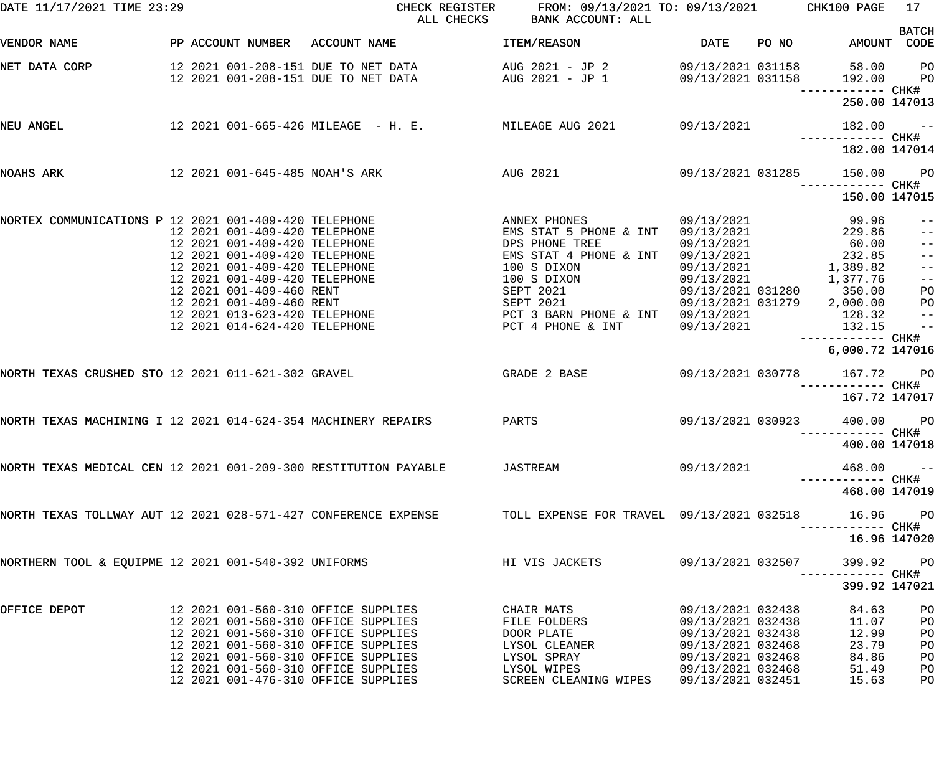| DATE 11/17/2021 TIME 23:29                                    |                               | CHECK REGISTER<br>ALL CHECKS                                                                                                 | FROM: 09/13/2021 TO: 09/13/2021 CHK100 PAGE<br>BANK ACCOUNT: ALL |                          |       |                                    | 17                               |
|---------------------------------------------------------------|-------------------------------|------------------------------------------------------------------------------------------------------------------------------|------------------------------------------------------------------|--------------------------|-------|------------------------------------|----------------------------------|
| VENDOR NAME                                                   |                               | PP ACCOUNT NUMBER ACCOUNT NAME                                                                                               | ITEM/REASON                                                      | DATE                     | PO NO | AMOUNT CODE                        | <b>BATCH</b>                     |
| NET DATA CORP                                                 |                               | 12 2021 001-208-151 DUE TO NET DATA AUG 2021 - JP 2 09/13/2021 031158<br>12 2021 001-208-151 DUE TO NET DATA AUG 2021 - JP 1 |                                                                  | 09/13/2021 031158        |       | 58.00<br>192.00                    | P <sub>O</sub><br>P <sub>O</sub> |
|                                                               |                               |                                                                                                                              |                                                                  |                          |       | 250.00 147013                      |                                  |
| NEU ANGEL                                                     |                               | 12 2021 001-665-426 MILEAGE - H. E. MILEAGE AUG 2021 09/13/2021                                                              |                                                                  |                          |       | 182.00<br>------------ CHK#        | $\sim$ $ -$                      |
|                                                               |                               |                                                                                                                              |                                                                  |                          |       | 182.00 147014                      |                                  |
| NOAHS ARK                                                     |                               | 12 2021 001-645-485 NOAH'S ARK<br><b>AUG 2021</b>                                                                            |                                                                  | 09/13/2021 031285        |       | 150.00                             | <b>PO</b>                        |
|                                                               |                               |                                                                                                                              |                                                                  |                          |       | 150.00 147015                      |                                  |
| NORTEX COMMUNICATIONS P 12 2021 001-409-420 TELEPHONE         | 12 2021 001-409-420 TELEPHONE |                                                                                                                              | ANNEX PHONES<br>EMS STAT 5 PHONE & INT                           | 09/13/2021<br>09/13/2021 |       | 99.96<br>229.86                    | $- -$<br>$\qquad \qquad -$       |
|                                                               | 12 2021 001-409-420 TELEPHONE |                                                                                                                              | DPS PHONE TREE                                                   | 09/13/2021               |       | 60.00                              | $-$                              |
|                                                               | 12 2021 001-409-420 TELEPHONE |                                                                                                                              | EMS STAT 4 PHONE & INT                                           | 09/13/2021               |       | 232.85                             | $-$                              |
|                                                               | 12 2021 001-409-420 TELEPHONE |                                                                                                                              | 100 S DIXON                                                      | 09/13/2021               |       | 1,389.82                           | $-$                              |
|                                                               | 12 2021 001-409-420 TELEPHONE |                                                                                                                              | 100 S DIXON                                                      | 09/13/2021               |       | 1,377.76                           | $ -$                             |
|                                                               | 12 2021 001-409-460 RENT      |                                                                                                                              | <b>SEPT 2021</b>                                                 | 09/13/2021 031280        |       | 350.00                             | PO                               |
|                                                               | 12 2021 001-409-460 RENT      |                                                                                                                              | <b>SEPT 2021</b>                                                 |                          |       | 09/13/2021 031279 2,000.00         | PO                               |
|                                                               | 12 2021 013-623-420 TELEPHONE |                                                                                                                              | PCT 3 BARN PHONE & INT                                           | 09/13/2021               |       | 128.32                             | $\qquad \qquad -$                |
|                                                               | 12 2021 014-624-420 TELEPHONE |                                                                                                                              | PCT 4 PHONE & INT                                                | 09/13/2021               |       | 132.15<br>—————————— CHK#          | $\frac{1}{2}$                    |
|                                                               |                               |                                                                                                                              |                                                                  |                          |       | 6,000.72 147016                    |                                  |
| NORTH TEXAS CRUSHED STO 12 2021 011-621-302 GRAVEL            |                               | GRADE 2 BASE                                                                                                                 |                                                                  | 09/13/2021 030778        |       | 167.72<br>------------ CHK#        | <b>PO</b>                        |
|                                                               |                               |                                                                                                                              |                                                                  |                          |       | 167.72 147017                      |                                  |
| NORTH TEXAS MACHINING I 12 2021 014-624-354 MACHINERY REPAIRS |                               |                                                                                                                              | PARTS                                                            | 09/13/2021 030923        |       | 400.00<br>----------- CHK#         | <b>PO</b>                        |
|                                                               |                               |                                                                                                                              |                                                                  |                          |       | 400.00 147018                      |                                  |
|                                                               |                               | NORTH TEXAS MEDICAL CEN 12 2021 001-209-300 RESTITUTION PAYABLE JASTREAM                                                     |                                                                  | 09/13/2021               |       | 468.00                             | $ -$                             |
|                                                               |                               |                                                                                                                              |                                                                  |                          |       | 468.00 147019                      |                                  |
|                                                               |                               | NORTH TEXAS TOLLWAY AUT 12 2021 028-571-427 CONFERENCE EXPENSE TOLL EXPENSE FOR TRAVEL 09/13/2021 032518                     |                                                                  |                          |       | 16.96<br>-----------         CHK#  | <b>PO</b>                        |
|                                                               |                               |                                                                                                                              |                                                                  |                          |       | 16.96 147020                       |                                  |
| NORTHERN TOOL & EQUIPME 12 2021 001-540-392 UNIFORMS          |                               |                                                                                                                              | HI VIS JACKETS                                                   | 09/13/2021 032507        |       | 399.92<br>-----------         CHK# | <b>PO</b>                        |
|                                                               |                               |                                                                                                                              |                                                                  |                          |       | 399.92 147021                      |                                  |
| OFFICE DEPOT                                                  |                               | 12 2021 001-560-310 OFFICE SUPPLIES                                                                                          | CHAIR MATS                                                       | 09/13/2021 032438        |       | 84.63                              | PO                               |
|                                                               |                               | 12 2021 001-560-310 OFFICE SUPPLIES                                                                                          | FILE FOLDERS                                                     | 09/13/2021 032438        |       | 11.07                              | PO                               |
|                                                               |                               | 12 2021 001-560-310 OFFICE SUPPLIES                                                                                          | DOOR PLATE                                                       | 09/13/2021 032438        |       | 12.99                              | PO                               |
|                                                               |                               | 12 2021 001-560-310 OFFICE SUPPLIES                                                                                          | LYSOL CLEANER                                                    | 09/13/2021 032468        |       | 23.79                              | PO                               |
|                                                               |                               | 12 2021 001-560-310 OFFICE SUPPLIES                                                                                          | LYSOL SPRAY                                                      | 09/13/2021 032468        |       | 84.86                              | PO                               |
|                                                               |                               | 12 2021 001-560-310 OFFICE SUPPLIES                                                                                          | LYSOL WIPES                                                      | 09/13/2021 032468        |       | 51.49                              | PO                               |
|                                                               |                               | 12 2021 001-476-310 OFFICE SUPPLIES                                                                                          | SCREEN CLEANING WIPES 09/13/2021 032451                          |                          |       | 15.63                              | PO                               |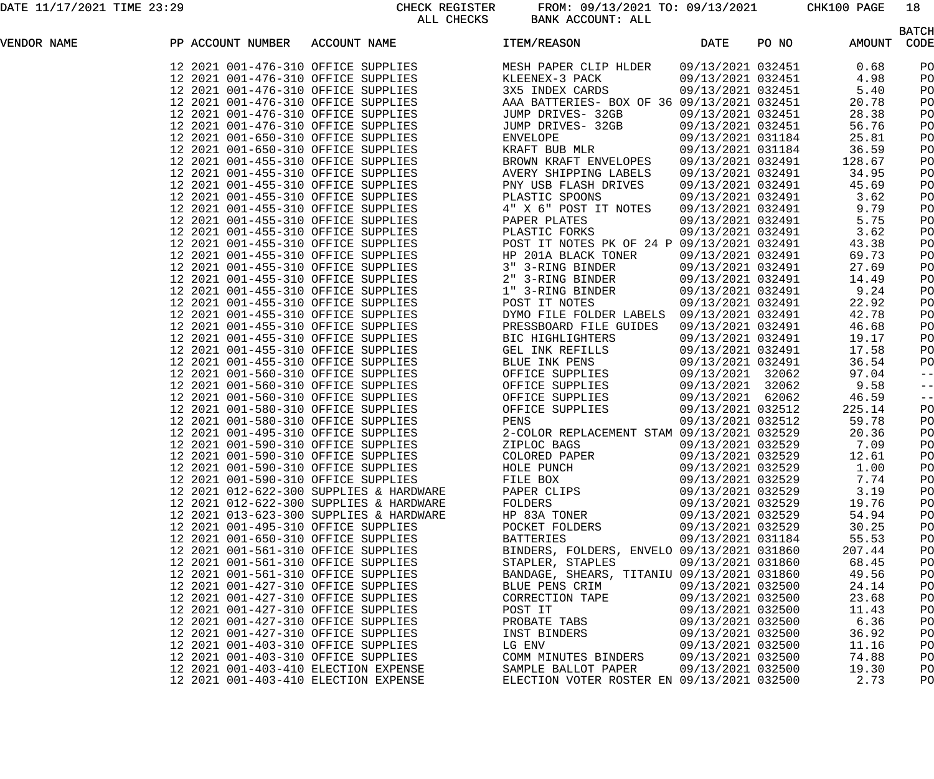|             |                                           |                                         |                                                                                                                                                                                                                                                         |                   |                   | <b>BATCH</b> |
|-------------|-------------------------------------------|-----------------------------------------|---------------------------------------------------------------------------------------------------------------------------------------------------------------------------------------------------------------------------------------------------------|-------------------|-------------------|--------------|
| VENDOR NAME | PP ACCOUNT NUMBER ACCOUNT NAME TEM/REASON |                                         | <b>Example 12 DATE</b><br>FF ACCOUNT ROWERS ACCOUNT RANG (1199) 1292 1214-2022 (1199) 1292 1214-2022 (1199) 1292 1214-2022 (1199) 1292 1214-2022 (1199) 1292 1214-2022 (1199) 1292 1214-2022 (1199) 1292 1214-2022 (1199) 1292 1214-2022 (1199) 1292 12 |                   | PO NO AMOUNT CODE |              |
|             |                                           |                                         |                                                                                                                                                                                                                                                         |                   |                   | PO           |
|             |                                           |                                         |                                                                                                                                                                                                                                                         |                   |                   | PO           |
|             |                                           |                                         |                                                                                                                                                                                                                                                         |                   |                   | PO           |
|             |                                           |                                         |                                                                                                                                                                                                                                                         |                   |                   | PO           |
|             |                                           |                                         |                                                                                                                                                                                                                                                         |                   |                   | PO           |
|             |                                           |                                         |                                                                                                                                                                                                                                                         |                   |                   | PO           |
|             |                                           |                                         |                                                                                                                                                                                                                                                         |                   |                   | PO           |
|             |                                           |                                         |                                                                                                                                                                                                                                                         |                   |                   | PO           |
|             |                                           |                                         |                                                                                                                                                                                                                                                         |                   |                   | PO           |
|             |                                           |                                         |                                                                                                                                                                                                                                                         |                   |                   | PO           |
|             |                                           |                                         |                                                                                                                                                                                                                                                         |                   |                   | PO           |
|             |                                           |                                         |                                                                                                                                                                                                                                                         |                   |                   | PO           |
|             |                                           |                                         |                                                                                                                                                                                                                                                         |                   |                   | PO           |
|             |                                           |                                         |                                                                                                                                                                                                                                                         |                   |                   | PO           |
|             |                                           |                                         |                                                                                                                                                                                                                                                         |                   |                   | PO           |
|             |                                           |                                         |                                                                                                                                                                                                                                                         |                   |                   | PO           |
|             |                                           |                                         |                                                                                                                                                                                                                                                         |                   |                   | PO           |
|             |                                           |                                         |                                                                                                                                                                                                                                                         |                   |                   | PO           |
|             |                                           |                                         |                                                                                                                                                                                                                                                         |                   |                   | PO           |
|             |                                           |                                         |                                                                                                                                                                                                                                                         |                   |                   | PO           |
|             |                                           |                                         |                                                                                                                                                                                                                                                         |                   |                   | PO           |
|             |                                           |                                         |                                                                                                                                                                                                                                                         |                   |                   | PO           |
|             |                                           |                                         |                                                                                                                                                                                                                                                         |                   |                   | PO           |
|             |                                           |                                         |                                                                                                                                                                                                                                                         |                   |                   | PO           |
|             |                                           |                                         |                                                                                                                                                                                                                                                         |                   |                   | PO           |
|             |                                           |                                         |                                                                                                                                                                                                                                                         |                   |                   | PO           |
|             |                                           |                                         |                                                                                                                                                                                                                                                         |                   |                   | $-$ -        |
|             |                                           |                                         |                                                                                                                                                                                                                                                         |                   |                   | $ -$         |
|             |                                           |                                         |                                                                                                                                                                                                                                                         |                   |                   | $ -$         |
|             |                                           |                                         |                                                                                                                                                                                                                                                         |                   |                   | PO           |
|             |                                           |                                         |                                                                                                                                                                                                                                                         |                   |                   | PO           |
|             |                                           |                                         |                                                                                                                                                                                                                                                         |                   |                   | PO           |
|             |                                           |                                         |                                                                                                                                                                                                                                                         |                   |                   | PO           |
|             |                                           |                                         |                                                                                                                                                                                                                                                         |                   |                   | PO           |
|             | 12 2021 001-590-310 OFFICE SUPPLIES       |                                         | HOLE PUNCH                                                                                                                                                                                                                                              | 09/13/2021 032529 | 1.00              | PO           |
|             | 12 2021 001-590-310 OFFICE SUPPLIES       |                                         | FILE BOX                                                                                                                                                                                                                                                | 09/13/2021 032529 | 7.74              | PO           |
|             |                                           | 12 2021 012-622-300 SUPPLIES & HARDWARE | PAPER CLIPS                                                                                                                                                                                                                                             | 09/13/2021 032529 | 3.19              | PO           |
|             |                                           | 12 2021 012-622-300 SUPPLIES & HARDWARE | FOLDERS                                                                                                                                                                                                                                                 | 09/13/2021 032529 | 19.76             | PO           |
|             |                                           | 12 2021 013-623-300 SUPPLIES & HARDWARE | HP 83A TONER                                                                                                                                                                                                                                            | 09/13/2021 032529 | 54.94             | PO           |
|             | 12 2021 001-495-310 OFFICE SUPPLIES       |                                         | POCKET FOLDERS                                                                                                                                                                                                                                          | 09/13/2021 032529 | 30.25             | PO           |
|             | 12 2021 001-650-310 OFFICE SUPPLIES       |                                         | <b>BATTERIES</b>                                                                                                                                                                                                                                        | 09/13/2021 031184 | 55.53             | PO           |
|             | 12 2021 001-561-310 OFFICE SUPPLIES       |                                         | BINDERS, FOLDERS, ENVELO 09/13/2021 031860                                                                                                                                                                                                              |                   | 207.44            | PO           |
|             | 12 2021 001-561-310 OFFICE SUPPLIES       |                                         | STAPLER, STAPLES                                                                                                                                                                                                                                        | 09/13/2021 031860 | 68.45             | PO           |
|             | 12 2021 001-561-310 OFFICE SUPPLIES       |                                         | BANDAGE, SHEARS, TITANIU 09/13/2021 031860                                                                                                                                                                                                              |                   | 49.56             | PO           |
|             | 12 2021 001-427-310 OFFICE SUPPLIES       |                                         | BLUE PENS CRIM                                                                                                                                                                                                                                          | 09/13/2021 032500 | 24.14             | PO           |
|             | 12 2021 001-427-310 OFFICE SUPPLIES       |                                         | CORRECTION TAPE                                                                                                                                                                                                                                         | 09/13/2021 032500 | 23.68             | PO           |
|             | 12 2021 001-427-310 OFFICE SUPPLIES       |                                         | POST IT                                                                                                                                                                                                                                                 | 09/13/2021 032500 | 11.43             | PO           |
|             | 12 2021 001-427-310 OFFICE SUPPLIES       |                                         | PROBATE TABS                                                                                                                                                                                                                                            | 09/13/2021 032500 | 6.36              | PO           |
|             | 12 2021 001-427-310 OFFICE SUPPLIES       |                                         | INST BINDERS                                                                                                                                                                                                                                            | 09/13/2021 032500 | 36.92             | PO           |
|             | 12 2021 001-403-310 OFFICE SUPPLIES       |                                         | LG ENV                                                                                                                                                                                                                                                  | 09/13/2021 032500 | 11.16             | PO           |
|             | 12 2021 001-403-310 OFFICE SUPPLIES       |                                         | COMM MINUTES BINDERS                                                                                                                                                                                                                                    | 09/13/2021 032500 | 74.88             | PO           |
|             | 12 2021 001-403-410 ELECTION EXPENSE      |                                         | SAMPLE BALLOT PAPER                                                                                                                                                                                                                                     | 09/13/2021 032500 | 19.30             | PO           |
|             | 12 2021 001-403-410 ELECTION EXPENSE      |                                         | ELECTION VOTER ROSTER EN 09/13/2021 032500                                                                                                                                                                                                              |                   | 2.73              | PO           |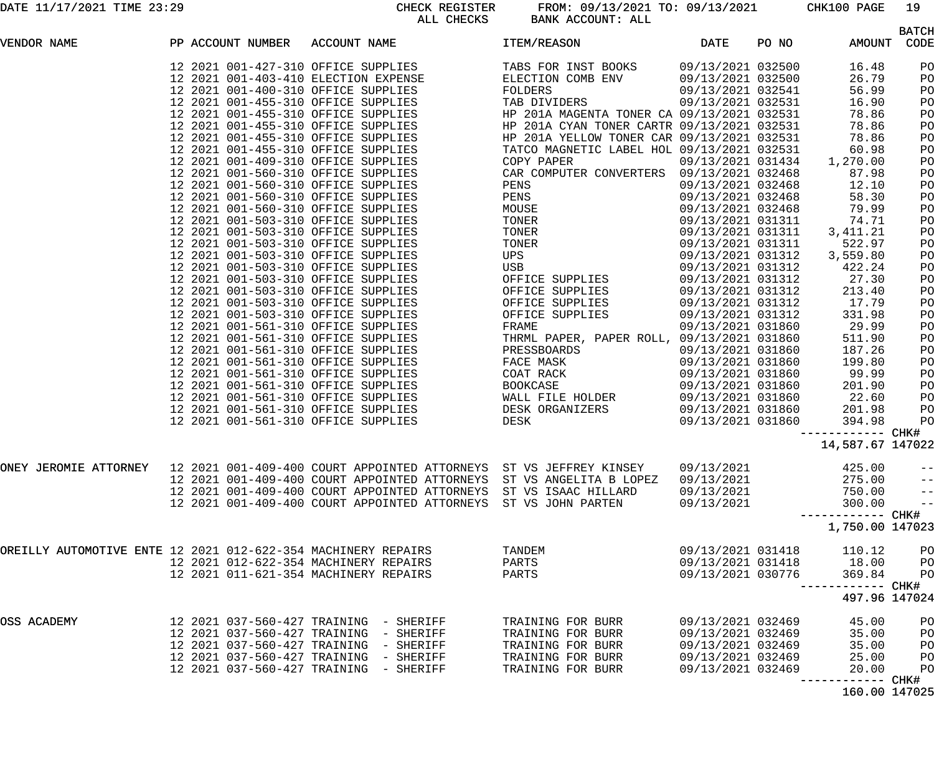DATE 11/17/2021 TIME 23:29 CHECK REGISTER FROM: 09/13/2021 TO: 09/13/2021 CHK100 PAGE 19 BANK ACCOUNT: ALL

|                                                               |  |                   |                                                                                                                    |                                                       |                   |       |                   | <b>BATCH</b>          |
|---------------------------------------------------------------|--|-------------------|--------------------------------------------------------------------------------------------------------------------|-------------------------------------------------------|-------------------|-------|-------------------|-----------------------|
| VENDOR NAME                                                   |  | PP ACCOUNT NUMBER | ACCOUNT NAME                                                                                                       | ITEM/REASON                                           | DATE              | PO NO | AMOUNT            | CODE                  |
|                                                               |  |                   | 12 2021 001-427-310 OFFICE SUPPLIES<br>12 2021 001-403-410 ELECTION EXPENSE<br>12 2021 001-400-310 OFFICE SUPPLIES | TABS FOR INST BOOKS                                   | 09/13/2021 032500 |       | 16.48             | PO                    |
|                                                               |  |                   |                                                                                                                    | ELECTION COMB ENV                                     | 09/13/2021 032500 |       | 26.79             | PO                    |
|                                                               |  |                   |                                                                                                                    | FOLDERS                                               | 09/13/2021 032541 |       | 56.99             | PO                    |
|                                                               |  |                   | 12 2021 001-455-310 OFFICE SUPPLIES                                                                                | TAB DIVIDERS                                          | 09/13/2021 032531 |       | 16.90             | PO                    |
|                                                               |  |                   | 12 2021 001-455-310 OFFICE SUPPLIES                                                                                | HP 201A MAGENTA TONER CA 09/13/2021 032531            |                   |       | 78.86             | PO                    |
|                                                               |  |                   | 12 2021 001-455-310 OFFICE SUPPLIES                                                                                | HP 201A CYAN TONER CARTR 09/13/2021 032531            |                   |       | 78.86             | PO                    |
|                                                               |  |                   | 12 2021 001-455-310 OFFICE SUPPLIES                                                                                | HP 201A YELLOW TONER CAR 09/13/2021 032531            |                   |       | 78.86             | PO                    |
|                                                               |  |                   | 12 2021 001-455-310 OFFICE SUPPLIES                                                                                | TATCO MAGNETIC LABEL HOL 09/13/2021 032531            |                   |       | 60.98             | PO                    |
|                                                               |  |                   | 12 2021 001-409-310 OFFICE SUPPLIES                                                                                | COPY PAPER                                            | 09/13/2021 031434 |       | 1,270.00          | PO                    |
|                                                               |  |                   | 12 2021 001-560-310 OFFICE SUPPLIES                                                                                | CAR COMPUTER CONVERTERS 09/13/2021 032468             |                   |       | 87.98             | PO                    |
|                                                               |  |                   | 12 2021 001-560-310 OFFICE SUPPLIES                                                                                | PENS                                                  | 09/13/2021 032468 |       | 12.10             | PO                    |
|                                                               |  |                   | 12 2021 001-560-310 OFFICE SUPPLIES                                                                                | PENS                                                  | 09/13/2021 032468 |       | 58.30             | PO                    |
|                                                               |  |                   | 12 2021 001-560-310 OFFICE SUPPLIES                                                                                | MOUSE                                                 | 09/13/2021 032468 |       | 79.99             | PO                    |
|                                                               |  |                   | 12 2021 001-503-310 OFFICE SUPPLIES                                                                                | TONER                                                 | 09/13/2021 031311 |       | 74.71             | PO                    |
|                                                               |  |                   | 12 2021 001-503-310 OFFICE SUPPLIES                                                                                | TONER                                                 | 09/13/2021 031311 |       | 3, 411. 21        | PO                    |
|                                                               |  |                   | 12 2021 001-503-310 OFFICE SUPPLIES                                                                                | TONER                                                 | 09/13/2021 031311 |       | 522.97            | PO                    |
|                                                               |  |                   | 12 2021 001-503-310 OFFICE SUPPLIES                                                                                | UPS                                                   | 09/13/2021 031312 |       | 3,559.80          | PO                    |
|                                                               |  |                   | 12 2021 001-503-310 OFFICE SUPPLIES                                                                                | USB                                                   | 09/13/2021 031312 |       | 422.24            | PO                    |
|                                                               |  |                   | 12 2021 001-503-310 OFFICE SUPPLIES                                                                                | OFFICE SUPPLIES                                       | 09/13/2021 031312 |       | 27.30             | PO                    |
|                                                               |  |                   | 12 2021 001-503-310 OFFICE SUPPLIES                                                                                |                                                       | 09/13/2021 031312 |       | 213.40            | PO                    |
|                                                               |  |                   | 12 2021 001-503-310 OFFICE SUPPLIES                                                                                | OFFICE SUPPLIES<br>OFFICE SUPPLIES<br>OFFICE SUPPLIES | 09/13/2021 031312 |       | 17.79             | PO                    |
|                                                               |  |                   | 12 2021 001-503-310 OFFICE SUPPLIES                                                                                | OFFICE SUPPLIES                                       | 09/13/2021 031312 |       | 331.98            | PO                    |
|                                                               |  |                   | 12 2021 001-561-310 OFFICE SUPPLIES                                                                                | FRAME                                                 | 09/13/2021 031860 |       | 29.99             | PO                    |
|                                                               |  |                   | 12 2021 001-561-310 OFFICE SUPPLIES                                                                                | THRML PAPER, PAPER ROLL, 09/13/2021 031860            |                   |       | 511.90            | PO                    |
|                                                               |  |                   | 12 2021 001-561-310 OFFICE SUPPLIES                                                                                | PRESSBOARDS                                           | 09/13/2021 031860 |       | 187.26            | PO                    |
|                                                               |  |                   | 12 2021 001-561-310 OFFICE SUPPLIES                                                                                | FACE MASK                                             | 09/13/2021 031860 |       | 199.80            | PO                    |
|                                                               |  |                   | 12 2021 001-561-310 OFFICE SUPPLIES                                                                                | COAT RACK                                             | 09/13/2021 031860 |       | 99.99             | PO                    |
|                                                               |  |                   | 12 2021 001-561-310 OFFICE SUPPLIES                                                                                | BOOKCASE                                              | 09/13/2021 031860 |       | 201.90            | PO                    |
|                                                               |  |                   | 12 2021 001-561-310 OFFICE SUPPLIES                                                                                | WALL FILE HOLDER                                      | 09/13/2021 031860 |       | 22.60             | PO                    |
|                                                               |  |                   | 12 2021 001-561-310 OFFICE SUPPLIES                                                                                | DESK ORGANIZERS                                       | 09/13/2021 031860 |       | 201.98            | PO                    |
|                                                               |  |                   | 12 2021 001-561-310 OFFICE SUPPLIES                                                                                | DESK                                                  | 09/13/2021 031860 |       | 394.98            | PO                    |
|                                                               |  |                   |                                                                                                                    |                                                       |                   |       | ------------ CHK# |                       |
|                                                               |  |                   |                                                                                                                    |                                                       |                   |       | 14,587.67 147022  |                       |
|                                                               |  |                   | ONEY JEROMIE ATTORNEY 12 2021 001-409-400 COURT APPOINTED ATTORNEYS ST VS JEFFREY KINSEY 09/13/2021                |                                                       |                   |       | 425.00            |                       |
|                                                               |  |                   | 12 2021 001-409-400 COURT APPOINTED ATTORNEYS ST VS ANGELITA B LOPEZ                                               |                                                       | 09/13/2021        |       | 275.00            | $ -$                  |
|                                                               |  |                   | 12 2021 001-409-400 COURT APPOINTED ATTORNEYS ST VS ISAAC HILLARD                                                  |                                                       |                   |       | 750.00            | $- -$                 |
|                                                               |  |                   | 12 2021 001-409-400 COURT APPOINTED ATTORNEYS                                                                      |                                                       | 09/13/2021        |       |                   | $ -$<br>$\frac{1}{2}$ |
|                                                               |  |                   |                                                                                                                    | ST VS JOHN PARTEN                                     | 09/13/2021        |       | 300.00            |                       |
|                                                               |  |                   |                                                                                                                    |                                                       |                   |       | 1,750.00 147023   |                       |
| OREILLY AUTOMOTIVE ENTE 12 2021 012-622-354 MACHINERY REPAIRS |  |                   |                                                                                                                    | TANDEM                                                | 09/13/2021 031418 |       | 110.12            | PO                    |
|                                                               |  |                   | 12 2021 012-622-354 MACHINERY REPAIRS                                                                              | PARTS                                                 | 09/13/2021 031418 |       | 18.00             | PO                    |
|                                                               |  |                   | 12 2021 011-621-354 MACHINERY REPAIRS                                                                              | PARTS                                                 | 09/13/2021 030776 |       | 369.84            | PO                    |
|                                                               |  |                   |                                                                                                                    |                                                       |                   |       | ----------- CHK#  |                       |
|                                                               |  |                   |                                                                                                                    |                                                       |                   |       | 497.96 147024     |                       |
| OSS ACADEMY                                                   |  |                   | 12   2021   037-560-427   TRAINING - SHERIFF                                                                       | TRAINING FOR BURR                                     | 09/13/2021 032469 |       | 45.00             | PO                    |
|                                                               |  |                   | 12  2021  037-560-427  TRAINING - SHERIFF                                                                          | TRAINING FOR BURR                                     | 09/13/2021 032469 |       | 35.00             | PO                    |
|                                                               |  |                   | 12  2021  037-560-427  TRAINING - SHERIFF                                                                          | TRAINING FOR BURR                                     | 09/13/2021 032469 |       | 35.00             | PO                    |
|                                                               |  |                   | 12  2021  037-560-427  TRAINING - SHERIFF                                                                          | TRAINING FOR BURR                                     | 09/13/2021 032469 |       | 25.00             | PO                    |
|                                                               |  |                   | 12  2021  037-560-427  TRAINING - SHERIFF                                                                          | TRAINING FOR BURR                                     | 09/13/2021 032469 |       | 20.00             | PO                    |
|                                                               |  |                   |                                                                                                                    |                                                       |                   |       | --------- CHK#    |                       |
|                                                               |  |                   |                                                                                                                    |                                                       |                   |       | 160.00 147025     |                       |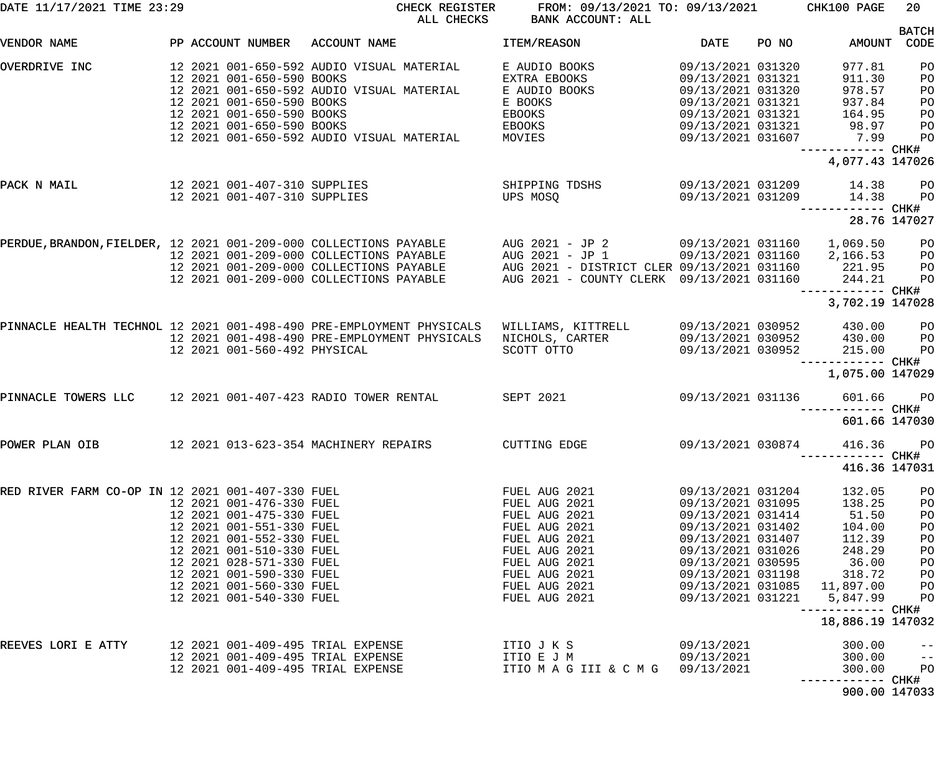| DATE 11/17/2021 TIME 23:29                       |                                                        | CHECK REGISTER<br>ALL CHECKS                                                                                                                 | FROM: 09/13/2021 TO: 09/13/2021 CHK100 PAGE<br>BANK ACCOUNT: ALL |                                                             |       |                                                                                   | 20                         |
|--------------------------------------------------|--------------------------------------------------------|----------------------------------------------------------------------------------------------------------------------------------------------|------------------------------------------------------------------|-------------------------------------------------------------|-------|-----------------------------------------------------------------------------------|----------------------------|
| VENDOR NAME                                      | PP ACCOUNT NUMBER                                      | ACCOUNT NAME                                                                                                                                 | ITEM/REASON                                                      | DATE                                                        | PO NO | AMOUNT CODE                                                                       | <b>BATCH</b>               |
| OVERDRIVE INC                                    | 12 2021 001-650-590 BOOKS                              | 12 2021 001-650-592 AUDIO VISUAL MATERIAL                                                                                                    | E AUDIO BOOKS<br>EXTRA EBOOKS                                    | 09/13/2021 031320<br>09/13/2021 031321                      |       | 977.81<br>911.30                                                                  | PO<br>PO                   |
|                                                  | 12 2021 001-650-590 BOOKS<br>12 2021 001-650-590 BOOKS | 12 2021 001-650-592 AUDIO VISUAL MATERIAL                                                                                                    | E AUDIO BOOKS<br>E BOOKS<br>EBOOKS                               | 09/13/2021 031320<br>09/13/2021 031321<br>09/13/2021 031321 |       | 978.57<br>937.84                                                                  | PO<br>PO<br>PO             |
|                                                  | 12 2021 001-650-590 BOOKS                              | 12 2021 001-650-592 AUDIO VISUAL MATERIAL                                                                                                    | EBOOKS<br>MOVIES                                                 | 09/13/2021 031321<br>09/13/2021 031607                      |       | $\begin{array}{cc} 164.7 \\ 1 \end{array}$<br>1 98.97<br>7.9<br>------------ CHK# | PO<br>PO                   |
|                                                  |                                                        |                                                                                                                                              |                                                                  |                                                             |       | 4,077.43 147026                                                                   |                            |
| PACK N MAIL                                      | 12 2021 001-407-310 SUPPLIES                           | 12 2021 001-407-310 SUPPLIES                                                                                                                 | SHIPPING TDSHS<br>UPS MOSO                                       | 09/13/2021 031209                                           |       | 09/13/2021 031209 14.38<br>14.38<br>------------ CHK#                             | <b>PO</b><br>$P$ O         |
|                                                  |                                                        |                                                                                                                                              |                                                                  |                                                             |       | 28.76 147027                                                                      |                            |
|                                                  |                                                        | PERDUE,BRANDON,FIELDER, 12 2021 001-209-000 COLLECTIONS PAYABLE AUG 2021 - JP 2 09/13/2021 031160<br>12 2021 001-209-000 COLLECTIONS PAYABLE |                                                                  |                                                             |       | 1,069.50<br>2,166.53                                                              | P <sub>O</sub><br>PO       |
|                                                  |                                                        | 12 2021 001-209-000 COLLECTIONS PAYABLE<br>12 2021 001-209-000 COLLECTIONS PAYABLE                                                           |                                                                  |                                                             |       | 221.95<br>244.21                                                                  | PO<br>PO                   |
|                                                  |                                                        |                                                                                                                                              |                                                                  |                                                             |       | 3,702.19 147028                                                                   |                            |
|                                                  | 12 2021 001-560-492 PHYSICAL                           | PINNACLE HEALTH TECHNOL 12 2021 001-498-490 PRE-EMPLOYMENT PHYSICALS<br>12 2021 001-498-490 PRE-EMPLOYMENT PHYSICALS                         | WILLIAMS, KITTRELL<br>NICHOLS, CARTER<br>SCOTT OTTO              | 09/13/2021 030952<br>09/13/2021 030952<br>09/13/2021 030952 |       | 430.00<br>430.00<br>215.00                                                        | PО<br>P <sub>O</sub><br>PO |
|                                                  |                                                        |                                                                                                                                              |                                                                  |                                                             |       | —————————— CHK#<br>1,075.00 147029                                                |                            |
|                                                  |                                                        | PINNACLE TOWERS LLC   12 2021 001-407-423 RADIO TOWER RENTAL      SEPT 2021                                                                  |                                                                  | 09/13/2021 031136                                           |       | 601.66 PO<br>------------ CHK#                                                    |                            |
|                                                  |                                                        |                                                                                                                                              |                                                                  |                                                             |       | 601.66 147030                                                                     |                            |
|                                                  |                                                        | POWER PLAN OIB               12 2021 013-623-354 MACHINERY REPAIRS                                                                           | CUTTING EDGE                                                     |                                                             |       | 09/13/2021 030874 416.36 PO<br>----------- CHK#                                   |                            |
|                                                  |                                                        |                                                                                                                                              |                                                                  |                                                             |       | 416.36 147031                                                                     |                            |
| RED RIVER FARM CO-OP IN 12 2021 001-407-330 FUEL | 12 2021 001-476-330 FUEL                               |                                                                                                                                              | FUEL AUG 2021<br>FUEL AUG 2021                                   | 09/13/2021 031204<br>09/13/2021 031095                      |       | 132.05<br>138.25                                                                  | PO<br>PO                   |
|                                                  | 12 2021 001-475-330 FUEL<br>12 2021 001-551-330 FUEL   |                                                                                                                                              | FUEL AUG 2021<br>FUEL AUG 2021                                   | 09/13/2021 031414<br>09/13/2021 031402                      |       | 51.50<br>104.00                                                                   | PO<br>PO                   |
|                                                  | 12 2021 001-552-330 FUEL                               |                                                                                                                                              | FUEL AUG 2021                                                    | 09/13/2021 031407                                           |       | 112.39                                                                            | PO                         |
|                                                  | 12 2021 001-510-330 FUEL                               |                                                                                                                                              | FUEL AUG 2021                                                    | 09/13/2021 031026                                           |       | 248.29                                                                            | PO                         |
|                                                  | 12 2021 028-571-330 FUEL<br>12 2021 001-590-330 FUEL   |                                                                                                                                              | FUEL AUG 2021<br>FUEL AUG 2021                                   | 09/13/2021 030595<br>09/13/2021 031198                      |       | 36.00<br>318.72                                                                   | PO<br>PO                   |
|                                                  | 12 2021 001-560-330 FUEL                               |                                                                                                                                              | FUEL AUG 2021                                                    | 09/13/2021 031085                                           |       | 11,897.00                                                                         | P <sub>O</sub>             |
|                                                  | 12 2021 001-540-330 FUEL                               |                                                                                                                                              | FUEL AUG 2021                                                    | 09/13/2021 031221                                           |       | 5,847.99                                                                          | PO                         |
|                                                  |                                                        |                                                                                                                                              |                                                                  |                                                             |       | 18,886.19 147032                                                                  |                            |
| REEVES LORI E ATTY                               |                                                        | 12 2021 001-409-495 TRIAL EXPENSE                                                                                                            | ITIO J K S                                                       | 09/13/2021                                                  |       | 300.00                                                                            | $-\, -$                    |
|                                                  |                                                        | 12 2021 001-409-495 TRIAL EXPENSE<br>12 2021 001-409-495 TRIAL EXPENSE                                                                       | ITIO E J M<br>ITIO M A G III & C M G                             | 09/13/2021<br>09/13/2021                                    |       | 300.00<br>300.00<br>—————————— CHK#                                               | $- -$<br>PO                |
|                                                  |                                                        |                                                                                                                                              |                                                                  |                                                             |       | 900.00 147033                                                                     |                            |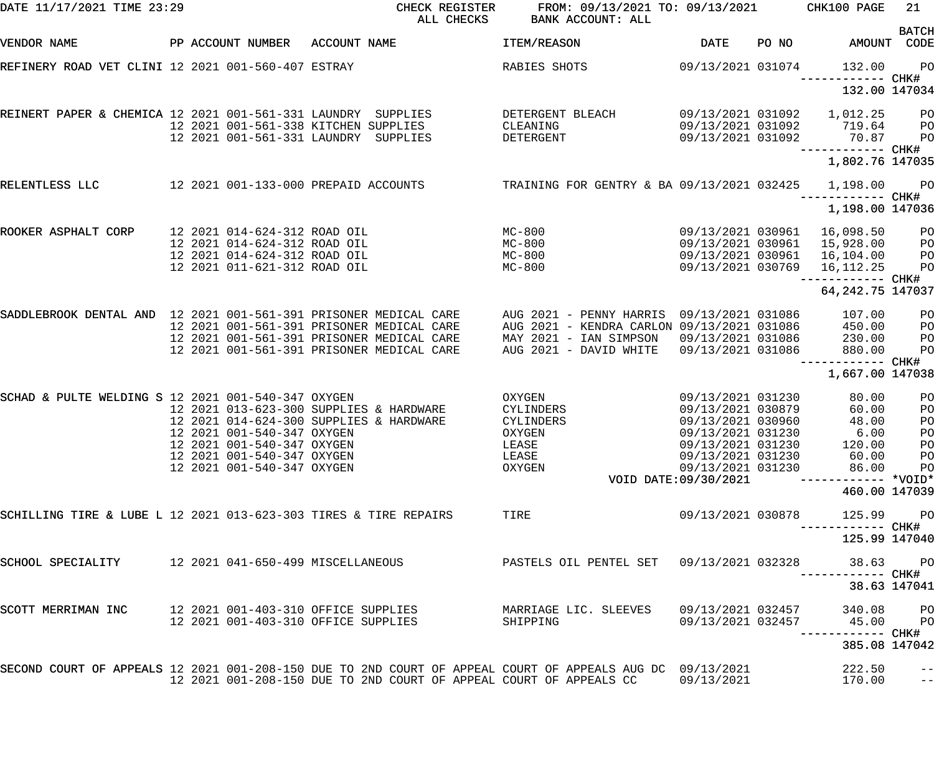| DATE 11/17/2021 TIME 23:29                                       |  |                                                              | CHECK REGISTER<br>ALL CHECKS                                                                                                                                                    | FROM: 09/13/2021 TO: 09/13/2021<br>BANK ACCOUNT: ALL                                    |                                        |       | CHK100 PAGE                   | 21                           |
|------------------------------------------------------------------|--|--------------------------------------------------------------|---------------------------------------------------------------------------------------------------------------------------------------------------------------------------------|-----------------------------------------------------------------------------------------|----------------------------------------|-------|-------------------------------|------------------------------|
| VENDOR NAME                                                      |  | PP ACCOUNT NUMBER                                            | ACCOUNT NAME                                                                                                                                                                    | ITEM/REASON                                                                             | <b>DATE</b>                            | PO NO | AMOUNT                        | <b>BATCH</b><br>CODE         |
| REFINERY ROAD VET CLINI 12 2021 001-560-407 ESTRAY               |  |                                                              |                                                                                                                                                                                 | RABIES SHOTS                                                                            | 09/13/2021 031074                      |       | 132.00<br>------------ CHK#   | P <sub>O</sub>               |
|                                                                  |  |                                                              |                                                                                                                                                                                 |                                                                                         |                                        |       | 132.00 147034                 |                              |
| REINERT PAPER & CHEMICA 12 2021 001-561-331 LAUNDRY SUPPLIES     |  |                                                              | 12 2021 001-561-338 KITCHEN SUPPLIES                                                                                                                                            | DETERGENT BLEACH<br>CLEANING                                                            | 09/13/2021 031092<br>09/13/2021 031092 |       | 1,012.25<br>719.64            | PO<br>PO                     |
|                                                                  |  |                                                              | 12 2021 001-561-331 LAUNDRY SUPPLIES                                                                                                                                            | DETERGENT                                                                               | 09/13/2021 031092                      |       | 70.87<br>------------ CHK#    | PO                           |
|                                                                  |  |                                                              |                                                                                                                                                                                 |                                                                                         |                                        |       | 1,802.76 147035               |                              |
| RELENTLESS LLC                                                   |  |                                                              | 12 2021 001-133-000 PREPAID ACCOUNTS                                                                                                                                            | TRAINING FOR GENTRY & BA 09/13/2021 032425                                              |                                        |       | 1,198.00<br>------------ CHK# | $P$ O                        |
|                                                                  |  |                                                              |                                                                                                                                                                                 |                                                                                         |                                        |       | 1,198.00 147036               |                              |
| ROOKER ASPHALT CORP                                              |  | 12 2021 014-624-312 ROAD OIL<br>12 2021 014-624-312 ROAD OIL |                                                                                                                                                                                 | MC-800<br>$MC-800$                                                                      | 09/13/2021 030961<br>09/13/2021 030961 |       | 16,098.50<br>15,928.00        | PO<br>PO                     |
|                                                                  |  | 12 2021 014-624-312 ROAD OIL<br>12 2021 011-621-312 ROAD OIL |                                                                                                                                                                                 | $MC-800$<br>$MC-800$                                                                    | 09/13/2021 030961<br>09/13/2021 030769 |       | 16,104.00<br>16,112.25        | PO<br>PO                     |
|                                                                  |  |                                                              |                                                                                                                                                                                 |                                                                                         |                                        |       | 64, 242. 75 147037            |                              |
| SADDLEBROOK DENTAL AND 12 2021 001-561-391 PRISONER MEDICAL CARE |  |                                                              | 12 2021 001-561-391 PRISONER MEDICAL CARE                                                                                                                                       | AUG 2021 - PENNY HARRIS 09/13/2021 031086<br>AUG 2021 - KENDRA CARLON 09/13/2021 031086 |                                        |       | 107.00<br>450.00              | PO<br>PO                     |
|                                                                  |  |                                                              | 12 2021 001-561-391 PRISONER MEDICAL CARE                                                                                                                                       | MAY 2021 - IAN SIMPSON                                                                  | 09/13/2021 031086                      |       | 230.00                        | PO                           |
|                                                                  |  |                                                              | 12 2021 001-561-391 PRISONER MEDICAL CARE                                                                                                                                       | AUG 2021 - DAVID WHITE                                                                  | 09/13/2021 031086                      |       | 880.00<br>------------ CHK#   | PO                           |
|                                                                  |  |                                                              |                                                                                                                                                                                 |                                                                                         |                                        |       | 1,667.00 147038               |                              |
| SCHAD & PULTE WELDING S 12 2021 001-540-347 OXYGEN               |  |                                                              |                                                                                                                                                                                 | OXYGEN                                                                                  | 09/13/2021 031230                      |       | 80.00                         | PO                           |
|                                                                  |  |                                                              | 12 2021 013-623-300 SUPPLIES & HARDWARE<br>12 2021 014-624-300 SUPPLIES & HARDWARE                                                                                              | CYLINDERS<br>CYLINDERS                                                                  | 09/13/2021 030879<br>09/13/2021 030960 |       | 60.00<br>48.00                | PO<br>PO                     |
|                                                                  |  | 12 2021 001-540-347 OXYGEN                                   |                                                                                                                                                                                 | OXYGEN                                                                                  | 09/13/2021 031230                      |       | 6.00                          | PO                           |
|                                                                  |  | 12 2021 001-540-347 OXYGEN                                   |                                                                                                                                                                                 | LEASE                                                                                   | 09/13/2021 031230                      |       | 120.00                        | PO                           |
|                                                                  |  | 12 2021 001-540-347 OXYGEN                                   |                                                                                                                                                                                 | LEASE                                                                                   | 09/13/2021 031230                      |       | 60.00                         | P <sub>O</sub>               |
|                                                                  |  | 12 2021 001-540-347 OXYGEN                                   |                                                                                                                                                                                 | OXYGEN                                                                                  | 09/13/2021 031230                      |       | 86.00                         | PO                           |
|                                                                  |  |                                                              |                                                                                                                                                                                 |                                                                                         | VOID DATE: 09/30/2021                  |       |                               |                              |
|                                                                  |  |                                                              |                                                                                                                                                                                 |                                                                                         |                                        |       | 460.00 147039                 |                              |
| SCHILLING TIRE & LUBE L 12 2021 013-623-303 TIRES & TIRE REPAIRS |  |                                                              |                                                                                                                                                                                 | TIRE                                                                                    | 09/13/2021 030878                      |       | 125.99                        | P <sub>O</sub><br>----- CHK# |
|                                                                  |  |                                                              |                                                                                                                                                                                 |                                                                                         |                                        |       | 125.99 147040                 |                              |
| SCHOOL SPECIALITY                                                |  |                                                              | 12 2021 041-650-499 MISCELLANEOUS                                                                                                                                               | PASTELS OIL PENTEL SET 09/13/2021 032328                                                |                                        |       | 38.63<br>------ CHK#          | $P$ O                        |
|                                                                  |  |                                                              |                                                                                                                                                                                 |                                                                                         |                                        |       | 38.63 147041                  |                              |
| SCOTT MERRIMAN INC                                               |  |                                                              | 12 2021 001-403-310 OFFICE SUPPLIES<br>12 2021 001-403-310 OFFICE SUPPLIES                                                                                                      | MARRIAGE LIC. SLEEVES<br>SHIPPING                                                       | 09/13/2021 032457<br>09/13/2021 032457 |       | 340.08<br>45.00               | PO<br>P <sub>O</sub>         |
|                                                                  |  |                                                              |                                                                                                                                                                                 |                                                                                         |                                        |       | ------ CHK#<br>385.08 147042  |                              |
|                                                                  |  |                                                              | SECOND COURT OF APPEALS 12 2021 001-208-150 DUE TO 2ND COURT OF APPEAL COURT OF APPEALS AUG DC 09/13/2021<br>12 2021 001-208-150 DUE TO 2ND COURT OF APPEAL COURT OF APPEALS CC |                                                                                         | 09/13/2021                             |       | 222.50<br>170.00              | $\qquad \qquad -$<br>$- -$   |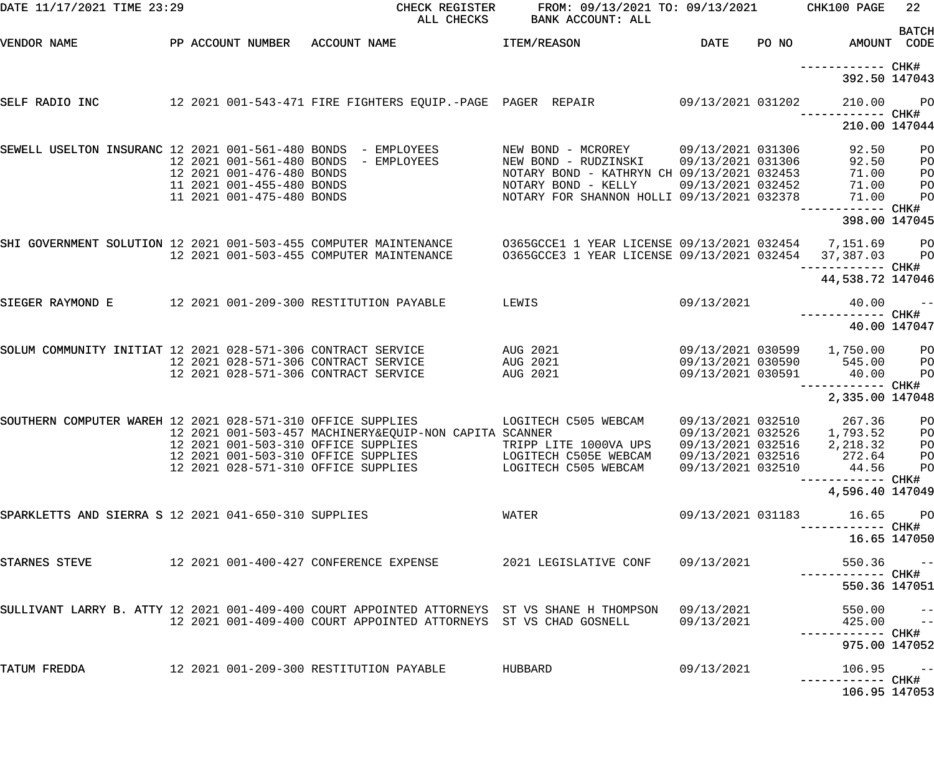| DATE 11/17/2021 TIME 23:29                                    |                           | CHECK REGISTER<br>ALL CHECKS                                                                                                                                               | FROM: 09/13/2021 TO: 09/13/2021<br>BANK ACCOUNT: ALL |                                        | CHK100 PAGE                   | 22                                                                                                                                                                                                                                                                                                                                                                                                                                                                              |
|---------------------------------------------------------------|---------------------------|----------------------------------------------------------------------------------------------------------------------------------------------------------------------------|------------------------------------------------------|----------------------------------------|-------------------------------|---------------------------------------------------------------------------------------------------------------------------------------------------------------------------------------------------------------------------------------------------------------------------------------------------------------------------------------------------------------------------------------------------------------------------------------------------------------------------------|
| VENDOR NAME                                                   |                           | PP ACCOUNT NUMBER ACCOUNT NAME                                                                                                                                             | ITEM/REASON                                          | DATE                                   | PO NO AMOUNT CODE             | <b>BATCH</b>                                                                                                                                                                                                                                                                                                                                                                                                                                                                    |
|                                                               |                           |                                                                                                                                                                            |                                                      |                                        | 392.50 147043                 |                                                                                                                                                                                                                                                                                                                                                                                                                                                                                 |
| SELF RADIO INC                                                |                           | 12 2021 001-543-471 FIRE FIGHTERS EQUIP.-PAGE PAGER REPAIR        09/13/2021 031202                                                                                        |                                                      |                                        | 210.00                        | <b>PO</b>                                                                                                                                                                                                                                                                                                                                                                                                                                                                       |
|                                                               |                           |                                                                                                                                                                            |                                                      |                                        | 210.00 147044                 |                                                                                                                                                                                                                                                                                                                                                                                                                                                                                 |
| SEWELL USELTON INSURANC 12 2021 001-561-480 BONDS - EMPLOYEES | 12 2021 001-561-480 BONDS | - EMPLOYEES                                                                                                                                                                | NEW BOND - MCROREY<br>NEW BOND - RUDZINSKI           | 09/13/2021 031306<br>09/13/2021 031306 | 92.50<br>92.50                | PO<br>P <sub>O</sub>                                                                                                                                                                                                                                                                                                                                                                                                                                                            |
|                                                               | 12 2021 001-476-480 BONDS |                                                                                                                                                                            | NOTARY BOND - KATHRYN CH 09/13/2021 032453           |                                        | 71.00                         | P <sub>O</sub>                                                                                                                                                                                                                                                                                                                                                                                                                                                                  |
|                                                               | 11 2021 001-455-480 BONDS |                                                                                                                                                                            | NOTARY BOND - KELLY                                  | 09/13/2021 032452                      | 71.00                         | $P$ O                                                                                                                                                                                                                                                                                                                                                                                                                                                                           |
|                                                               | 11 2021 001-475-480 BONDS |                                                                                                                                                                            | NOTARY FOR SHANNON HOLLI 09/13/2021 032378           |                                        | 71.00                         | P <sub>O</sub>                                                                                                                                                                                                                                                                                                                                                                                                                                                                  |
|                                                               |                           |                                                                                                                                                                            |                                                      |                                        | 398.00 147045                 |                                                                                                                                                                                                                                                                                                                                                                                                                                                                                 |
|                                                               |                           | SHI GOVERNMENT SOLUTION 12 2021 001-503-455 COMPUTER MAINTENANCE    0365GCCE1 1 YEAR LICENSE 09/13/2021 032454   7,151.69   PO<br>12 2021 001-503-455 COMPUTER MAINTENANCE | 0365GCCE3 1 YEAR LICENSE 09/13/2021 032454           |                                        | 37,387.03                     | <b>PO</b>                                                                                                                                                                                                                                                                                                                                                                                                                                                                       |
|                                                               |                           |                                                                                                                                                                            |                                                      |                                        | 44,538.72 147046              |                                                                                                                                                                                                                                                                                                                                                                                                                                                                                 |
| SIEGER RAYMOND E                                              |                           | 12 2021 001-209-300 RESTITUTION PAYABLE                                                                                                                                    | LEWIS                                                | 09/13/2021                             | 40.00                         | $ -$                                                                                                                                                                                                                                                                                                                                                                                                                                                                            |
|                                                               |                           |                                                                                                                                                                            |                                                      |                                        |                               | 40.00 147047                                                                                                                                                                                                                                                                                                                                                                                                                                                                    |
| SOLUM COMMUNITY INITIAT 12 2021 028-571-306 CONTRACT SERVICE  |                           | AUG 2021<br>AUG 2021                                                                                                                                                       |                                                      |                                        |                               |                                                                                                                                                                                                                                                                                                                                                                                                                                                                                 |
|                                                               |                           | 12 2021 028-571-306 CONTRACT SERVICE                                                                                                                                       |                                                      |                                        | 09/13/2021 030590 545.00      | PO                                                                                                                                                                                                                                                                                                                                                                                                                                                                              |
|                                                               |                           | 12 2021 028-571-306 CONTRACT SERVICE                                                                                                                                       | AUG 2021                                             | 09/13/2021 030591                      | 40.00                         | P <sub>O</sub>                                                                                                                                                                                                                                                                                                                                                                                                                                                                  |
|                                                               |                           |                                                                                                                                                                            |                                                      |                                        | 2,335.00 147048               |                                                                                                                                                                                                                                                                                                                                                                                                                                                                                 |
|                                                               |                           | SOUTHERN COMPUTER WAREH 12 2021 028-571-310 OFFICE SUPPLIES LOGITECH C505 WEBCAM                                                                                           |                                                      |                                        | 09/13/2021 032510 267.36      | P <sub>O</sub>                                                                                                                                                                                                                                                                                                                                                                                                                                                                  |
|                                                               |                           | 12 2021 001-503-457 MACHINERY&EQUIP-NON CAPITA SCANNER                                                                                                                     |                                                      | 09/13/2021 032526                      | 1,793.52                      | PO                                                                                                                                                                                                                                                                                                                                                                                                                                                                              |
|                                                               |                           | 12 2021 001-503-310 OFFICE SUPPLIES<br>12 2021 001-503-310 OFFICE SUPPLIES                                                                                                 | TRIPP LITE 1000VA UPS                                | 09/13/2021 032516                      | 2,218.32                      | $P$ O                                                                                                                                                                                                                                                                                                                                                                                                                                                                           |
|                                                               |                           | 12 2021 028-571-310 OFFICE SUPPLIES                                                                                                                                        | LOGITECH C505E WEBCAM<br>LOGITECH C505 WEBCAM        | 09/13/2021 032516<br>09/13/2021 032510 | 272.64 PO<br>44.56            | $P$ O                                                                                                                                                                                                                                                                                                                                                                                                                                                                           |
|                                                               |                           |                                                                                                                                                                            |                                                      |                                        |                               |                                                                                                                                                                                                                                                                                                                                                                                                                                                                                 |
|                                                               |                           |                                                                                                                                                                            |                                                      |                                        | 4,596.40 147049               |                                                                                                                                                                                                                                                                                                                                                                                                                                                                                 |
| SPARKLETTS AND SIERRA S 12 2021 041-650-310 SUPPLIES          |                           |                                                                                                                                                                            | WATER                                                | 09/13/2021 031183                      | 16.65<br>-------- CHK#        | <b>PO</b>                                                                                                                                                                                                                                                                                                                                                                                                                                                                       |
|                                                               |                           |                                                                                                                                                                            |                                                      |                                        |                               | 16.65 147050                                                                                                                                                                                                                                                                                                                                                                                                                                                                    |
| STARNES STEVE                                                 |                           | 12  2021  001-400-427  CONFERENCE EXPENSE                                                                                                                                  | 2021 LEGISLATIVE CONF                                | 09/13/2021                             | 550.36<br>----------- CHK#    | $\sim$ $ -$                                                                                                                                                                                                                                                                                                                                                                                                                                                                     |
|                                                               |                           |                                                                                                                                                                            |                                                      |                                        | 550.36 147051                 |                                                                                                                                                                                                                                                                                                                                                                                                                                                                                 |
|                                                               |                           | SULLIVANT LARRY B. ATTY 12 2021 001-409-400 COURT APPOINTED ATTORNEYS ST VS SHANE H THOMPSON<br>12 2021 001-409-400 COURT APPOINTED ATTORNEYS ST VS CHAD GOSNELL           |                                                      | 09/13/2021<br>09/13/2021               | 550.00<br>425.00              | $ -$<br>$\sim$ $-$                                                                                                                                                                                                                                                                                                                                                                                                                                                              |
|                                                               |                           |                                                                                                                                                                            |                                                      |                                        | 975.00 147052                 |                                                                                                                                                                                                                                                                                                                                                                                                                                                                                 |
| TATUM FREDDA                                                  |                           | 12 2021 001-209-300 RESTITUTION PAYABLE                                                                                                                                    | HUBBARD                                              | 09/13/2021                             | 106.95                        | $\overline{\phantom{a}}$ $\overline{\phantom{a}}$ $\overline{\phantom{a}}$ $\overline{\phantom{a}}$ $\overline{\phantom{a}}$ $\overline{\phantom{a}}$ $\overline{\phantom{a}}$ $\overline{\phantom{a}}$ $\overline{\phantom{a}}$ $\overline{\phantom{a}}$ $\overline{\phantom{a}}$ $\overline{\phantom{a}}$ $\overline{\phantom{a}}$ $\overline{\phantom{a}}$ $\overline{\phantom{a}}$ $\overline{\phantom{a}}$ $\overline{\phantom{a}}$ $\overline{\phantom{a}}$ $\overline{\$ |
|                                                               |                           |                                                                                                                                                                            |                                                      |                                        | ------- CHK#<br>106.95 147053 |                                                                                                                                                                                                                                                                                                                                                                                                                                                                                 |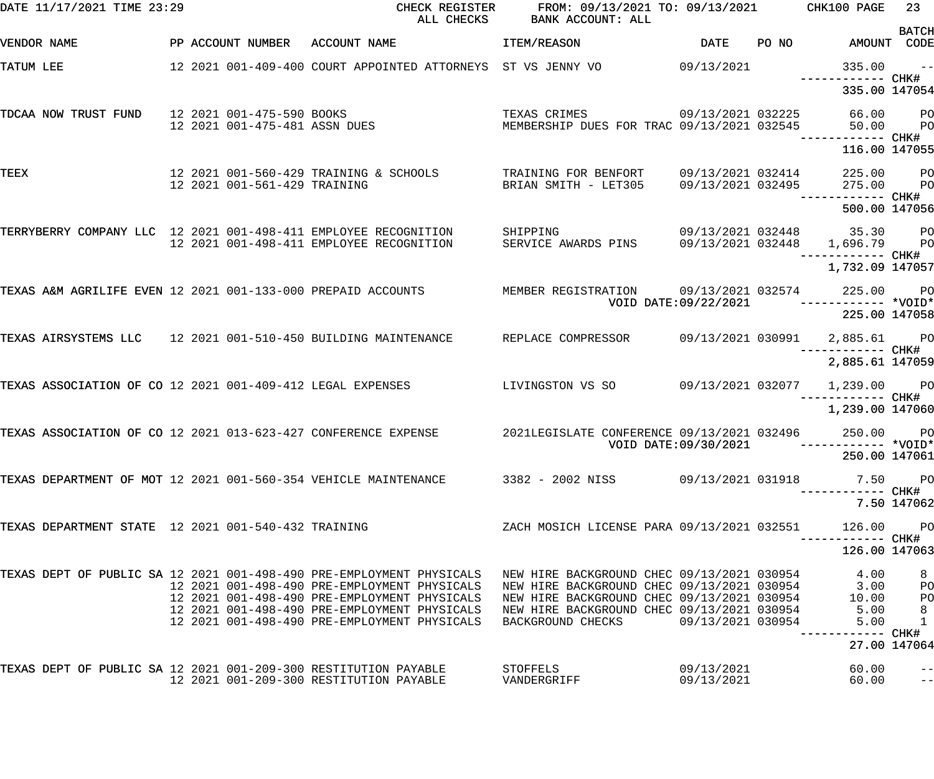| DATE 11/17/2021 TIME 23:29                                      |                              | CHECK REGISTER<br>ALL CHECKS                                                                       | FROM: 09/13/2021 TO: 09/13/2021 CHK100 PAGE<br>BANK ACCOUNT: ALL                                                                                       |                                        |       |                                    | 23           |
|-----------------------------------------------------------------|------------------------------|----------------------------------------------------------------------------------------------------|--------------------------------------------------------------------------------------------------------------------------------------------------------|----------------------------------------|-------|------------------------------------|--------------|
| VENDOR NAME                                                     |                              | PP ACCOUNT NUMBER ACCOUNT NAME                                                                     | ITEM/REASON                                                                                                                                            | DATE                                   | PO NO | AMOUNT CODE                        | <b>BATCH</b> |
| TATUM LEE                                                       |                              |                                                                                                    |                                                                                                                                                        |                                        |       | 335.00                             | $\sim$ $-$   |
|                                                                 |                              |                                                                                                    |                                                                                                                                                        |                                        |       | ------------ CHK#<br>335.00 147054 |              |
| TDCAA NOW TRUST FUND 12 2021 001-475-590 BOOKS                  |                              | 12 2021 001-475-481 ASSN DUES                                                                      | 09/13/2021 032225<br>TEXAS CRIMES<br>MEMBERSHIP DUES FOR TRAC 09/13/2021 032545                                                                        |                                        |       | 66.00 PO<br>50.00                  | <b>PO</b>    |
|                                                                 |                              |                                                                                                    |                                                                                                                                                        |                                        |       | 116.00 147055                      |              |
|                                                                 |                              |                                                                                                    |                                                                                                                                                        |                                        |       |                                    |              |
| TEEX                                                            | 12 2021 001-561-429 TRAINING | 12 2021 001-560-429 TRAINING & SCHOOLS                                                             | TRAINING FOR BENFORT<br>BRIAN SMITH - LET305                                                                                                           | 09/13/2021 032414<br>09/13/2021 032495 |       | 225.00 PO<br>275.00                | <b>PO</b>    |
|                                                                 |                              |                                                                                                    |                                                                                                                                                        |                                        |       | 500.00 147056                      |              |
| TERRYBERRY COMPANY LLC 12 2021 001-498-411 EMPLOYEE RECOGNITION |                              |                                                                                                    | SHIPPING                                                                                                                                               |                                        |       | 09/13/2021 032448 35.30 PO         |              |
|                                                                 |                              | 12 2021 001-498-411 EMPLOYEE RECOGNITION                                                           | SERVICE AWARDS PINS                                                                                                                                    |                                        |       | 09/13/2021 032448 1,696.79 PO      |              |
|                                                                 |                              |                                                                                                    |                                                                                                                                                        |                                        |       | 1,732.09 147057                    |              |
| TEXAS A&M AGRILIFE EVEN 12 2021 001-133-000 PREPAID ACCOUNTS    |                              |                                                                                                    |                                                                                                                                                        |                                        |       |                                    |              |
|                                                                 |                              |                                                                                                    |                                                                                                                                                        |                                        |       | 225.00 147058                      |              |
| TEXAS AIRSYSTEMS LLC 12 2021 001-510-450 BUILDING MAINTENANCE   |                              |                                                                                                    | REPLACE COMPRESSOR                                                                                                                                     |                                        |       | 09/13/2021  030991  2,885.61  PO   |              |
|                                                                 |                              |                                                                                                    |                                                                                                                                                        |                                        |       | 2,885.61 147059                    |              |
| TEXAS ASSOCIATION OF CO 12 2021 001-409-412 LEGAL EXPENSES      |                              |                                                                                                    | LIVINGSTON VS SO                                                                                                                                       |                                        |       | 09/13/2021 032077 1,239.00 PO      |              |
|                                                                 |                              |                                                                                                    |                                                                                                                                                        |                                        |       | 1,239.00 147060                    |              |
| TEXAS ASSOCIATION OF CO 12 2021 013-623-427 CONFERENCE EXPENSE  |                              |                                                                                                    | 2021LEGISLATE CONFERENCE 09/13/2021 032496<br>VOID DATE:09/30/2021                                                                                     |                                        |       | 250.00 PO                          |              |
|                                                                 |                              |                                                                                                    |                                                                                                                                                        |                                        |       | 250.00 147061                      |              |
|                                                                 |                              | TEXAS DEPARTMENT OF MOT 12 2021 001-560-354 VEHICLE MAINTENANCE 3382 - 2002 NISS 69/13/2021 031918 |                                                                                                                                                        |                                        |       |                                    | 7.50 PO      |
|                                                                 |                              |                                                                                                    |                                                                                                                                                        |                                        |       | -------- CHK#                      | 7.50 147062  |
| TEXAS DEPARTMENT STATE 12 2021 001-540-432 TRAINING             |                              |                                                                                                    | ZACH MOSICH LICENSE PARA 09/13/2021 032551                                                                                                             |                                        |       | 126.00                             | <b>PO</b>    |
|                                                                 |                              |                                                                                                    |                                                                                                                                                        |                                        |       | --------- CHK#<br>126.00 147063    |              |
|                                                                 |                              | TEXAS DEPT OF PUBLIC SA 12 2021 001-498-490 PRE-EMPLOYMENT PHYSICALS                               | NEW HIRE BACKGROUND CHEC 09/13/2021 030954                                                                                                             |                                        |       | 4.00                               | 8            |
|                                                                 |                              | 12 2021 001-498-490 PRE-EMPLOYMENT PHYSICALS<br>12 2021 001-498-490 PRE-EMPLOYMENT PHYSICALS       | NEW HIRE BACKGROUND CHEC 09/13/2021 030954 3.00<br>NEW HIRE BACKGROUND CHEC 09/13/2021 030954 10.00<br>NEW HIRE BACKGROUND CHEC 09/13/2021 030954 5.00 |                                        |       | 3.00<br>10.00                      | PО<br>PО     |
|                                                                 |                              | 12 2021 001-498-490 PRE-EMPLOYMENT PHYSICALS                                                       |                                                                                                                                                        |                                        |       |                                    | 8            |
|                                                                 |                              | 12 2021 001-498-490 PRE-EMPLOYMENT PHYSICALS                                                       | BACKGROUND CHECKS                                                                                                                                      | 09/13/2021 030954                      |       | 5.00                               | $\mathbf{1}$ |
|                                                                 |                              |                                                                                                    |                                                                                                                                                        |                                        |       | ------ CHK#<br>27.00 147064        |              |
|                                                                 |                              | TEXAS DEPT OF PUBLIC SA 12 2021 001-209-300 RESTITUTION PAYABLE              STOFFELS              |                                                                                                                                                        | 09/13/2021                             |       | 60.00                              | $- -$        |
|                                                                 |                              | 12 2021 001-209-300 RESTITUTION PAYABLE                                                            | VANDERGRIFF                                                                                                                                            | 09/13/2021                             |       | 60.00                              | $ -$         |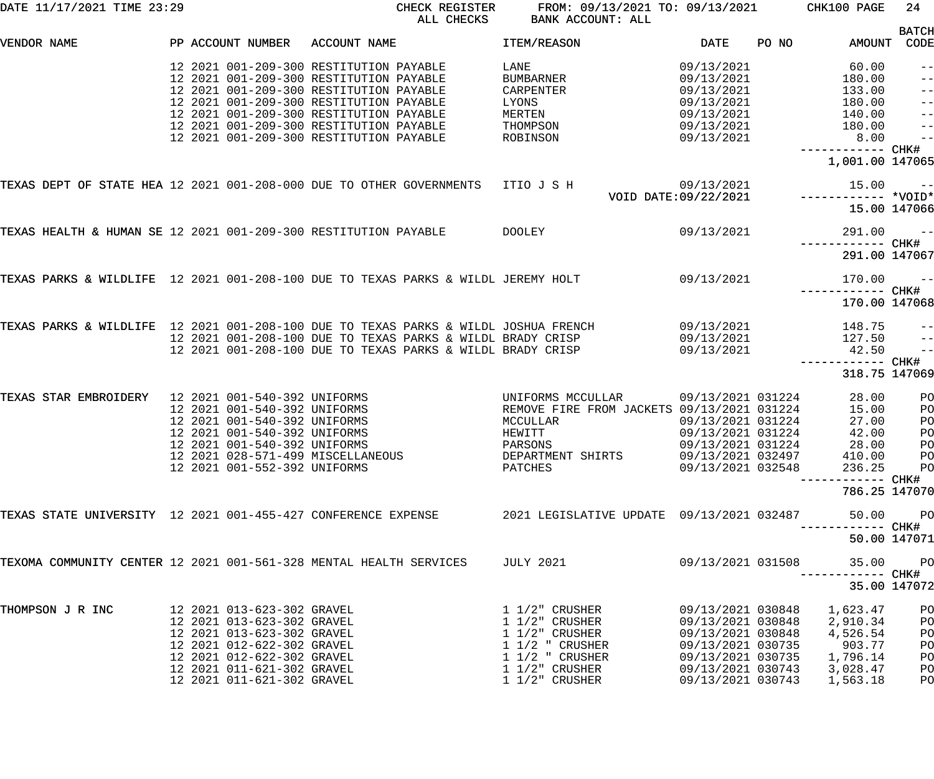| DATE 11/17/2021 TIME 23:29                                                          |                   |                                                                                                                                                                                                                |                                                                                                                                                                                                                     | CHECK REGISTER<br>ALL CHECKS                                                                                             | FROM: 09/13/2021 TO: 09/13/2021<br>BANK ACCOUNT: ALL                                                                                                        |                                                                                                                                                 |       | CHK100 PAGE                                                                                        | 24                                          |
|-------------------------------------------------------------------------------------|-------------------|----------------------------------------------------------------------------------------------------------------------------------------------------------------------------------------------------------------|---------------------------------------------------------------------------------------------------------------------------------------------------------------------------------------------------------------------|--------------------------------------------------------------------------------------------------------------------------|-------------------------------------------------------------------------------------------------------------------------------------------------------------|-------------------------------------------------------------------------------------------------------------------------------------------------|-------|----------------------------------------------------------------------------------------------------|---------------------------------------------|
| VENDOR NAME                                                                         | PP ACCOUNT NUMBER |                                                                                                                                                                                                                | ACCOUNT NAME                                                                                                                                                                                                        |                                                                                                                          | ITEM/REASON                                                                                                                                                 | <b>DATE</b>                                                                                                                                     | PO NO | AMOUNT                                                                                             | <b>BATCH</b><br>CODE                        |
|                                                                                     |                   |                                                                                                                                                                                                                | 12 2021 001-209-300 RESTITUTION PAYABLE<br>12 2021 001-209-300 RESTITUTION PAYABLE<br>12 2021 001-209-300 RESTITUTION PAYABLE<br>12 2021 001-209-300 RESTITUTION PAYABLE<br>12 2021 001-209-300 RESTITUTION PAYABLE |                                                                                                                          | LANE<br>BUMBARNER<br>CARPENTER<br>LYONS<br><b>MERTEN</b>                                                                                                    | 09/13/2021<br>09/13/2021<br>09/13/2021<br>09/13/2021<br>09/13/2021                                                                              |       | 60.00<br>180.00<br>133.00<br>180.00<br>140.00                                                      | $-\:\:-$<br>$- -$<br>$- -$<br>$- -$<br>$ -$ |
|                                                                                     |                   |                                                                                                                                                                                                                | 12 2021 001-209-300 RESTITUTION PAYABLE<br>12 2021 001-209-300 RESTITUTION PAYABLE                                                                                                                                  |                                                                                                                          | THOMPSON<br>ROBINSON                                                                                                                                        | 09/13/2021<br>09/13/2021                                                                                                                        |       | 180.00<br>8.00<br>----------- CHK#<br>1,001.00 147065                                              | $ -$<br>$-$                                 |
| TEXAS DEPT OF STATE HEA 12 2021 001-208-000 DUE TO OTHER GOVERNMENTS ITIO J S H     |                   |                                                                                                                                                                                                                |                                                                                                                                                                                                                     |                                                                                                                          |                                                                                                                                                             | 09/13/2021<br>VOID DATE: 09/22/2021                                                                                                             |       | 15.00                                                                                              | $ -$<br>15.00 147066                        |
| TEXAS HEALTH & HUMAN SE 12 2021 001-209-300 RESTITUTION PAYABLE                     |                   |                                                                                                                                                                                                                |                                                                                                                                                                                                                     |                                                                                                                          | DOOLEY                                                                                                                                                      | 09/13/2021                                                                                                                                      |       | 291.00<br>291.00 147067                                                                            | $\sim$ $ -$                                 |
| TEXAS PARKS & WILDLIFE 12 2021 001-208-100 DUE TO TEXAS PARKS & WILDL JEREMY HOLT   |                   |                                                                                                                                                                                                                |                                                                                                                                                                                                                     |                                                                                                                          |                                                                                                                                                             | 09/13/2021                                                                                                                                      |       | 170.00<br>------------ CHK#<br>170.00 147068                                                       | $ -$                                        |
| TEXAS PARKS & WILDLIFE 12 2021 001-208-100 DUE TO TEXAS PARKS & WILDL JOSHUA FRENCH |                   |                                                                                                                                                                                                                |                                                                                                                                                                                                                     | 12 2021 001-208-100 DUE TO TEXAS PARKS & WILDL BRADY CRISP<br>12 2021 001-208-100 DUE TO TEXAS PARKS & WILDL BRADY CRISP |                                                                                                                                                             | 09/13/2021<br>09/13/2021<br>09/13/2021                                                                                                          |       | 148.75<br>127.50<br>42.50<br>----------- CHK#<br>318.75 147069                                     | $-\:\:-$<br>$- -$<br>$-$                    |
| TEXAS STAR EMBROIDERY                                                               |                   | 12 2021 001-540-392 UNIFORMS<br>12 2021 001-540-392 UNIFORMS<br>12 2021 001-540-392 UNIFORMS<br>12 2021 001-540-392 UNIFORMS<br>12 2021 001-540-392 UNIFORMS<br>12 2021 001-552-392 UNIFORMS                   | 12 2021 028-571-499 MISCELLANEOUS                                                                                                                                                                                   |                                                                                                                          | UNIFORMS MCCULLAR<br>REMOVE FIRE FROM JACKETS 09/13/2021 031224<br>MCCULLAR<br>HEWITT<br>PARSONS<br>DEPARTMENT SHIRTS<br>PATCHES                            | 09/13/2021 031224<br>09/13/2021 031224<br>09/13/2021 031224<br>09/13/2021 031224<br>09/13/2021 032497<br>09/13/2021 032548                      |       | 28.00<br>15.00<br>27.00<br>42.00<br>28.00<br>410.00<br>236.25<br>----------- CHK#<br>786.25 147070 | PO<br>PO<br>PO<br>PO<br>PO<br>PO<br>PO      |
| TEXAS STATE UNIVERSITY 12 2021 001-455-427 CONFERENCE EXPENSE                       |                   |                                                                                                                                                                                                                |                                                                                                                                                                                                                     |                                                                                                                          | 2021 LEGISLATIVE UPDATE 09/13/2021 032487                                                                                                                   |                                                                                                                                                 |       | 50.00                                                                                              | PO<br>50.00 147071                          |
| TEXOMA COMMUNITY CENTER 12 2021 001-561-328 MENTAL HEALTH SERVICES                  |                   |                                                                                                                                                                                                                |                                                                                                                                                                                                                     |                                                                                                                          | <b>JULY 2021</b>                                                                                                                                            | 09/13/2021 031508                                                                                                                               |       | 35.00<br>----------- CHK#                                                                          | PO<br>35.00 147072                          |
| THOMPSON J R INC                                                                    |                   | 12 2021 013-623-302 GRAVEL<br>12 2021 013-623-302 GRAVEL<br>12 2021 013-623-302 GRAVEL<br>12 2021 012-622-302 GRAVEL<br>12 2021 012-622-302 GRAVEL<br>12 2021 011-621-302 GRAVEL<br>12 2021 011-621-302 GRAVEL |                                                                                                                                                                                                                     |                                                                                                                          | $1\ 1/2"$ CRUSHER<br>$1\;1/2"$ CRUSHER<br>$1\;1/2"$ CRUSHER<br>$1\ 1/2$ " CRUSHER<br>$1\ 1/2$ " CRUSHER<br>$1\frac{1}{2}$ CRUSHER<br>$1\frac{1}{2}$ CRUSHER | 09/13/2021 030848<br>09/13/2021 030848<br>09/13/2021 030848<br>09/13/2021 030735<br>09/13/2021 030735<br>09/13/2021 030743<br>09/13/2021 030743 |       | 1,623.47<br>2,910.34<br>4,526.54<br>903.77<br>1,796.14<br>3,028.47<br>1,563.18                     | PO<br>PO<br>PO<br>PO<br>PO<br>PO<br>PO      |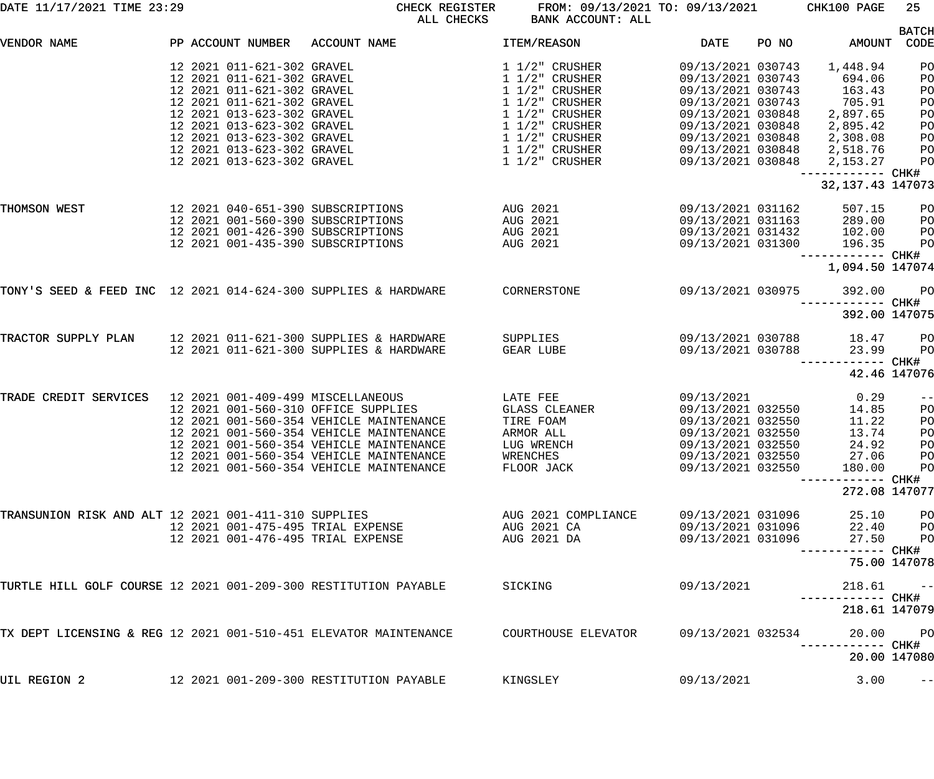| DATE 11/17/2021 TIME 23:29                                       |                                                                                                                                                  | CHECK REGISTER<br>ALL CHECKS                                                                                                                                                                                                                               | FROM: 09/13/2021 TO: 09/13/2021<br>BANK ACCOUNT: ALL                                        |                                                                                                                                          | CHK100 PAGE                                                 | 25                                               |
|------------------------------------------------------------------|--------------------------------------------------------------------------------------------------------------------------------------------------|------------------------------------------------------------------------------------------------------------------------------------------------------------------------------------------------------------------------------------------------------------|---------------------------------------------------------------------------------------------|------------------------------------------------------------------------------------------------------------------------------------------|-------------------------------------------------------------|--------------------------------------------------|
| VENDOR NAME                                                      | PP ACCOUNT NUMBER                                                                                                                                | ACCOUNT NAME                                                                                                                                                                                                                                               | <b>ITEM/REASON</b>                                                                          | <b>DATE</b><br>PO NO                                                                                                                     | AMOUNT                                                      | <b>BATCH</b><br>CODE                             |
|                                                                  | 12 2021 011-621-302 GRAVEL<br>12 2021 011-621-302 GRAVEL<br>12 2021 011-621-302 GRAVEL                                                           |                                                                                                                                                                                                                                                            | $1\frac{1}{2}$ CRUSHER<br>$1\frac{1}{2}$ CRUSHER<br>$1\frac{1}{2}$ CRUSHER                  | 09/13/2021 030743<br>09/13/2021 030743<br>09/13/2021 030743                                                                              | 1,448.94<br>694.06<br>163.43                                | PO<br>PO<br>PO                                   |
|                                                                  | 12 2021 011-621-302 GRAVEL<br>12 2021 013-623-302 GRAVEL<br>12 2021 013-623-302 GRAVEL                                                           |                                                                                                                                                                                                                                                            | $1\frac{1}{2}$ CRUSHER<br>$1\frac{1}{2}$ CRUSHER<br>1 1/2" CRUSHER                          | 09/13/2021 030743<br>09/13/2021 030848<br>09/13/2021 030848                                                                              | 705.91<br>2,897.65<br>2,895.42                              | PO<br>PO<br>PO                                   |
|                                                                  | 12 2021 013-623-302 GRAVEL<br>12 2021 013-623-302 GRAVEL<br>12 2021 013-623-302 GRAVEL                                                           |                                                                                                                                                                                                                                                            | $1\frac{1}{2}$ CRUSHER<br>$1\frac{1}{2}$ CRUSHER<br>$1\frac{1}{2}$ CRUSHER                  | 09/13/2021 030848<br>09/13/2021 030848<br>09/13/2021 030848                                                                              | 2,308.08<br>2,518.76<br>2,153.27                            | PO<br>PO<br>PO                                   |
|                                                                  |                                                                                                                                                  |                                                                                                                                                                                                                                                            |                                                                                             |                                                                                                                                          | ------------ CHK#<br>32, 137. 43 147073                     |                                                  |
| THOMSON WEST                                                     | 12 2021 040-651-390 SUBSCRIPTIONS<br>12 2021 001-560-390 SUBSCRIPTIONS<br>12 2021 001-426-390 SUBSCRIPTIONS<br>12 2021 001-435-390 SUBSCRIPTIONS |                                                                                                                                                                                                                                                            | AUG 2021<br>AUG 2021<br>AUG 2021<br>AUG 2021                                                | 09/13/2021 031162<br>09/13/2021 031163<br>09/13/2021 031432<br>09/13/2021 031300                                                         | 507.15<br>289.00<br>102.00<br>196.35                        | PO<br>PO<br>PO<br>PO                             |
|                                                                  |                                                                                                                                                  |                                                                                                                                                                                                                                                            |                                                                                             |                                                                                                                                          | ------------ CHK#<br>1,094.50 147074                        |                                                  |
| TONY'S SEED & FEED INC 12 2021 014-624-300 SUPPLIES & HARDWARE   |                                                                                                                                                  |                                                                                                                                                                                                                                                            | CORNERSTONE                                                                                 | 09/13/2021 030975                                                                                                                        | 392.00<br>------------ CHK#<br>392.00 147075                | PO                                               |
| TRACTOR SUPPLY PLAN                                              |                                                                                                                                                  | 12 2021 011-621-300 SUPPLIES & HARDWARE<br>12 2021 011-621-300 SUPPLIES & HARDWARE                                                                                                                                                                         | SUPPLIES<br>GEAR LUBE                                                                       | 09/13/2021 030788<br>09/13/2021 030788                                                                                                   | 18.47<br>23.99                                              | PO<br>PO                                         |
|                                                                  |                                                                                                                                                  |                                                                                                                                                                                                                                                            |                                                                                             |                                                                                                                                          | ------------ CHK#<br>42.46 147076                           |                                                  |
| TRADE CREDIT SERVICES                                            | 12 2021 001-409-499 MISCELLANEOUS                                                                                                                | 12 2021 001-560-310 OFFICE SUPPLIES<br>12 2021 001-560-354 VEHICLE MAINTENANCE<br>12 2021 001-560-354 VEHICLE MAINTENANCE<br>12 2021 001-560-354 VEHICLE MAINTENANCE<br>12 2021 001-560-354 VEHICLE MAINTENANCE<br>12 2021 001-560-354 VEHICLE MAINTENANCE | LATE FEE<br>GLASS CLEANER<br>TIRE FOAM<br>ARMOR ALL<br>LUG WRENCH<br>WRENCHES<br>FLOOR JACK | 09/13/2021<br>09/13/2021 032550<br>09/13/2021 032550<br>09/13/2021 032550<br>09/13/2021 032550<br>09/13/2021 032550<br>09/13/2021 032550 | 0.29<br>14.85<br>11.22<br>13.74<br>24.92<br>27.06<br>180.00 | $- -$<br>PO<br>PO<br>PO<br>PO<br><b>PO</b><br>PO |
|                                                                  |                                                                                                                                                  |                                                                                                                                                                                                                                                            |                                                                                             |                                                                                                                                          | -------- CHK#<br>272.08 147077                              |                                                  |
| TRANSUNION RISK AND ALT 12 2021 001-411-310 SUPPLIES             | 12 2021 001-475-495 TRIAL EXPENSE<br>12 2021 001-476-495 TRIAL EXPENSE                                                                           |                                                                                                                                                                                                                                                            | AUG 2021 COMPLIANCE<br>AUG 2021 CA<br>AUG 2021 DA                                           | 09/13/2021 031096<br>09/13/2021 031096<br>09/13/2021 031096                                                                              | 25.10<br>22.40<br>27.50                                     | <b>PO</b><br><b>PO</b><br>PO                     |
|                                                                  |                                                                                                                                                  |                                                                                                                                                                                                                                                            |                                                                                             |                                                                                                                                          | 75.00 147078                                                |                                                  |
| TURTLE HILL GOLF COURSE 12 2021 001-209-300 RESTITUTION PAYABLE  |                                                                                                                                                  |                                                                                                                                                                                                                                                            | SICKING                                                                                     | 09/13/2021                                                                                                                               | 218.61                                                      | $ -$                                             |
| TX DEPT LICENSING & REG 12 2021 001-510-451 ELEVATOR MAINTENANCE |                                                                                                                                                  |                                                                                                                                                                                                                                                            | COURTHOUSE ELEVATOR                                                                         | 09/13/2021 032534                                                                                                                        | 218.61 147079<br>20.00                                      | PO                                               |
|                                                                  |                                                                                                                                                  |                                                                                                                                                                                                                                                            |                                                                                             |                                                                                                                                          | 20.00 147080                                                |                                                  |
| UIL REGION 2                                                     |                                                                                                                                                  | 12 2021 001-209-300 RESTITUTION PAYABLE                                                                                                                                                                                                                    | KINGSLEY                                                                                    | 09/13/2021                                                                                                                               | 3.00                                                        | $-$ -l                                           |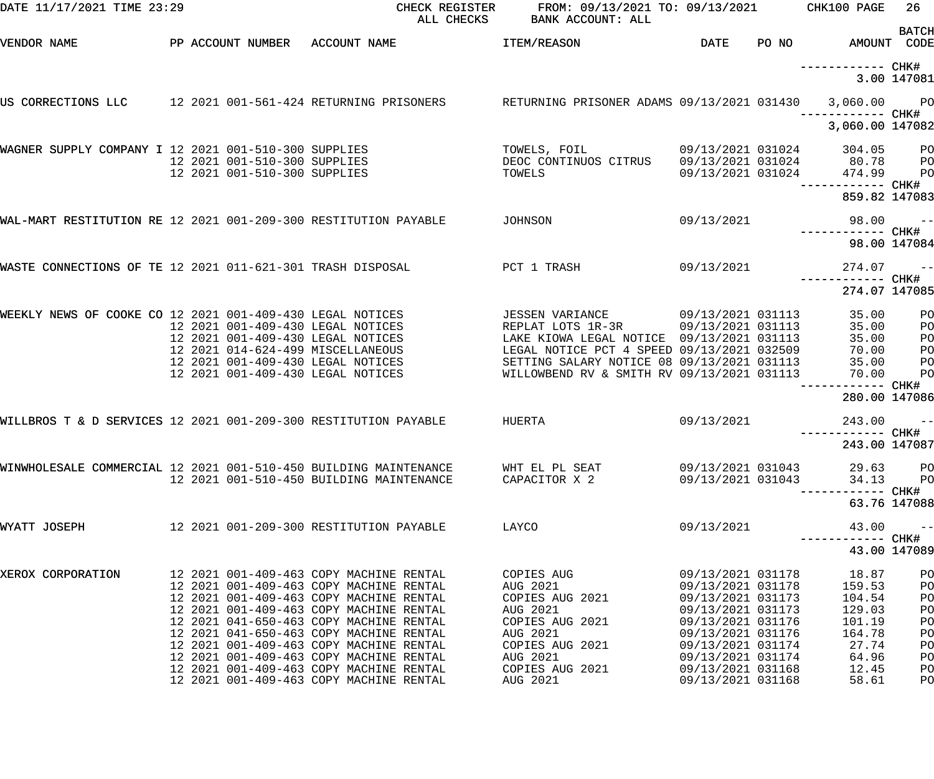| DATE 11/17/2021 TIME 23:29                                       |  |                              |                                                                                    | ALL CHECKS | CHECK REGISTER FROM: 09/13/2021 TO: 09/13/2021 CHK100 PAGE<br>BANK ACCOUNT: ALL                                   |                                        |                                    | 26             |
|------------------------------------------------------------------|--|------------------------------|------------------------------------------------------------------------------------|------------|-------------------------------------------------------------------------------------------------------------------|----------------------------------------|------------------------------------|----------------|
| VENDOR NAME                                                      |  |                              | PP ACCOUNT NUMBER ACCOUNT NAME                                                     |            | <b>ITEM/REASON</b>                                                                                                | DATE                                   | PO NO AMOUNT CODE                  | <b>BATCH</b>   |
|                                                                  |  |                              |                                                                                    |            |                                                                                                                   |                                        |                                    |                |
|                                                                  |  |                              |                                                                                    |            |                                                                                                                   |                                        | ------------ CHK#                  |                |
|                                                                  |  |                              |                                                                                    |            |                                                                                                                   |                                        |                                    | 3.00 147081    |
|                                                                  |  |                              |                                                                                    |            | US CORRECTIONS LLC 12 2021 001-561-424 RETURNING PRISONERS RETURNING PRISONER ADAMS 09/13/2021 031430 3,060.00 PO |                                        |                                    |                |
|                                                                  |  |                              |                                                                                    |            |                                                                                                                   |                                        | 3,060.00 147082                    |                |
| WAGNER SUPPLY COMPANY I 12 2021 001-510-300 SUPPLIES             |  |                              |                                                                                    |            | TOWELS, FOIL 09/13/2021 031024                                                                                    |                                        | 304.05 PO                          |                |
|                                                                  |  | 12 2021 001-510-300 SUPPLIES |                                                                                    |            | DEOC CONTINUOS CITRUS  09/13/2021  031024  80.78  PO                                                              |                                        |                                    |                |
|                                                                  |  | 12 2021 001-510-300 SUPPLIES |                                                                                    |            | TOWELS                                                                                                            | 09/13/2021 031024                      | 474.99                             | P <sub>O</sub> |
|                                                                  |  |                              |                                                                                    |            |                                                                                                                   |                                        | ------------ CHK#<br>859.82 147083 |                |
| WAL-MART RESTITUTION RE 12 2021 001-209-300 RESTITUTION PAYABLE  |  |                              |                                                                                    |            | JOHNSON                                                                                                           | 09/13/2021                             | 98.00                              | $\sim$ $-$     |
|                                                                  |  |                              |                                                                                    |            |                                                                                                                   |                                        |                                    |                |
|                                                                  |  |                              |                                                                                    |            |                                                                                                                   |                                        | 98.00 147084                       |                |
| WASTE CONNECTIONS OF TE 12 2021 011-621-301 TRASH DISPOSAL       |  |                              |                                                                                    |            | PCT 1 TRASH<br>09/13/2021                                                                                         |                                        | 274.07                             | $\sim$ $-$     |
|                                                                  |  |                              |                                                                                    |            |                                                                                                                   |                                        | 274.07 147085                      |                |
| WEEKLY NEWS OF COOKE CO 12 2021 001-409-430 LEGAL NOTICES        |  |                              |                                                                                    |            | JESSEN VARIANCE 09/13/2021 031113                                                                                 |                                        | 35.00                              | P <sub>O</sub> |
|                                                                  |  |                              | 12 2021 001-409-430 LEGAL NOTICES                                                  |            | REPLAT LOTS 1R-3R 09/13/2021 031113                                                                               |                                        | 35.00                              | PO             |
|                                                                  |  |                              | 12 2021 001-409-430 LEGAL NOTICES                                                  |            | LAKE KIOWA LEGAL NOTICE 09/13/2021 031113                                                                         |                                        | 35.00                              | P <sub>O</sub> |
|                                                                  |  |                              | 12 2021 014-624-499 MISCELLANEOUS                                                  |            | LEGAL NOTICE PCT 4 SPEED 09/13/2021 032509                                                                        |                                        | 70.00                              | PO             |
|                                                                  |  |                              | 12 2021 001-409-430 LEGAL NOTICES                                                  |            | SETTING SALARY NOTICE 08 09/13/2021 031113                                                                        |                                        | 35.00                              | P <sub>O</sub> |
|                                                                  |  |                              | 12 2021 001-409-430 LEGAL NOTICES                                                  |            | WILLOWBEND RV & SMITH RV 09/13/2021 031113                                                                        |                                        | 70.00                              | PO             |
|                                                                  |  |                              |                                                                                    |            |                                                                                                                   |                                        | 280.00 147086                      |                |
| WILLBROS T & D SERVICES 12 2021 001-209-300 RESTITUTION PAYABLE  |  |                              |                                                                                    |            | HUERTA                                                                                                            | 09/13/2021                             | 243.00                             | $- -$          |
|                                                                  |  |                              |                                                                                    |            |                                                                                                                   |                                        |                                    |                |
|                                                                  |  |                              |                                                                                    |            |                                                                                                                   |                                        | 243.00 147087                      |                |
| WINWHOLESALE COMMERCIAL 12 2021 001-510-450 BUILDING MAINTENANCE |  |                              |                                                                                    |            | WHT EL PL SEAT                                                                                                    | 09/13/2021 031043                      | 29.63                              | $_{\rm PO}$    |
|                                                                  |  |                              | 12 2021 001-510-450 BUILDING MAINTENANCE                                           |            | CAPACITOR X 2                                                                                                     | 09/13/2021 031043                      | 34.13                              | P <sub>O</sub> |
|                                                                  |  |                              |                                                                                    |            |                                                                                                                   |                                        | —————————— CHK#                    | 63.76 147088   |
| WYATT JOSEPH                                                     |  |                              | 12 2021 001-209-300 RESTITUTION PAYABLE                                            |            | LAYCO                                                                                                             | 09/13/2021                             | 43.00                              | $- -$          |
|                                                                  |  |                              |                                                                                    |            |                                                                                                                   |                                        |                                    |                |
|                                                                  |  |                              |                                                                                    |            |                                                                                                                   |                                        |                                    | 43.00 147089   |
| XEROX CORPORATION                                                |  |                              | 12 2021 001-409-463 COPY MACHINE RENTAL                                            |            | COPIES AUG                                                                                                        | 09/13/2021 031178                      | 18.87                              | PO             |
|                                                                  |  |                              | 12 2021 001-409-463 COPY MACHINE RENTAL                                            |            | AUG 2021                                                                                                          | 09/13/2021 031178                      | 159.53                             | PO             |
|                                                                  |  |                              | 12 2021 001-409-463 COPY MACHINE RENTAL                                            |            | COPIES AUG 2021                                                                                                   | 09/13/2021 031173                      | 104.54                             | PO             |
|                                                                  |  |                              | 12 2021 001-409-463 COPY MACHINE RENTAL                                            |            | AUG 2021                                                                                                          | 09/13/2021 031173                      | 129.03                             | PO             |
|                                                                  |  |                              | 12 2021 041-650-463 COPY MACHINE RENTAL                                            |            | COPIES AUG 2021<br>AUG 2021                                                                                       | 09/13/2021 031176                      | 101.19                             | PO             |
|                                                                  |  |                              | 12 2021 041-650-463 COPY MACHINE RENTAL<br>12 2021 001-409-463 COPY MACHINE RENTAL |            | COPIES AUG 2021                                                                                                   | 09/13/2021 031176<br>09/13/2021 031174 | 164.78<br>27.74                    | PO<br>PO       |
|                                                                  |  |                              | 12 2021 001-409-463 COPY MACHINE RENTAL                                            |            | AUG 2021                                                                                                          | 09/13/2021 031174                      | 64.96                              | PO             |
|                                                                  |  |                              | 12 2021 001-409-463 COPY MACHINE RENTAL                                            |            | COPIES AUG 2021                                                                                                   | 09/13/2021 031168                      | 12.45                              | PO             |
|                                                                  |  |                              | 12 2021 001-409-463 COPY MACHINE RENTAL                                            |            | AUG 2021                                                                                                          | 09/13/2021 031168                      | 58.61                              | PO             |
|                                                                  |  |                              |                                                                                    |            |                                                                                                                   |                                        |                                    |                |